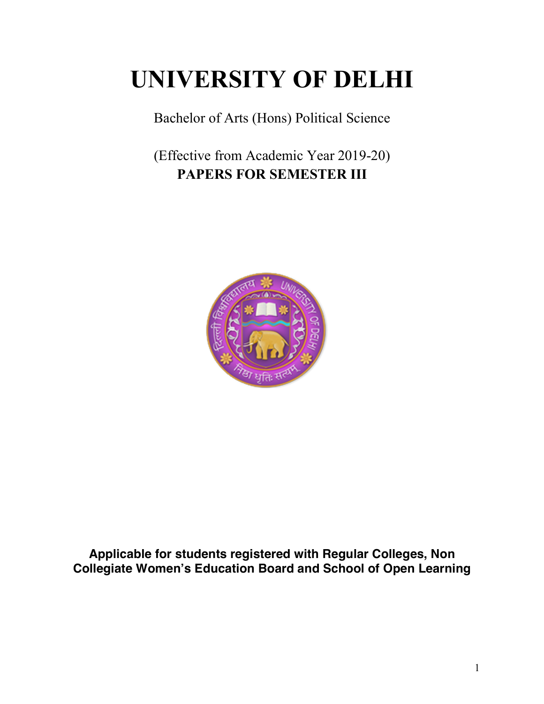# **UNIVERSITY OF DELHI**

Bachelor of Arts (Hons) Political Science

(Effective from Academic Year 2019-20) **PAPERS FOR SEMESTER III**



**Applicable for students registered with Regular Colleges, Non Collegiate Women's Education Board and School of Open Learning**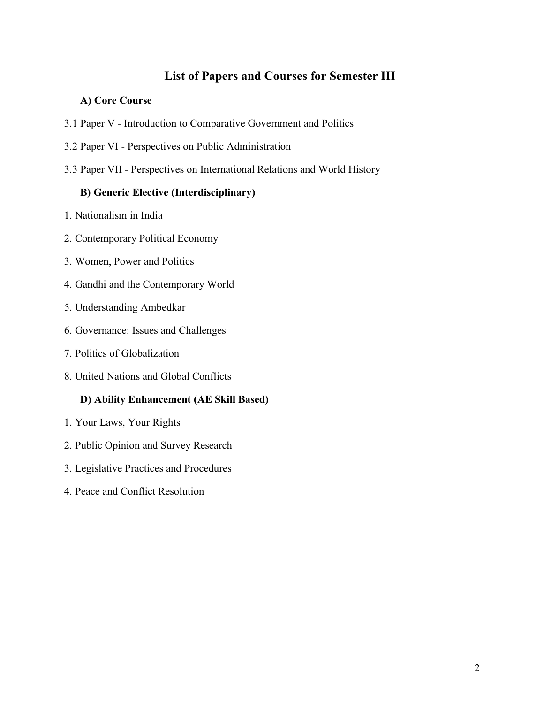# **List of Papers and Courses for Semester III**

# **A) Core Course**

- 3.1 Paper V Introduction to Comparative Government and Politics
- 3.2 Paper VI Perspectives on Public Administration
- 3.3 Paper VII Perspectives on International Relations and World History

### **B) Generic Elective (Interdisciplinary)**

- 1. Nationalism in India
- 2. Contemporary Political Economy
- 3. Women, Power and Politics
- 4. Gandhi and the Contemporary World
- 5. Understanding Ambedkar
- 6. Governance: Issues and Challenges
- 7. Politics of Globalization
- 8. United Nations and Global Conflicts

# **D) Ability Enhancement (AE Skill Based)**

- 1. Your Laws, Your Rights
- 2. Public Opinion and Survey Research
- 3. Legislative Practices and Procedures
- 4. Peace and Conflict Resolution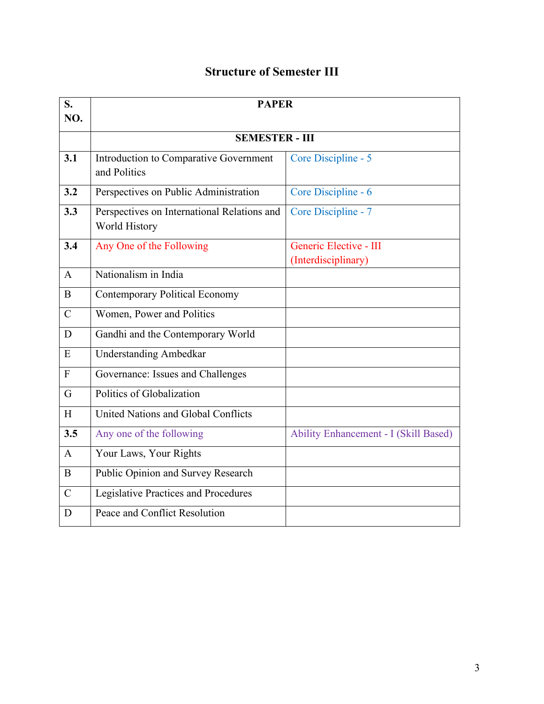# **Structure of Semester III**

| S.<br>NO.     | <b>PAPER</b>                                                 |                                               |  |  |  |
|---------------|--------------------------------------------------------------|-----------------------------------------------|--|--|--|
|               | <b>SEMESTER - III</b>                                        |                                               |  |  |  |
| 3.1           | Introduction to Comparative Government<br>and Politics       | Core Discipline - 5                           |  |  |  |
| 3.2           | Perspectives on Public Administration                        | Core Discipline - 6                           |  |  |  |
| 3.3           | Perspectives on International Relations and<br>World History | Core Discipline - 7                           |  |  |  |
| 3.4           | Any One of the Following                                     | Generic Elective - III<br>(Interdisciplinary) |  |  |  |
| $\mathbf{A}$  | Nationalism in India                                         |                                               |  |  |  |
| B             | <b>Contemporary Political Economy</b>                        |                                               |  |  |  |
| $\mathcal{C}$ | Women, Power and Politics                                    |                                               |  |  |  |
| D             | Gandhi and the Contemporary World                            |                                               |  |  |  |
| E             | <b>Understanding Ambedkar</b>                                |                                               |  |  |  |
| $\mathbf{F}$  | Governance: Issues and Challenges                            |                                               |  |  |  |
| G             | Politics of Globalization                                    |                                               |  |  |  |
| H             | United Nations and Global Conflicts                          |                                               |  |  |  |
| 3.5           | Any one of the following                                     | <b>Ability Enhancement - I (Skill Based)</b>  |  |  |  |
| $\mathbf{A}$  | Your Laws, Your Rights                                       |                                               |  |  |  |
| B             | Public Opinion and Survey Research                           |                                               |  |  |  |
| $\mathcal{C}$ | <b>Legislative Practices and Procedures</b>                  |                                               |  |  |  |
| D             | Peace and Conflict Resolution                                |                                               |  |  |  |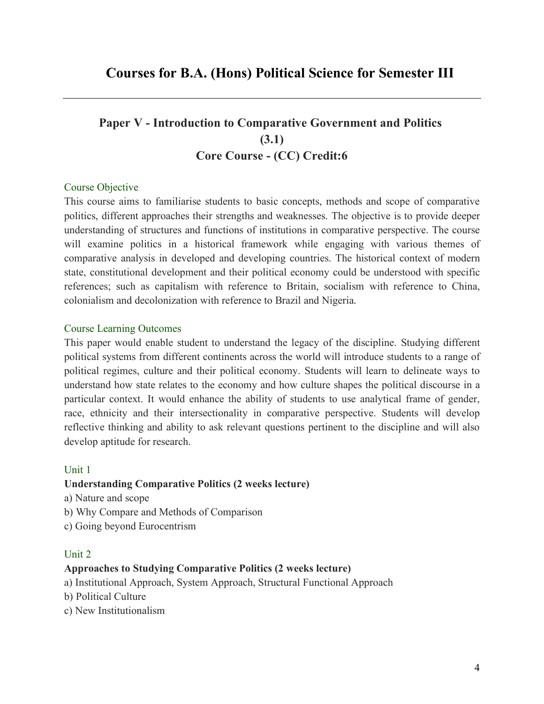# **Paper V - Introduction to Comparative Government and Politics (3.1) Core Course - (CC) Credit:6**

#### Course Objective

This course aims to familiarise students to basic concepts, methods and scope of comparative politics, different approaches their strengths and weaknesses. The objective is to provide deeper understanding of structures and functions of institutions in comparative perspective. The course will examine politics in a historical framework while engaging with various themes of comparative analysis in developed and developing countries. The historical context of modern state, constitutional development and their political economy could be understood with specific references; such as capitalism with reference to Britain, socialism with reference to China, colonialism and decolonization with reference to Brazil and Nigeria.

#### Course Learning Outcomes

This paper would enable student to understand the legacy of the discipline. Studying different political systems from different continents across the world will introduce students to a range of political regimes, culture and their political economy. Students will learn to delineate ways to understand how state relates to the economy and how culture shapes the political discourse in a particular context. It would enhance the ability of students to use analytical frame of gender, race, ethnicity and their intersectionality in comparative perspective. Students will develop reflective thinking and ability to ask relevant questions pertinent to the discipline and will also develop aptitude for research.

#### Unit 1

# **Understanding Comparative Politics (2 weeks lecture)**

a) Nature and scope

- b) Why Compare and Methods of Comparison
- c) Going beyond Eurocentrism

#### Unit 2

#### **Approaches to Studying Comparative Politics (2 weeks lecture)**

- a) Institutional Approach, System Approach, Structural Functional Approach
- b) Political Culture
- c) New Institutionalism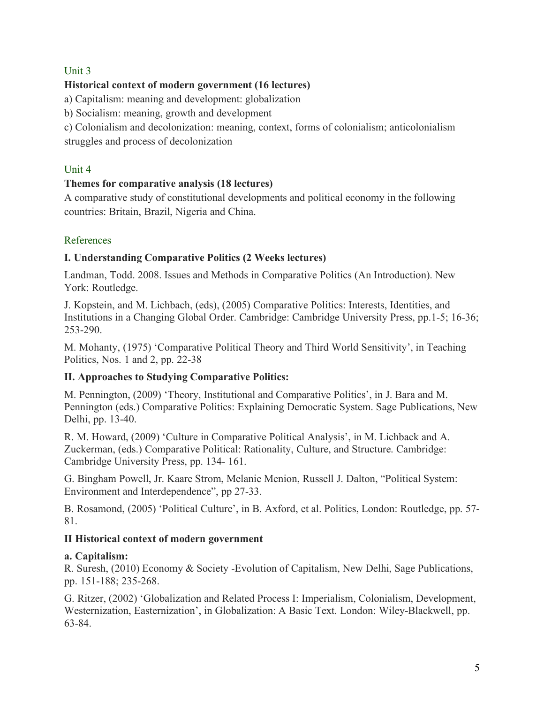# Unit 3

# **Historical context of modern government (16 lectures)**

a) Capitalism: meaning and development: globalization

b) Socialism: meaning, growth and development

c) Colonialism and decolonization: meaning, context, forms of colonialism; anticolonialism struggles and process of decolonization

# Unit 4

# **Themes for comparative analysis (18 lectures)**

A comparative study of constitutional developments and political economy in the following countries: Britain, Brazil, Nigeria and China.

# References

# **I. Understanding Comparative Politics (2 Weeks lectures)**

Landman, Todd. 2008. Issues and Methods in Comparative Politics (An Introduction). New York: Routledge.

J. Kopstein, and M. Lichbach, (eds), (2005) Comparative Politics: Interests, Identities, and Institutions in a Changing Global Order. Cambridge: Cambridge University Press, pp.1-5; 16-36; 253-290.

M. Mohanty, (1975) 'Comparative Political Theory and Third World Sensitivity', in Teaching Politics, Nos. 1 and 2, pp. 22-38

# **II. Approaches to Studying Comparative Politics:**

M. Pennington, (2009) 'Theory, Institutional and Comparative Politics', in J. Bara and M. Pennington (eds.) Comparative Politics: Explaining Democratic System. Sage Publications, New Delhi, pp. 13-40.

R. M. Howard, (2009) 'Culture in Comparative Political Analysis', in M. Lichback and A. Zuckerman, (eds.) Comparative Political: Rationality, Culture, and Structure. Cambridge: Cambridge University Press, pp. 134- 161.

G. Bingham Powell, Jr. Kaare Strom, Melanie Menion, Russell J. Dalton, "Political System: Environment and Interdependence", pp 27-33.

B. Rosamond, (2005) 'Political Culture', in B. Axford, et al. Politics, London: Routledge, pp. 57- 81.

# **II Historical context of modern government**

# **a. Capitalism:**

R. Suresh, (2010) Economy & Society -Evolution of Capitalism, New Delhi, Sage Publications, pp. 151-188; 235-268.

G. Ritzer, (2002) 'Globalization and Related Process I: Imperialism, Colonialism, Development, Westernization, Easternization', in Globalization: A Basic Text. London: Wiley-Blackwell, pp. 63-84.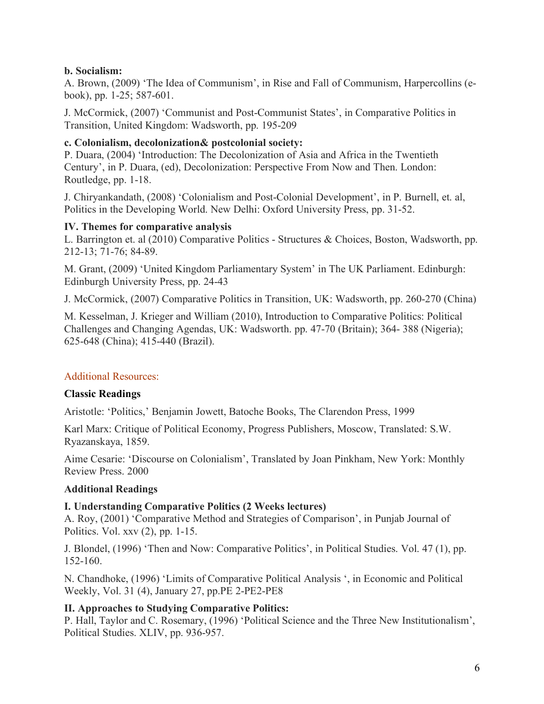# **b. Socialism:**

A. Brown, (2009) 'The Idea of Communism', in Rise and Fall of Communism, Harpercollins (ebook), pp. 1-25; 587-601.

J. McCormick, (2007) 'Communist and Post-Communist States', in Comparative Politics in Transition, United Kingdom: Wadsworth, pp. 195-209

#### **c. Colonialism, decolonization& postcolonial society:**

P. Duara, (2004) 'Introduction: The Decolonization of Asia and Africa in the Twentieth Century', in P. Duara, (ed), Decolonization: Perspective From Now and Then. London: Routledge, pp. 1-18.

J. Chiryankandath, (2008) 'Colonialism and Post-Colonial Development', in P. Burnell, et. al, Politics in the Developing World. New Delhi: Oxford University Press, pp. 31-52.

#### **IV. Themes for comparative analysis**

L. Barrington et. al (2010) Comparative Politics - Structures & Choices, Boston, Wadsworth, pp. 212-13; 71-76; 84-89.

M. Grant, (2009) 'United Kingdom Parliamentary System' in The UK Parliament. Edinburgh: Edinburgh University Press, pp. 24-43

J. McCormick, (2007) Comparative Politics in Transition, UK: Wadsworth, pp. 260-270 (China)

M. Kesselman, J. Krieger and William (2010), Introduction to Comparative Politics: Political Challenges and Changing Agendas, UK: Wadsworth. pp. 47-70 (Britain); 364- 388 (Nigeria); 625-648 (China); 415-440 (Brazil).

# Additional Resources:

# **Classic Readings**

Aristotle: 'Politics,' Benjamin Jowett, Batoche Books, The Clarendon Press, 1999

Karl Marx: Critique of Political Economy, Progress Publishers, Moscow, Translated: S.W. Ryazanskaya, 1859.

Aime Cesarie: 'Discourse on Colonialism', Translated by Joan Pinkham, New York: Monthly Review Press. 2000

# **Additional Readings**

#### **I. Understanding Comparative Politics (2 Weeks lectures)**

A. Roy, (2001) 'Comparative Method and Strategies of Comparison', in Punjab Journal of Politics. Vol. xxv (2), pp. 1-15.

J. Blondel, (1996) 'Then and Now: Comparative Politics', in Political Studies. Vol. 47 (1), pp. 152-160.

N. Chandhoke, (1996) 'Limits of Comparative Political Analysis ', in Economic and Political Weekly, Vol. 31 (4), January 27, pp.PE 2-PE2-PE8

# **II. Approaches to Studying Comparative Politics:**

P. Hall, Taylor and C. Rosemary, (1996) 'Political Science and the Three New Institutionalism', Political Studies. XLIV, pp. 936-957.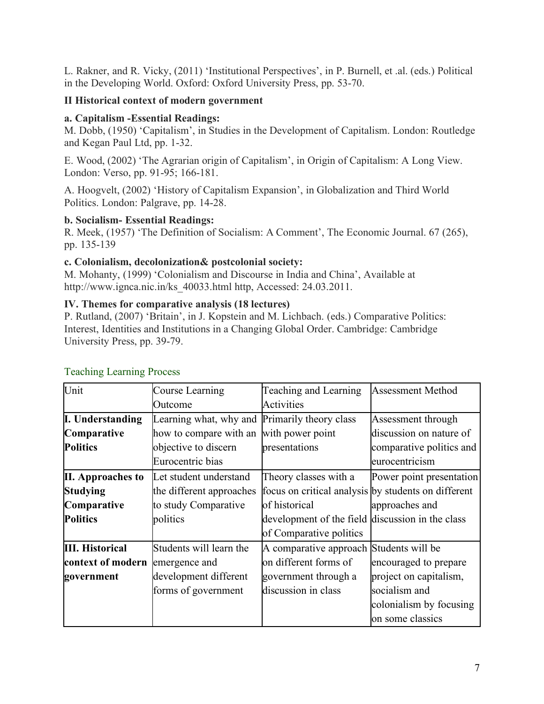L. Rakner, and R. Vicky, (2011) 'Institutional Perspectives', in P. Burnell, et .al. (eds.) Political in the Developing World. Oxford: Oxford University Press, pp. 53-70.

# **II Historical context of modern government**

# **a. Capitalism -Essential Readings:**

M. Dobb, (1950) 'Capitalism', in Studies in the Development of Capitalism. London: Routledge and Kegan Paul Ltd, pp. 1-32.

E. Wood, (2002) 'The Agrarian origin of Capitalism', in Origin of Capitalism: A Long View. London: Verso, pp. 91-95; 166-181.

A. Hoogvelt, (2002) 'History of Capitalism Expansion', in Globalization and Third World Politics. London: Palgrave, pp. 14-28.

# **b. Socialism- Essential Readings:**

R. Meek, (1957) 'The Definition of Socialism: A Comment', The Economic Journal. 67 (265), pp. 135-139

# **c. Colonialism, decolonization& postcolonial society:**

M. Mohanty, (1999) 'Colonialism and Discourse in India and China', Available at http://www.ignca.nic.in/ks 40033.html http, Accessed: 24.03.2011.

# **IV. Themes for comparative analysis (18 lectures)**

P. Rutland, (2007) 'Britain', in J. Kopstein and M. Lichbach. (eds.) Comparative Politics: Interest, Identities and Institutions in a Changing Global Order. Cambridge: Cambridge University Press, pp. 39-79.

| Unit                            | Course Learning                               | Teaching and Learning                               | <b>Assessment Method</b> |
|---------------------------------|-----------------------------------------------|-----------------------------------------------------|--------------------------|
|                                 | Outcome                                       | Activities                                          |                          |
| <b>I. Understanding</b>         | Learning what, why and Primarily theory class |                                                     | Assessment through       |
| Comparative                     | how to compare with an                        | with power point                                    | discussion on nature of  |
| <b>Politics</b>                 | objective to discern                          | presentations                                       | comparative politics and |
|                                 | Eurocentric bias                              |                                                     | eurocentricism           |
| <b>II.</b> Approaches to        | Let student understand                        | Theory classes with a                               | Power point presentation |
| <b>Studying</b>                 | the different approaches                      | focus on critical analysis by students on different |                          |
| Comparative                     | to study Comparative                          | of historical                                       | approaches and           |
| <b>Politics</b>                 | politics                                      | development of the field discussion in the class    |                          |
|                                 |                                               | of Comparative politics                             |                          |
| <b>III. Historical</b>          | Students will learn the                       | A comparative approach Students will be             |                          |
| context of modern emergence and |                                               | on different forms of                               | encouraged to prepare    |
| government                      | development different                         | government through a                                | project on capitalism,   |
|                                 | forms of government                           | discussion in class                                 | socialism and            |
|                                 |                                               |                                                     | colonialism by focusing  |
|                                 |                                               |                                                     | on some classics         |

# Teaching Learning Process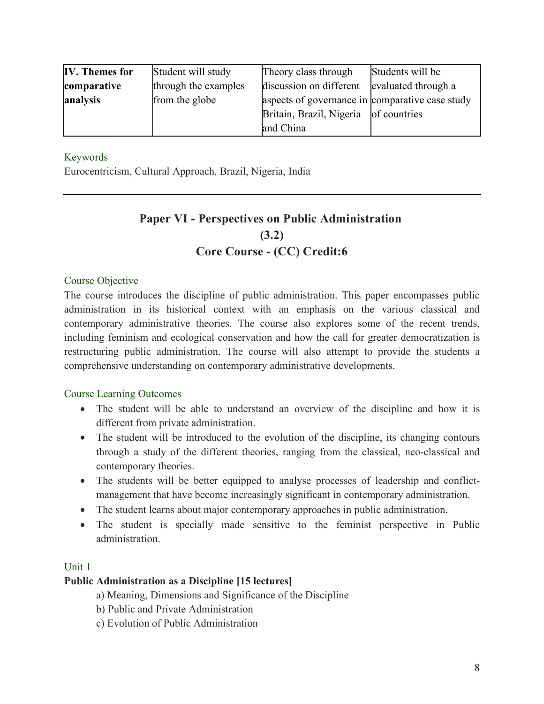| <b>IV.</b> Themes for | Student will study   | Theory class through                            | Students will be    |
|-----------------------|----------------------|-------------------------------------------------|---------------------|
| comparative           | through the examples | discussion on different                         | evaluated through a |
| analysis              | from the globe       | aspects of governance in comparative case study |                     |
|                       |                      | Britain, Brazil, Nigeria of countries           |                     |
|                       |                      | and China                                       |                     |

### Keywords

Eurocentricism, Cultural Approach, Brazil, Nigeria, India

# **Paper VI - Perspectives on Public Administration (3.2) Core Course - (CC) Credit:6**

#### Course Objective

The course introduces the discipline of public administration. This paper encompasses public administration in its historical context with an emphasis on the various classical and contemporary administrative theories. The course also explores some of the recent trends, including feminism and ecological conservation and how the call for greater democratization is restructuring public administration. The course will also attempt to provide the students a comprehensive understanding on contemporary administrative developments.

#### Course Learning Outcomes

- The student will be able to understand an overview of the discipline and how it is different from private administration.
- The student will be introduced to the evolution of the discipline, its changing contours through a study of the different theories, ranging from the classical, neo-classical and contemporary theories.
- The students will be better equipped to analyse processes of leadership and conflictmanagement that have become increasingly significant in contemporary administration.
- The student learns about major contemporary approaches in public administration.
- The student is specially made sensitive to the feminist perspective in Public administration.

#### Unit 1

#### **Public Administration as a Discipline [15 lectures]**

- a) Meaning, Dimensions and Significance of the Discipline
- b) Public and Private Administration
- c) Evolution of Public Administration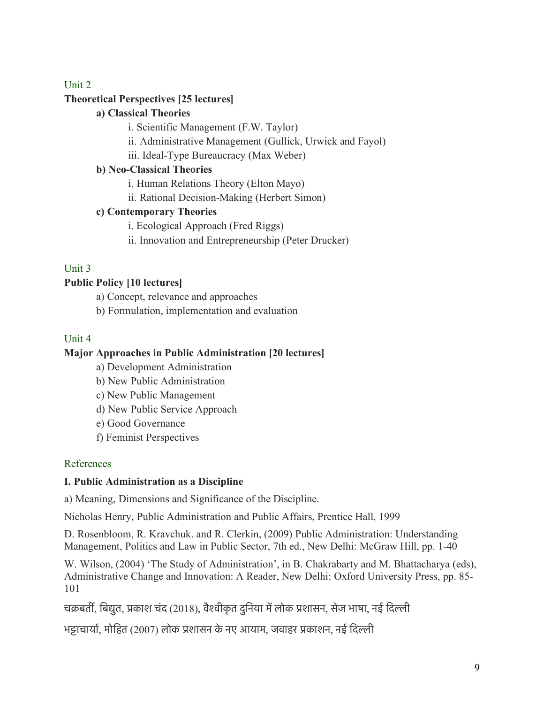# Unit 2

# **Theoretical Perspectives [25 lectures]**

# **a) Classical Theories**

i. Scientific Management (F.W. Taylor)

- ii. Administrative Management (Gullick, Urwick and Fayol)
- iii. Ideal-Type Bureaucracy (Max Weber)

# **b) Neo-Classical Theories**

i. Human Relations Theory (Elton Mayo)

ii. Rational Decision-Making (Herbert Simon)

# **c) Contemporary Theories**

i. Ecological Approach (Fred Riggs)

ii. Innovation and Entrepreneurship (Peter Drucker)

# Unit 3

# **Public Policy [10 lectures]**

a) Concept, relevance and approaches

b) Formulation, implementation and evaluation

# Unit 4

# **Major Approaches in Public Administration [20 lectures]**

a) Development Administration

b) New Public Administration

c) New Public Management

d) New Public Service Approach

e) Good Governance

f) Feminist Perspectives

# References

# **I. Public Administration as a Discipline**

a) Meaning, Dimensions and Significance of the Discipline.

Nicholas Henry, Public Administration and Public Affairs, Prentice Hall, 1999

D. Rosenbloom, R. Kravchuk. and R. Clerkin, (2009) Public Administration: Understanding Management, Politics and Law in Public Sector, 7th ed., New Delhi: McGraw Hill, pp. 1-40

W. Wilson, (2004) 'The Study of Administration', in B. Chakrabarty and M. Bhattacharya (eds), Administrative Change and Innovation: A Reader, New Delhi: Oxford University Press, pp. 85- 101

चक्रबर्ती, बिद्युत, प्रकाश चंद (2018), वैश्वीकृत दुनिया में लोक प्रशासन, सेज भाषा, नई दिल्ली

भट्टाचार्या, मोहित (2007) लोक प्रशासन के नए आयाम, जवाहर प्रकाशन, नई दिल्ली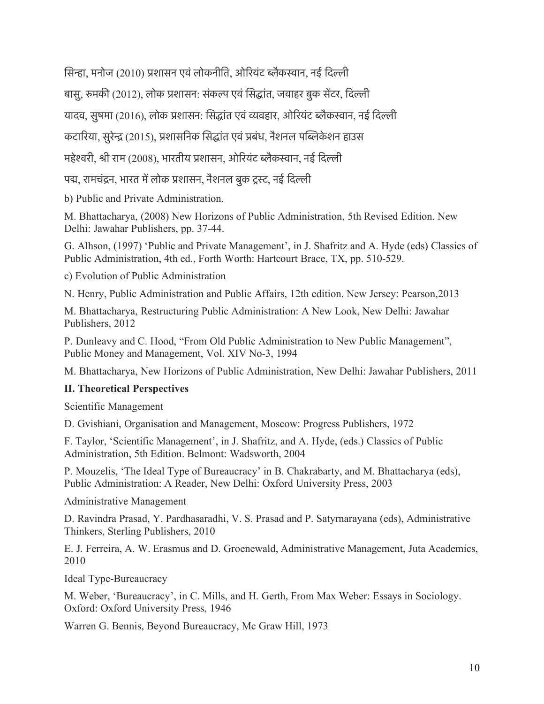सिन्हा, मनोज (2010) प्रशासन एवं लोकनीति, ओरियंट ब्लैकस्वान, नई दिल्ली

बासु, रुमकी (2012), लोक प्रशासन: संकल्प एवं सिद्धांत, जवाहर बुक सेंटर, दिल्ली

यादव, सुषमा (2016), लोक प्रशासन: सिद्धांत एवं व्यवहार, ओरियंट ब्लैकस्वान, नई दिल्ली

कटारिया, सुरेन्द्र (2015), प्रशासनिक सिद्धांत एवं प्रबंध, नैशनल पब्लिकेशन हाउस

महेश्वरी, श्री राम (2008), भारतीय प्रशासन, ओरियंट ब्लैकस्वान, नई दिल्ली

पद्म, रामचंद्रन, भारत में लोक प्रशासन, नैशनल बुक ट्रस्ट, नई दिल्ली

b) Public and Private Administration.

M. Bhattacharya, (2008) New Horizons of Public Administration, 5th Revised Edition. New Delhi: Jawahar Publishers, pp. 37-44.

G. Alhson, (1997) 'Public and Private Management', in J. Shafritz and A. Hyde (eds) Classics of Public Administration, 4th ed., Forth Worth: Hartcourt Brace, TX, pp. 510-529.

c) Evolution of Public Administration

N. Henry, Public Administration and Public Affairs, 12th edition. New Jersey: Pearson,2013

M. Bhattacharya, Restructuring Public Administration: A New Look, New Delhi: Jawahar Publishers, 2012

P. Dunleavy and C. Hood, "From Old Public Administration to New Public Management", Public Money and Management, Vol. XIV No-3, 1994

M. Bhattacharya, New Horizons of Public Administration, New Delhi: Jawahar Publishers, 2011

# **II. Theoretical Perspectives**

Scientific Management

D. Gvishiani, Organisation and Management, Moscow: Progress Publishers, 1972

F. Taylor, 'Scientific Management', in J. Shafritz, and A. Hyde, (eds.) Classics of Public Administration, 5th Edition. Belmont: Wadsworth, 2004

P. Mouzelis, 'The Ideal Type of Bureaucracy' in B. Chakrabarty, and M. Bhattacharya (eds), Public Administration: A Reader, New Delhi: Oxford University Press, 2003

Administrative Management

D. Ravindra Prasad, Y. Pardhasaradhi, V. S. Prasad and P. Satyrnarayana (eds), Administrative Thinkers, Sterling Publishers, 2010

E. J. Ferreira, A. W. Erasmus and D. Groenewald, Administrative Management, Juta Academics, 2010

Ideal Type-Bureaucracy

M. Weber, 'Bureaucracy', in C. Mills, and H. Gerth, From Max Weber: Essays in Sociology. Oxford: Oxford University Press, 1946

Warren G. Bennis, Beyond Bureaucracy, Mc Graw Hill, 1973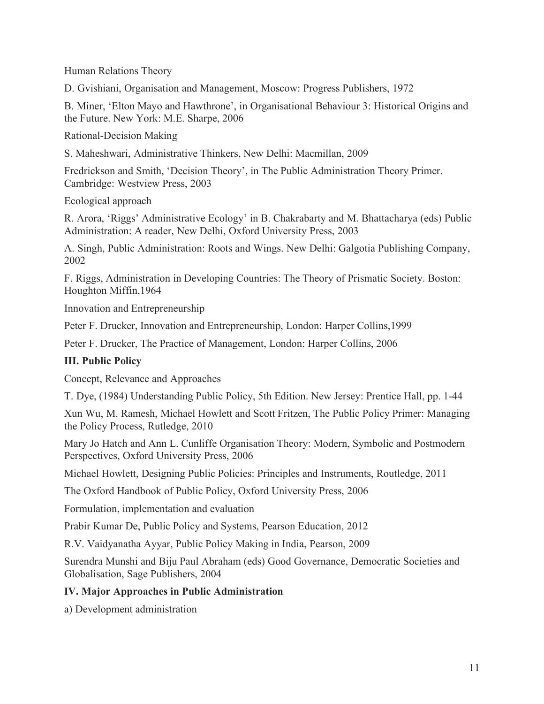Human Relations Theory

D. Gvishiani, Organisation and Management, Moscow: Progress Publishers, 1972

B. Miner, 'Elton Mayo and Hawthrone', in Organisational Behaviour 3: Historical Origins and the Future. New York: M.E. Sharpe, 2006

Rational-Decision Making

S. Maheshwari, Administrative Thinkers, New Delhi: Macmillan, 2009

Fredrickson and Smith, 'Decision Theory', in The Public Administration Theory Primer. Cambridge: Westview Press, 2003

Ecological approach

R. Arora, 'Riggs' Administrative Ecology' in B. Chakrabarty and M. Bhattacharya (eds) Public Administration: A reader, New Delhi, Oxford University Press, 2003

A. Singh, Public Administration: Roots and Wings. New Delhi: Galgotia Publishing Company, 2002

F. Riggs, Administration in Developing Countries: The Theory of Prismatic Society. Boston: Houghton Miffin,1964

Innovation and Entrepreneurship

Peter F. Drucker, Innovation and Entrepreneurship, London: Harper Collins,1999

Peter F. Drucker, The Practice of Management, London: Harper Collins, 2006

# **III. Public Policy**

Concept, Relevance and Approaches

T. Dye, (1984) Understanding Public Policy, 5th Edition. New Jersey: Prentice Hall, pp. 1-44

Xun Wu, M. Ramesh, Michael Howlett and Scott Fritzen, The Public Policy Primer: Managing the Policy Process, Rutledge, 2010

Mary Jo Hatch and Ann L. Cunliffe Organisation Theory: Modern, Symbolic and Postmodern Perspectives, Oxford University Press, 2006

Michael Howlett, Designing Public Policies: Principles and Instruments, Routledge, 2011

The Oxford Handbook of Public Policy, Oxford University Press, 2006

Formulation, implementation and evaluation

Prabir Kumar De, Public Policy and Systems, Pearson Education, 2012

R.V. Vaidyanatha Ayyar, Public Policy Making in India, Pearson, 2009

Surendra Munshi and Biju Paul Abraham (eds) Good Governance, Democratic Societies and Globalisation, Sage Publishers, 2004

# **IV. Major Approaches in Public Administration**

a) Development administration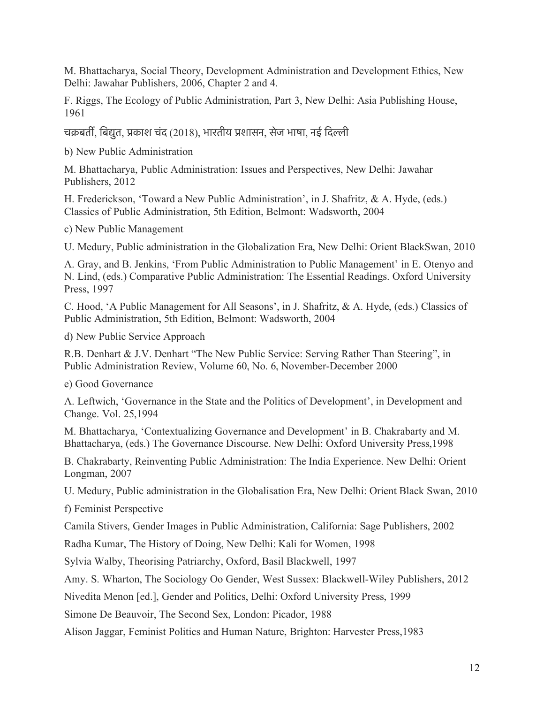M. Bhattacharya, Social Theory, Development Administration and Development Ethics, New Delhi: Jawahar Publishers, 2006, Chapter 2 and 4.

F. Riggs, The Ecology of Public Administration, Part 3, New Delhi: Asia Publishing House, 1961

चक्रबर्ती, बिद्युत, प्रकाश चंद (2018), भारतीय प्रशासन, सेज भाषा, नई दिल्ली

b) New Public Administration

M. Bhattacharya, Public Administration: Issues and Perspectives, New Delhi: Jawahar Publishers, 2012

H. Frederickson, 'Toward a New Public Administration', in J. Shafritz, & A. Hyde, (eds.) Classics of Public Administration, 5th Edition, Belmont: Wadsworth, 2004

c) New Public Management

U. Medury, Public administration in the Globalization Era, New Delhi: Orient BlackSwan, 2010

A. Gray, and B. Jenkins, 'From Public Administration to Public Management' in E. Otenyo and N. Lind, (eds.) Comparative Public Administration: The Essential Readings. Oxford University Press, 1997

C. Hood, 'A Public Management for All Seasons', in J. Shafritz, & A. Hyde, (eds.) Classics of Public Administration, 5th Edition, Belmont: Wadsworth, 2004

d) New Public Service Approach

R.B. Denhart & J.V. Denhart "The New Public Service: Serving Rather Than Steering", in Public Administration Review, Volume 60, No. 6, November-December 2000

e) Good Governance

A. Leftwich, 'Governance in the State and the Politics of Development', in Development and Change. Vol. 25,1994

M. Bhattacharya, 'Contextualizing Governance and Development' in B. Chakrabarty and M. Bhattacharya, (eds.) The Governance Discourse. New Delhi: Oxford University Press,1998

B. Chakrabarty, Reinventing Public Administration: The India Experience. New Delhi: Orient Longman, 2007

U. Medury, Public administration in the Globalisation Era, New Delhi: Orient Black Swan, 2010

f) Feminist Perspective

Camila Stivers, Gender Images in Public Administration, California: Sage Publishers, 2002

Radha Kumar, The History of Doing, New Delhi: Kali for Women, 1998

Sylvia Walby, Theorising Patriarchy, Oxford, Basil Blackwell, 1997

Amy. S. Wharton, The Sociology Oo Gender, West Sussex: Blackwell-Wiley Publishers, 2012

Nivedita Menon [ed.], Gender and Politics, Delhi: Oxford University Press, 1999

Simone De Beauvoir, The Second Sex, London: Picador, 1988

Alison Jaggar, Feminist Politics and Human Nature, Brighton: Harvester Press,1983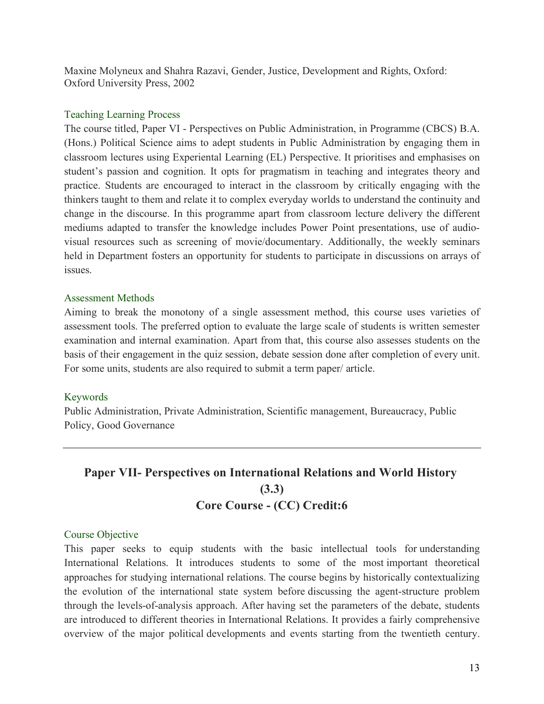Maxine Molyneux and Shahra Razavi, Gender, Justice, Development and Rights, Oxford: Oxford University Press, 2002

#### Teaching Learning Process

The course titled, Paper VI - Perspectives on Public Administration, in Programme (CBCS) B.A. (Hons.) Political Science aims to adept students in Public Administration by engaging them in classroom lectures using Experiental Learning (EL) Perspective. It prioritises and emphasises on student's passion and cognition. It opts for pragmatism in teaching and integrates theory and practice. Students are encouraged to interact in the classroom by critically engaging with the thinkers taught to them and relate it to complex everyday worlds to understand the continuity and change in the discourse. In this programme apart from classroom lecture delivery the different mediums adapted to transfer the knowledge includes Power Point presentations, use of audiovisual resources such as screening of movie/documentary. Additionally, the weekly seminars held in Department fosters an opportunity for students to participate in discussions on arrays of issues.

#### Assessment Methods

Aiming to break the monotony of a single assessment method, this course uses varieties of assessment tools. The preferred option to evaluate the large scale of students is written semester examination and internal examination. Apart from that, this course also assesses students on the basis of their engagement in the quiz session, debate session done after completion of every unit. For some units, students are also required to submit a term paper/ article.

#### Keywords

Public Administration, Private Administration, Scientific management, Bureaucracy, Public Policy, Good Governance

# **Paper VII- Perspectives on International Relations and World History (3.3) Core Course - (CC) Credit:6**

#### Course Objective

This paper seeks to equip students with the basic intellectual tools for understanding International Relations. It introduces students to some of the most important theoretical approaches for studying international relations. The course begins by historically contextualizing the evolution of the international state system before discussing the agent-structure problem through the levels-of-analysis approach. After having set the parameters of the debate, students are introduced to different theories in International Relations. It provides a fairly comprehensive overview of the major political developments and events starting from the twentieth century.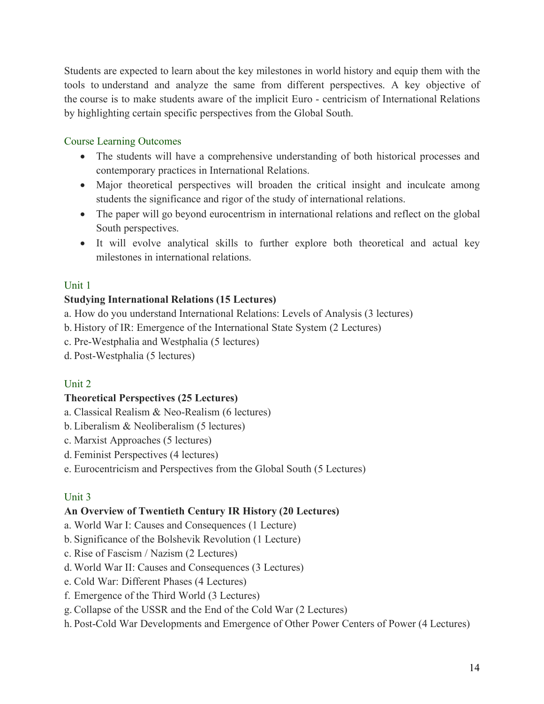Students are expected to learn about the key milestones in world history and equip them with the tools to understand and analyze the same from different perspectives. A key objective of the course is to make students aware of the implicit Euro - centricism of International Relations by highlighting certain specific perspectives from the Global South.

# Course Learning Outcomes

- The students will have a comprehensive understanding of both historical processes and contemporary practices in International Relations.
- Major theoretical perspectives will broaden the critical insight and inculcate among students the significance and rigor of the study of international relations.
- The paper will go beyond eurocentrism in international relations and reflect on the global South perspectives.
- It will evolve analytical skills to further explore both theoretical and actual key milestones in international relations.

# Unit 1

# **Studying International Relations (15 Lectures)**

- a. How do you understand International Relations: Levels of Analysis (3 lectures)
- b. History of IR: Emergence of the International State System (2 Lectures)
- c. Pre-Westphalia and Westphalia (5 lectures)
- d. Post-Westphalia (5 lectures)

# Unit 2

# **Theoretical Perspectives (25 Lectures)**

- a. Classical Realism & Neo-Realism (6 lectures)
- b. Liberalism & Neoliberalism (5 lectures)
- c. Marxist Approaches (5 lectures)
- d. Feminist Perspectives (4 lectures)
- e. Eurocentricism and Perspectives from the Global South (5 Lectures)

# Unit 3

# **An Overview of Twentieth Century IR History (20 Lectures)**

- a. World War I: Causes and Consequences (1 Lecture)
- b. Significance of the Bolshevik Revolution (1 Lecture)
- c. Rise of Fascism / Nazism (2 Lectures)
- d. World War II: Causes and Consequences (3 Lectures)
- e. Cold War: Different Phases (4 Lectures)
- f. Emergence of the Third World (3 Lectures)
- g. Collapse of the USSR and the End of the Cold War (2 Lectures)
- h. Post-Cold War Developments and Emergence of Other Power Centers of Power (4 Lectures)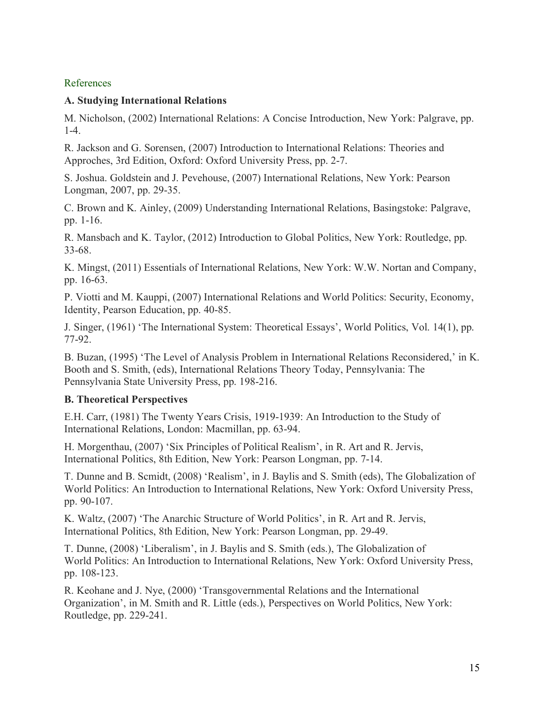# References

# **A. Studying International Relations**

M. Nicholson, (2002) International Relations: A Concise Introduction, New York: Palgrave, pp. 1-4.

R. Jackson and G. Sorensen, (2007) Introduction to International Relations: Theories and Approches, 3rd Edition, Oxford: Oxford University Press, pp. 2-7.

S. Joshua. Goldstein and J. Pevehouse, (2007) International Relations, New York: Pearson Longman, 2007, pp. 29-35.

C. Brown and K. Ainley, (2009) Understanding International Relations, Basingstoke: Palgrave, pp. 1-16.

R. Mansbach and K. Taylor, (2012) Introduction to Global Politics, New York: Routledge, pp. 33-68.

K. Mingst, (2011) Essentials of International Relations, New York: W.W. Nortan and Company, pp. 16-63.

P. Viotti and M. Kauppi, (2007) International Relations and World Politics: Security, Economy, Identity, Pearson Education, pp. 40-85.

J. Singer, (1961) 'The International System: Theoretical Essays', World Politics, Vol. 14(1), pp. 77-92.

B. Buzan, (1995) 'The Level of Analysis Problem in International Relations Reconsidered,' in K. Booth and S. Smith, (eds), International Relations Theory Today, Pennsylvania: The Pennsylvania State University Press, pp. 198-216.

# **B. Theoretical Perspectives**

E.H. Carr, (1981) The Twenty Years Crisis, 1919-1939: An Introduction to the Study of International Relations, London: Macmillan, pp. 63-94.

H. Morgenthau, (2007) 'Six Principles of Political Realism', in R. Art and R. Jervis, International Politics, 8th Edition, New York: Pearson Longman, pp. 7-14.

T. Dunne and B. Scmidt, (2008) 'Realism', in J. Baylis and S. Smith (eds), The Globalization of World Politics: An Introduction to International Relations, New York: Oxford University Press, pp. 90-107.

K. Waltz, (2007) 'The Anarchic Structure of World Politics', in R. Art and R. Jervis, International Politics, 8th Edition, New York: Pearson Longman, pp. 29-49.

T. Dunne, (2008) 'Liberalism', in J. Baylis and S. Smith (eds.), The Globalization of World Politics: An Introduction to International Relations, New York: Oxford University Press, pp. 108-123.

R. Keohane and J. Nye, (2000) 'Transgovernmental Relations and the International Organization', in M. Smith and R. Little (eds.), Perspectives on World Politics, New York: Routledge, pp. 229-241.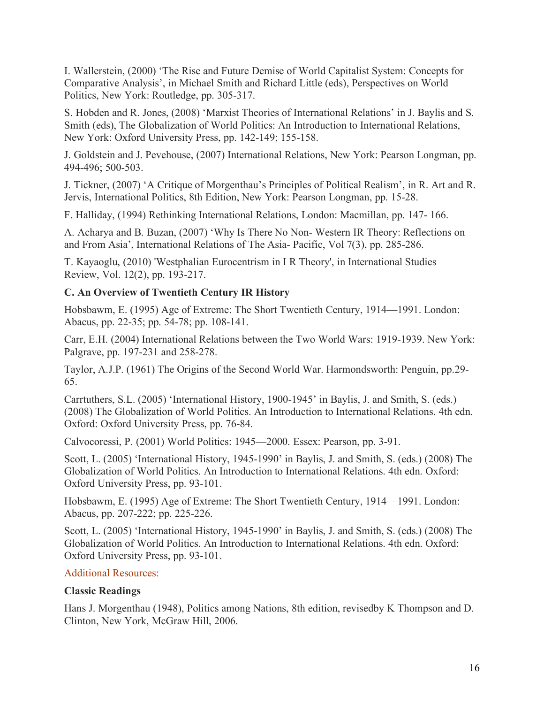I. Wallerstein, (2000) 'The Rise and Future Demise of World Capitalist System: Concepts for Comparative Analysis', in Michael Smith and Richard Little (eds), Perspectives on World Politics, New York: Routledge, pp. 305-317.

S. Hobden and R. Jones, (2008) 'Marxist Theories of International Relations' in J. Baylis and S. Smith (eds), The Globalization of World Politics: An Introduction to International Relations, New York: Oxford University Press, pp. 142-149; 155-158.

J. Goldstein and J. Pevehouse, (2007) International Relations, New York: Pearson Longman, pp. 494-496; 500-503.

J. Tickner, (2007) 'A Critique of Morgenthau's Principles of Political Realism', in R. Art and R. Jervis, International Politics, 8th Edition, New York: Pearson Longman, pp. 15-28.

F. Halliday, (1994) Rethinking International Relations, London: Macmillan, pp. 147- 166.

A. Acharya and B. Buzan, (2007) 'Why Is There No Non- Western IR Theory: Reflections on and From Asia', International Relations of The Asia- Pacific, Vol 7(3), pp. 285-286.

T. Kayaoglu, (2010) 'Westphalian Eurocentrism in I R Theory', in International Studies Review, Vol. 12(2), pp. 193-217.

# **C. An Overview of Twentieth Century IR History**

Hobsbawm, E. (1995) Age of Extreme: The Short Twentieth Century, 1914—1991. London: Abacus, pp. 22-35; pp. 54-78; pp. 108-141.

Carr, E.H. (2004) International Relations between the Two World Wars: 1919-1939. New York: Palgrave, pp. 197-231 and 258-278.

Taylor, A.J.P. (1961) The Origins of the Second World War. Harmondsworth: Penguin, pp.29- 65.

Carrtuthers, S.L. (2005) 'International History, 1900-1945' in Baylis, J. and Smith, S. (eds.) (2008) The Globalization of World Politics. An Introduction to International Relations. 4th edn. Oxford: Oxford University Press, pp. 76-84.

Calvocoressi, P. (2001) World Politics: 1945—2000. Essex: Pearson, pp. 3-91.

Scott, L. (2005) 'International History, 1945-1990' in Baylis, J. and Smith, S. (eds.) (2008) The Globalization of World Politics. An Introduction to International Relations. 4th edn. Oxford: Oxford University Press, pp. 93-101.

Hobsbawm, E. (1995) Age of Extreme: The Short Twentieth Century, 1914—1991. London: Abacus, pp. 207-222; pp. 225-226.

Scott, L. (2005) 'International History, 1945-1990' in Baylis, J. and Smith, S. (eds.) (2008) The Globalization of World Politics. An Introduction to International Relations. 4th edn. Oxford: Oxford University Press, pp. 93-101.

# Additional Resources:

# **Classic Readings**

Hans J. Morgenthau (1948), Politics among Nations, 8th edition, revisedby K Thompson and D. Clinton, New York, McGraw Hill, 2006.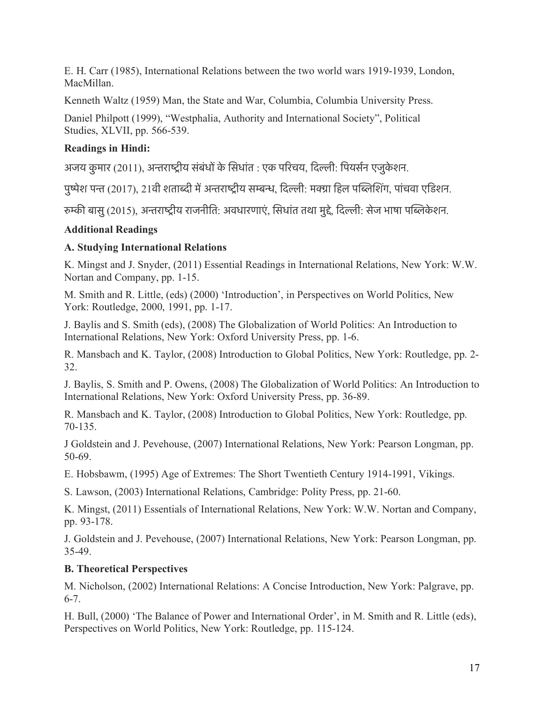E. H. Carr (1985), International Relations between the two world wars 1919-1939, London, MacMillan.

Kenneth Waltz (1959) Man, the State and War, Columbia, Columbia University Press.

Daniel Philpott (1999), "Westphalia, Authority and International Society", Political Studies, XLVII, pp. 566-539.

# **Readings in Hindi:**

अजय कुमार (2011), अन्तराष्ट्रीय संबंधों के सिधांत : एक परिचय, दिल्ली: पियर्सन एजुकेशन.

पुष्पेश पन्त (2017), 21वी शताब्दी में अन्तराष्ट्रीय सम्बन्ध, दिल्ली: मक्ग्रा हिल पब्लिशिंग, पांचवा एडिशन.

रुम्की बासु (2015), अन्तराष्ट्रीय राजनीति: अवधारणाएं, सिधांत तथा मुद्दे, दिल्ली: सेज भाषा पब्लिकेशन.

# **Additional Readings**

# **A. Studying International Relations**

K. Mingst and J. Snyder, (2011) Essential Readings in International Relations, New York: W.W. Nortan and Company, pp. 1-15.

M. Smith and R. Little, (eds) (2000) 'Introduction', in Perspectives on World Politics, New York: Routledge, 2000, 1991, pp. 1-17.

J. Baylis and S. Smith (eds), (2008) The Globalization of World Politics: An Introduction to International Relations, New York: Oxford University Press, pp. 1-6.

R. Mansbach and K. Taylor, (2008) Introduction to Global Politics, New York: Routledge, pp. 2- 32.

J. Baylis, S. Smith and P. Owens, (2008) The Globalization of World Politics: An Introduction to International Relations, New York: Oxford University Press, pp. 36-89.

R. Mansbach and K. Taylor, (2008) Introduction to Global Politics, New York: Routledge, pp. 70-135.

J Goldstein and J. Pevehouse, (2007) International Relations, New York: Pearson Longman, pp. 50-69.

E. Hobsbawm, (1995) Age of Extremes: The Short Twentieth Century 1914-1991, Vikings.

S. Lawson, (2003) International Relations, Cambridge: Polity Press, pp. 21-60.

K. Mingst, (2011) Essentials of International Relations, New York: W.W. Nortan and Company, pp. 93-178.

J. Goldstein and J. Pevehouse, (2007) International Relations, New York: Pearson Longman, pp. 35-49.

# **B. Theoretical Perspectives**

M. Nicholson, (2002) International Relations: A Concise Introduction, New York: Palgrave, pp. 6-7.

H. Bull, (2000) 'The Balance of Power and International Order', in M. Smith and R. Little (eds), Perspectives on World Politics, New York: Routledge, pp. 115-124.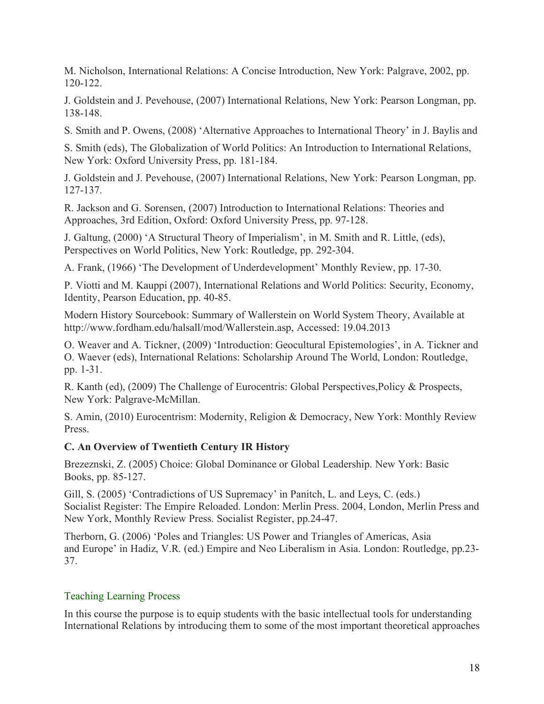M. Nicholson, International Relations: A Concise Introduction, New York: Palgrave, 2002, pp. 120-122.

J. Goldstein and J. Pevehouse, (2007) International Relations, New York: Pearson Longman, pp. 138-148.

S. Smith and P. Owens, (2008) 'Alternative Approaches to International Theory' in J. Baylis and

S. Smith (eds), The Globalization of World Politics: An Introduction to International Relations, New York: Oxford University Press, pp. 181-184.

J. Goldstein and J. Pevehouse, (2007) International Relations, New York: Pearson Longman, pp. 127-137.

R. Jackson and G. Sorensen, (2007) Introduction to International Relations: Theories and Approaches, 3rd Edition, Oxford: Oxford University Press, pp. 97-128.

J. Galtung, (2000) 'A Structural Theory of Imperialism', in M. Smith and R. Little, (eds), Perspectives on World Politics, New York: Routledge, pp. 292-304.

A. Frank, (1966) 'The Development of Underdevelopment' Monthly Review, pp. 17-30.

P. Viotti and M. Kauppi (2007), International Relations and World Politics: Security, Economy, Identity, Pearson Education, pp. 40-85.

Modern History Sourcebook: Summary of Wallerstein on World System Theory, Available at http://www.fordham.edu/halsall/mod/Wallerstein.asp, Accessed: 19.04.2013

O. Weaver and A. Tickner, (2009) 'Introduction: Geocultural Epistemologies', in A. Tickner and O. Waever (eds), International Relations: Scholarship Around The World, London: Routledge, pp. 1-31.

R. Kanth (ed), (2009) The Challenge of Eurocentris: Global Perspectives,Policy & Prospects, New York: Palgrave-McMillan.

S. Amin, (2010) Eurocentrism: Modernity, Religion & Democracy, New York: Monthly Review Press.

# **C. An Overview of Twentieth Century IR History**

Brezeznski, Z. (2005) Choice: Global Dominance or Global Leadership. New York: Basic Books, pp. 85-127.

Gill, S. (2005) 'Contradictions of US Supremacy' in Panitch, L. and Leys, C. (eds.) Socialist Register: The Empire Reloaded. London: Merlin Press. 2004, London, Merlin Press and New York, Monthly Review Press. Socialist Register, pp.24-47.

Therborn, G. (2006) 'Poles and Triangles: US Power and Triangles of Americas, Asia and Europe' in Hadiz, V.R. (ed.) Empire and Neo Liberalism in Asia. London: Routledge, pp.23- 37.

# Teaching Learning Process

In this course the purpose is to equip students with the basic intellectual tools for understanding International Relations by introducing them to some of the most important theoretical approaches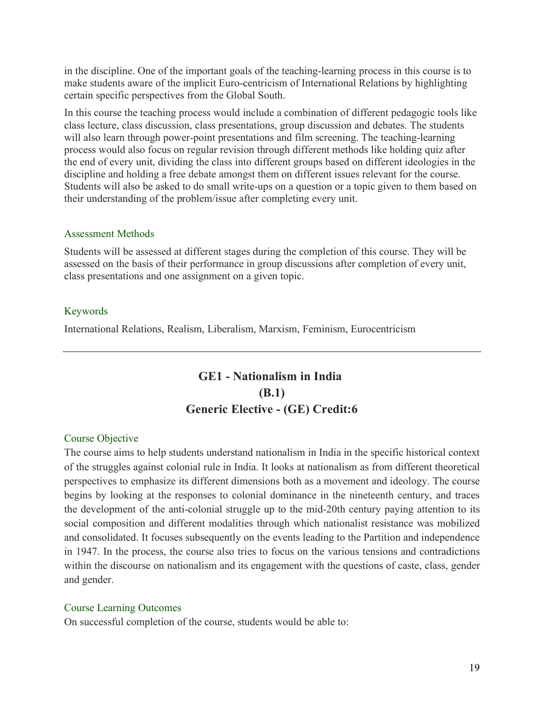in the discipline. One of the important goals of the teaching-learning process in this course is to make students aware of the implicit Euro-centricism of International Relations by highlighting certain specific perspectives from the Global South.

In this course the teaching process would include a combination of different pedagogic tools like class lecture, class discussion, class presentations, group discussion and debates. The students will also learn through power-point presentations and film screening. The teaching-learning process would also focus on regular revision through different methods like holding quiz after the end of every unit, dividing the class into different groups based on different ideologies in the discipline and holding a free debate amongst them on different issues relevant for the course. Students will also be asked to do small write-ups on a question or a topic given to them based on their understanding of the problem/issue after completing every unit.

#### Assessment Methods

Students will be assessed at different stages during the completion of this course. They will be assessed on the basis of their performance in group discussions after completion of every unit, class presentations and one assignment on a given topic.

#### Keywords

International Relations, Realism, Liberalism, Marxism, Feminism, Eurocentricism

# **GE1 - Nationalism in India (B.1) Generic Elective - (GE) Credit:6**

#### Course Objective

The course aims to help students understand nationalism in India in the specific historical context of the struggles against colonial rule in India. It looks at nationalism as from different theoretical perspectives to emphasize its different dimensions both as a movement and ideology. The course begins by looking at the responses to colonial dominance in the nineteenth century, and traces the development of the anti-colonial struggle up to the mid-20th century paying attention to its social composition and different modalities through which nationalist resistance was mobilized and consolidated. It focuses subsequently on the events leading to the Partition and independence in 1947. In the process, the course also tries to focus on the various tensions and contradictions within the discourse on nationalism and its engagement with the questions of caste, class, gender and gender.

#### Course Learning Outcomes

On successful completion of the course, students would be able to: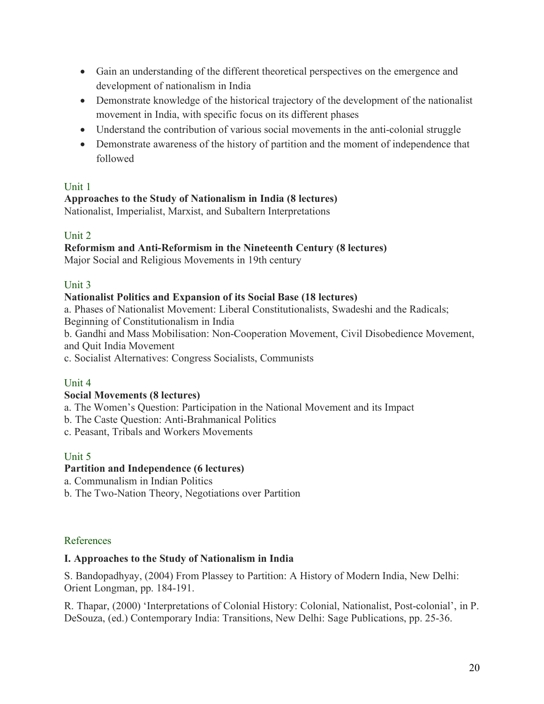- Gain an understanding of the different theoretical perspectives on the emergence and development of nationalism in India
- Demonstrate knowledge of the historical trajectory of the development of the nationalist movement in India, with specific focus on its different phases
- Understand the contribution of various social movements in the anti-colonial struggle
- Demonstrate awareness of the history of partition and the moment of independence that followed

# Unit 1

# **Approaches to the Study of Nationalism in India (8 lectures)**

Nationalist, Imperialist, Marxist, and Subaltern Interpretations

# Unit 2

# **Reformism and Anti-Reformism in the Nineteenth Century (8 lectures)**

Major Social and Religious Movements in 19th century

# Unit 3

# **Nationalist Politics and Expansion of its Social Base (18 lectures)**

a. Phases of Nationalist Movement: Liberal Constitutionalists, Swadeshi and the Radicals;

Beginning of Constitutionalism in India

b. Gandhi and Mass Mobilisation: Non-Cooperation Movement, Civil Disobedience Movement, and Quit India Movement

c. Socialist Alternatives: Congress Socialists, Communists

# Unit 4

# **Social Movements (8 lectures)**

a. The Women's Question: Participation in the National Movement and its Impact

b. The Caste Question: Anti-Brahmanical Politics

c. Peasant, Tribals and Workers Movements

# Unit 5

# **Partition and Independence (6 lectures)**

a. Communalism in Indian Politics

b. The Two-Nation Theory, Negotiations over Partition

# References

# **I. Approaches to the Study of Nationalism in India**

S. Bandopadhyay, (2004) From Plassey to Partition: A History of Modern India, New Delhi: Orient Longman, pp. 184-191.

R. Thapar, (2000) 'Interpretations of Colonial History: Colonial, Nationalist, Post-colonial', in P. DeSouza, (ed.) Contemporary India: Transitions, New Delhi: Sage Publications, pp. 25-36.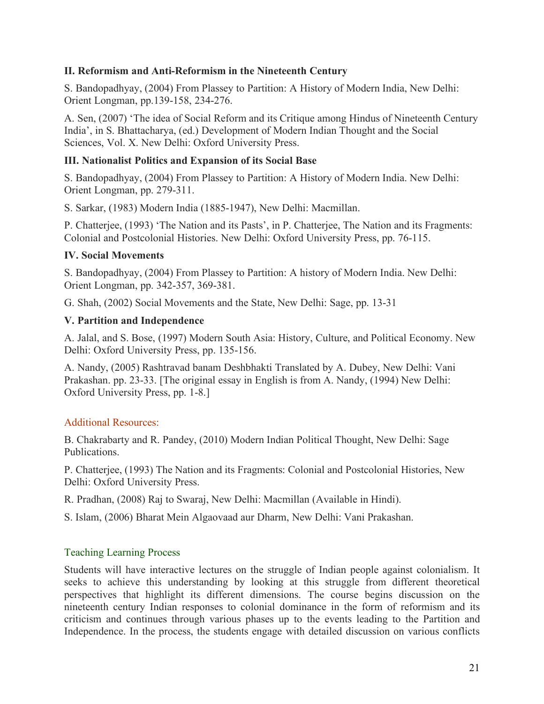# **II. Reformism and Anti-Reformism in the Nineteenth Century**

S. Bandopadhyay, (2004) From Plassey to Partition: A History of Modern India, New Delhi: Orient Longman, pp.139-158, 234-276.

A. Sen, (2007) 'The idea of Social Reform and its Critique among Hindus of Nineteenth Century India', in S. Bhattacharya, (ed.) Development of Modern Indian Thought and the Social Sciences, Vol. X. New Delhi: Oxford University Press.

### **III. Nationalist Politics and Expansion of its Social Base**

S. Bandopadhyay, (2004) From Plassey to Partition: A History of Modern India. New Delhi: Orient Longman, pp. 279-311.

S. Sarkar, (1983) Modern India (1885-1947), New Delhi: Macmillan.

P. Chatterjee, (1993) 'The Nation and its Pasts', in P. Chatterjee, The Nation and its Fragments: Colonial and Postcolonial Histories. New Delhi: Oxford University Press, pp. 76-115.

#### **IV. Social Movements**

S. Bandopadhyay, (2004) From Plassey to Partition: A history of Modern India. New Delhi: Orient Longman, pp. 342-357, 369-381.

G. Shah, (2002) Social Movements and the State, New Delhi: Sage, pp. 13-31

#### **V. Partition and Independence**

A. Jalal, and S. Bose, (1997) Modern South Asia: History, Culture, and Political Economy. New Delhi: Oxford University Press, pp. 135-156.

A. Nandy, (2005) Rashtravad banam Deshbhakti Translated by A. Dubey, New Delhi: Vani Prakashan. pp. 23-33. [The original essay in English is from A. Nandy, (1994) New Delhi: Oxford University Press, pp. 1-8.]

# Additional Resources:

B. Chakrabarty and R. Pandey, (2010) Modern Indian Political Thought, New Delhi: Sage Publications.

P. Chatterjee, (1993) The Nation and its Fragments: Colonial and Postcolonial Histories, New Delhi: Oxford University Press.

R. Pradhan, (2008) Raj to Swaraj, New Delhi: Macmillan (Available in Hindi).

S. Islam, (2006) Bharat Mein Algaovaad aur Dharm, New Delhi: Vani Prakashan.

# Teaching Learning Process

Students will have interactive lectures on the struggle of Indian people against colonialism. It seeks to achieve this understanding by looking at this struggle from different theoretical perspectives that highlight its different dimensions. The course begins discussion on the nineteenth century Indian responses to colonial dominance in the form of reformism and its criticism and continues through various phases up to the events leading to the Partition and Independence. In the process, the students engage with detailed discussion on various conflicts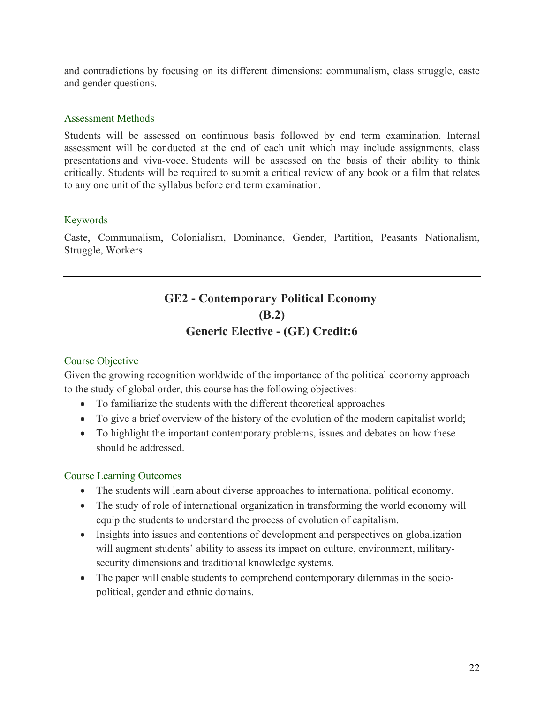and contradictions by focusing on its different dimensions: communalism, class struggle, caste and gender questions.

#### Assessment Methods

Students will be assessed on continuous basis followed by end term examination. Internal assessment will be conducted at the end of each unit which may include assignments, class presentations and viva-voce. Students will be assessed on the basis of their ability to think critically. Students will be required to submit a critical review of any book or a film that relates to any one unit of the syllabus before end term examination.

#### Keywords

Caste, Communalism, Colonialism, Dominance, Gender, Partition, Peasants Nationalism, Struggle, Workers

# **GE2 - Contemporary Political Economy (B.2) Generic Elective - (GE) Credit:6**

# Course Objective

Given the growing recognition worldwide of the importance of the political economy approach to the study of global order, this course has the following objectives:

- To familiarize the students with the different theoretical approaches
- To give a brief overview of the history of the evolution of the modern capitalist world;
- To highlight the important contemporary problems, issues and debates on how these should be addressed.

#### Course Learning Outcomes

- The students will learn about diverse approaches to international political economy.
- The study of role of international organization in transforming the world economy will equip the students to understand the process of evolution of capitalism.
- Insights into issues and contentions of development and perspectives on globalization will augment students' ability to assess its impact on culture, environment, militarysecurity dimensions and traditional knowledge systems.
- The paper will enable students to comprehend contemporary dilemmas in the sociopolitical, gender and ethnic domains.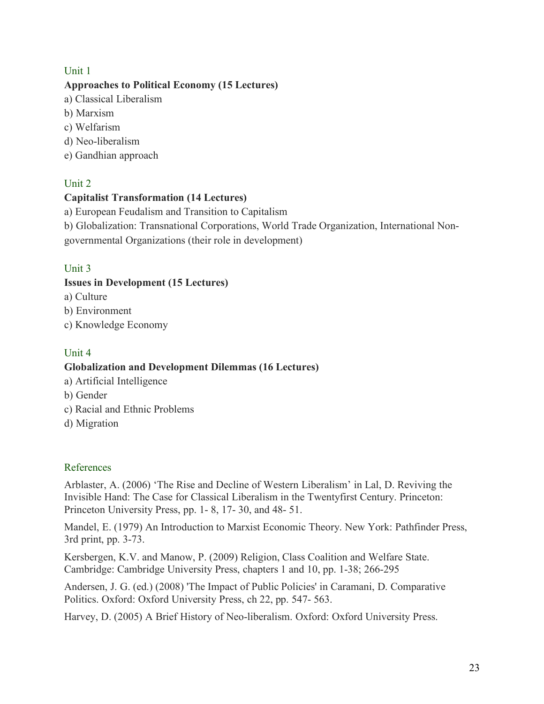# Unit 1

# **Approaches to Political Economy (15 Lectures)**

- a) Classical Liberalism
- b) Marxism
- c) Welfarism
- d) Neo-liberalism
- e) Gandhian approach

# Unit 2

# **Capitalist Transformation (14 Lectures)**

a) European Feudalism and Transition to Capitalism

b) Globalization: Transnational Corporations, World Trade Organization, International Nongovernmental Organizations (their role in development)

# Unit 3

# **Issues in Development (15 Lectures)**

- a) Culture
- b) Environment
- c) Knowledge Economy

# Unit 4

# **Globalization and Development Dilemmas (16 Lectures)**

- a) Artificial Intelligence
- b) Gender
- c) Racial and Ethnic Problems
- d) Migration

# References

Arblaster, A. (2006) 'The Rise and Decline of Western Liberalism' in Lal, D. Reviving the Invisible Hand: The Case for Classical Liberalism in the Twentyfirst Century. Princeton: Princeton University Press, pp. 1- 8, 17- 30, and 48- 51.

Mandel, E. (1979) An Introduction to Marxist Economic Theory. New York: Pathfinder Press, 3rd print, pp. 3-73.

Kersbergen, K.V. and Manow, P. (2009) Religion, Class Coalition and Welfare State. Cambridge: Cambridge University Press, chapters 1 and 10, pp. 1-38; 266-295

Andersen, J. G. (ed.) (2008) 'The Impact of Public Policies' in Caramani, D. Comparative Politics. Oxford: Oxford University Press, ch 22, pp. 547- 563.

Harvey, D. (2005) A Brief History of Neo-liberalism. Oxford: Oxford University Press.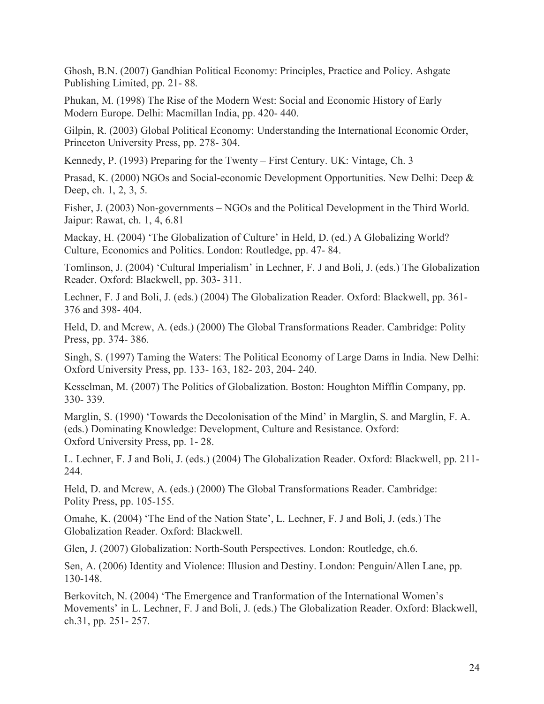Ghosh, B.N. (2007) Gandhian Political Economy: Principles, Practice and Policy. Ashgate Publishing Limited, pp. 21- 88.

Phukan, M. (1998) The Rise of the Modern West: Social and Economic History of Early Modern Europe. Delhi: Macmillan India, pp. 420- 440.

Gilpin, R. (2003) Global Political Economy: Understanding the International Economic Order, Princeton University Press, pp. 278- 304.

Kennedy, P. (1993) Preparing for the Twenty – First Century. UK: Vintage, Ch. 3

Prasad, K. (2000) NGOs and Social-economic Development Opportunities. New Delhi: Deep & Deep, ch. 1, 2, 3, 5.

Fisher, J. (2003) Non-governments – NGOs and the Political Development in the Third World. Jaipur: Rawat, ch. 1, 4, 6.81

Mackay, H. (2004) 'The Globalization of Culture' in Held, D. (ed.) A Globalizing World? Culture, Economics and Politics. London: Routledge, pp. 47- 84.

Tomlinson, J. (2004) 'Cultural Imperialism' in Lechner, F. J and Boli, J. (eds.) The Globalization Reader. Oxford: Blackwell, pp. 303- 311.

Lechner, F. J and Boli, J. (eds.) (2004) The Globalization Reader. Oxford: Blackwell, pp. 361- 376 and 398- 404.

Held, D. and Mcrew, A. (eds.) (2000) The Global Transformations Reader. Cambridge: Polity Press, pp. 374- 386.

Singh, S. (1997) Taming the Waters: The Political Economy of Large Dams in India. New Delhi: Oxford University Press, pp. 133- 163, 182- 203, 204- 240.

Kesselman, M. (2007) The Politics of Globalization. Boston: Houghton Mifflin Company, pp. 330- 339.

Marglin, S. (1990) 'Towards the Decolonisation of the Mind' in Marglin, S. and Marglin, F. A. (eds.) Dominating Knowledge: Development, Culture and Resistance. Oxford: Oxford University Press, pp. 1- 28.

L. Lechner, F. J and Boli, J. (eds.) (2004) The Globalization Reader. Oxford: Blackwell, pp. 211- 244.

Held, D. and Mcrew, A. (eds.) (2000) The Global Transformations Reader. Cambridge: Polity Press, pp. 105-155.

Omahe, K. (2004) 'The End of the Nation State', L. Lechner, F. J and Boli, J. (eds.) The Globalization Reader. Oxford: Blackwell.

Glen, J. (2007) Globalization: North-South Perspectives. London: Routledge, ch.6.

Sen, A. (2006) Identity and Violence: Illusion and Destiny. London: Penguin/Allen Lane, pp. 130-148.

Berkovitch, N. (2004) 'The Emergence and Tranformation of the International Women's Movements' in L. Lechner, F. J and Boli, J. (eds.) The Globalization Reader. Oxford: Blackwell, ch.31, pp. 251- 257.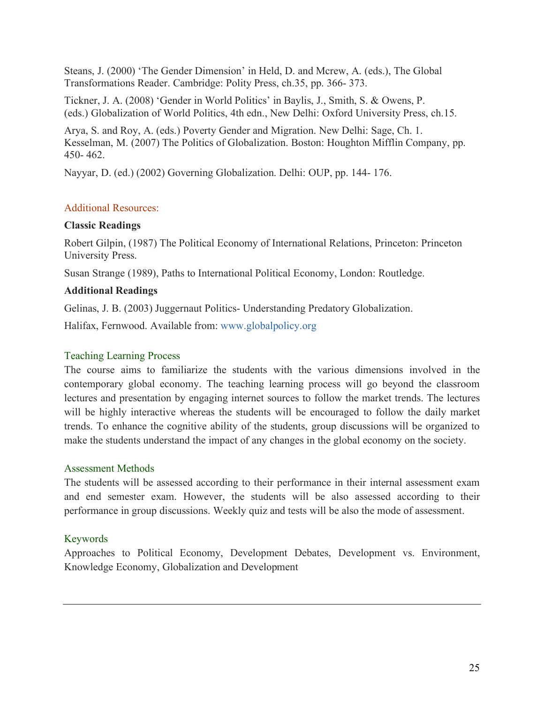Steans, J. (2000) 'The Gender Dimension' in Held, D. and Mcrew, A. (eds.), The Global Transformations Reader. Cambridge: Polity Press, ch.35, pp. 366- 373.

Tickner, J. A. (2008) 'Gender in World Politics' in Baylis, J., Smith, S. & Owens, P. (eds.) Globalization of World Politics, 4th edn., New Delhi: Oxford University Press, ch.15.

Arya, S. and Roy, A. (eds.) Poverty Gender and Migration. New Delhi: Sage, Ch. 1. Kesselman, M. (2007) The Politics of Globalization. Boston: Houghton Mifflin Company, pp. 450- 462.

Nayyar, D. (ed.) (2002) Governing Globalization. Delhi: OUP, pp. 144- 176.

# Additional Resources:

# **Classic Readings**

Robert Gilpin, (1987) The Political Economy of International Relations, Princeton: Princeton University Press.

Susan Strange (1989), Paths to International Political Economy, London: Routledge.

# **Additional Readings**

Gelinas, J. B. (2003) Juggernaut Politics- Understanding Predatory Globalization.

Halifax, Fernwood. Available from: www.globalpolicy.org

# Teaching Learning Process

The course aims to familiarize the students with the various dimensions involved in the contemporary global economy. The teaching learning process will go beyond the classroom lectures and presentation by engaging internet sources to follow the market trends. The lectures will be highly interactive whereas the students will be encouraged to follow the daily market trends. To enhance the cognitive ability of the students, group discussions will be organized to make the students understand the impact of any changes in the global economy on the society.

# Assessment Methods

The students will be assessed according to their performance in their internal assessment exam and end semester exam. However, the students will be also assessed according to their performance in group discussions. Weekly quiz and tests will be also the mode of assessment.

# Keywords

Approaches to Political Economy, Development Debates, Development vs. Environment, Knowledge Economy, Globalization and Development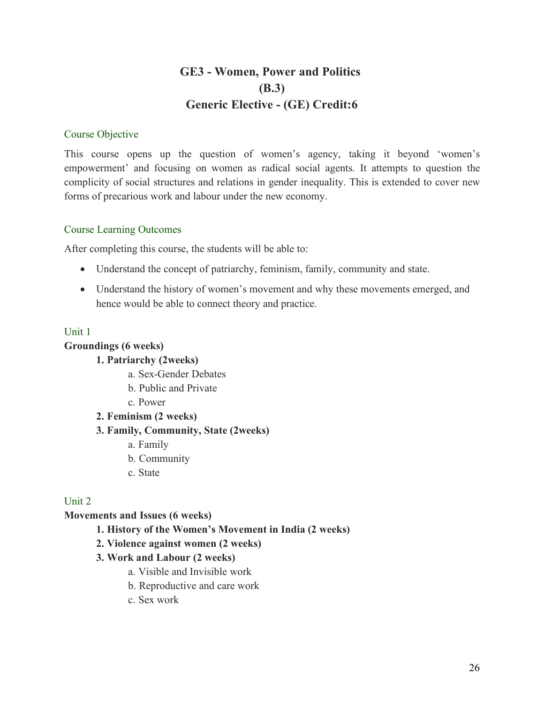# **GE3 - Women, Power and Politics (B.3) Generic Elective - (GE) Credit:6**

# Course Objective

This course opens up the question of women's agency, taking it beyond 'women's empowerment' and focusing on women as radical social agents. It attempts to question the complicity of social structures and relations in gender inequality. This is extended to cover new forms of precarious work and labour under the new economy.

# Course Learning Outcomes

After completing this course, the students will be able to:

- Understand the concept of patriarchy, feminism, family, community and state.
- Understand the history of women's movement and why these movements emerged, and hence would be able to connect theory and practice.

# Unit 1

# **Groundings (6 weeks)**

# **1. Patriarchy (2weeks)**

- a. Sex-Gender Debates
- b. Public and Private
- c. Power

# **2. Feminism (2 weeks)**

# **3. Family, Community, State (2weeks)**

- a. Family
- b. Community
- c. State

# Unit 2

# **Movements and Issues (6 weeks)**

**1. History of the Women's Movement in India (2 weeks)**

# **2. Violence against women (2 weeks)**

# **3. Work and Labour (2 weeks)**

- a. Visible and Invisible work
- b. Reproductive and care work
- c. Sex work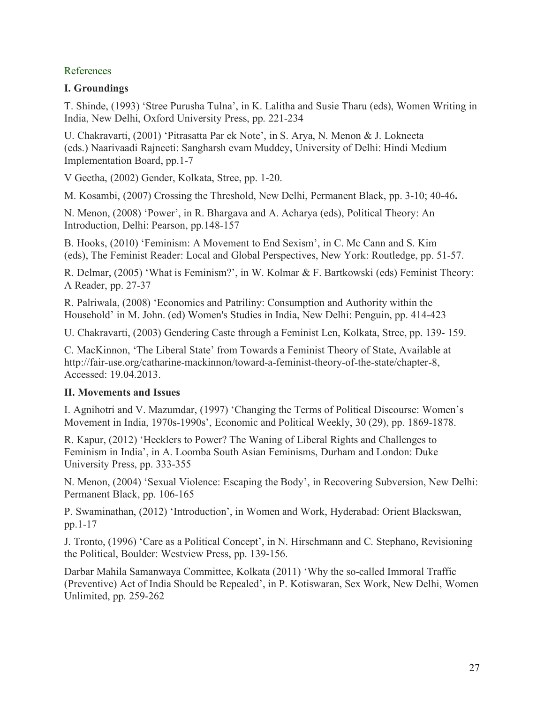# References

# **I. Groundings**

T. Shinde, (1993) 'Stree Purusha Tulna', in K. Lalitha and Susie Tharu (eds), Women Writing in India, New Delhi, Oxford University Press, pp. 221-234

U. Chakravarti, (2001) 'Pitrasatta Par ek Note', in S. Arya, N. Menon & J. Lokneeta (eds.) Naarivaadi Rajneeti: Sangharsh evam Muddey, University of Delhi: Hindi Medium Implementation Board, pp.1-7

V Geetha, (2002) Gender, Kolkata, Stree, pp. 1-20.

M. Kosambi, (2007) Crossing the Threshold, New Delhi, Permanent Black, pp. 3-10; 40-46**.**

N. Menon, (2008) 'Power', in R. Bhargava and A. Acharya (eds), Political Theory: An Introduction, Delhi: Pearson, pp.148-157

B. Hooks, (2010) 'Feminism: A Movement to End Sexism', in C. Mc Cann and S. Kim (eds), The Feminist Reader: Local and Global Perspectives, New York: Routledge, pp. 51-57.

R. Delmar, (2005) 'What is Feminism?', in W. Kolmar & F. Bartkowski (eds) Feminist Theory: A Reader, pp. 27-37

R. Palriwala, (2008) 'Economics and Patriliny: Consumption and Authority within the Household' in M. John. (ed) Women's Studies in India, New Delhi: Penguin, pp. 414-423

U. Chakravarti, (2003) Gendering Caste through a Feminist Len, Kolkata, Stree, pp. 139- 159.

C. MacKinnon, 'The Liberal State' from Towards a Feminist Theory of State, Available at http://fair-use.org/catharine-mackinnon/toward-a-feminist-theory-of-the-state/chapter-8, Accessed: 19.04.2013.

# **II. Movements and Issues**

I. Agnihotri and V. Mazumdar, (1997) 'Changing the Terms of Political Discourse: Women's Movement in India, 1970s-1990s', Economic and Political Weekly, 30 (29), pp. 1869-1878.

R. Kapur, (2012) 'Hecklers to Power? The Waning of Liberal Rights and Challenges to Feminism in India', in A. Loomba South Asian Feminisms, Durham and London: Duke University Press, pp. 333-355

N. Menon, (2004) 'Sexual Violence: Escaping the Body', in Recovering Subversion, New Delhi: Permanent Black, pp. 106-165

P. Swaminathan, (2012) 'Introduction', in Women and Work, Hyderabad: Orient Blackswan, pp.1-17

J. Tronto, (1996) 'Care as a Political Concept', in N. Hirschmann and C. Stephano, Revisioning the Political, Boulder: Westview Press, pp. 139-156.

Darbar Mahila Samanwaya Committee, Kolkata (2011) 'Why the so-called Immoral Traffic (Preventive) Act of India Should be Repealed', in P. Kotiswaran, Sex Work, New Delhi, Women Unlimited, pp. 259-262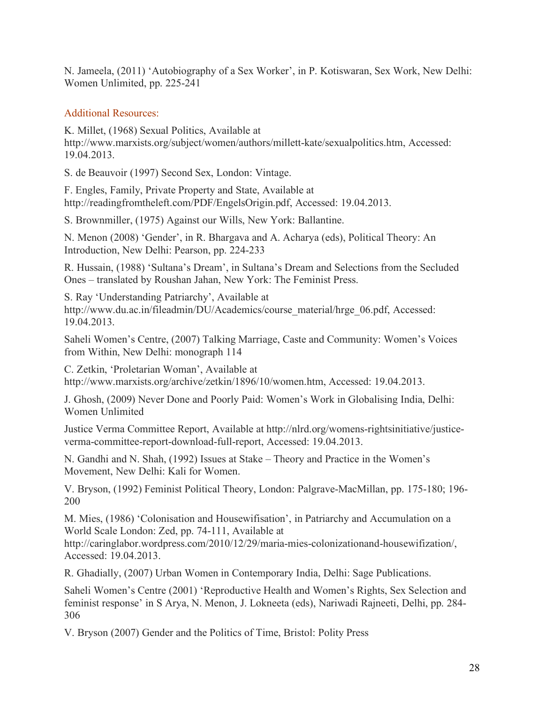N. Jameela, (2011) 'Autobiography of a Sex Worker', in P. Kotiswaran, Sex Work, New Delhi: Women Unlimited, pp. 225-241

# Additional Resources:

K. Millet, (1968) Sexual Politics, Available at http://www.marxists.org/subject/women/authors/millett-kate/sexualpolitics.htm, Accessed: 19.04.2013.

S. de Beauvoir (1997) Second Sex, London: Vintage.

F. Engles, Family, Private Property and State, Available at http://readingfromtheleft.com/PDF/EngelsOrigin.pdf, Accessed: 19.04.2013.

S. Brownmiller, (1975) Against our Wills, New York: Ballantine.

N. Menon (2008) 'Gender', in R. Bhargava and A. Acharya (eds), Political Theory: An Introduction, New Delhi: Pearson, pp. 224-233

R. Hussain, (1988) 'Sultana's Dream', in Sultana's Dream and Selections from the Secluded Ones – translated by Roushan Jahan, New York: The Feminist Press.

S. Ray 'Understanding Patriarchy', Available at http://www.du.ac.in/fileadmin/DU/Academics/course\_material/hrge\_06.pdf, Accessed: 19.04.2013.

Saheli Women's Centre, (2007) Talking Marriage, Caste and Community: Women's Voices from Within, New Delhi: monograph 114

C. Zetkin, 'Proletarian Woman', Available at http://www.marxists.org/archive/zetkin/1896/10/women.htm, Accessed: 19.04.2013.

J. Ghosh, (2009) Never Done and Poorly Paid: Women's Work in Globalising India, Delhi: Women Unlimited

Justice Verma Committee Report, Available at http://nlrd.org/womens-rightsinitiative/justiceverma-committee-report-download-full-report, Accessed: 19.04.2013.

N. Gandhi and N. Shah, (1992) Issues at Stake – Theory and Practice in the Women's Movement, New Delhi: Kali for Women.

V. Bryson, (1992) Feminist Political Theory, London: Palgrave-MacMillan, pp. 175-180; 196- 200

M. Mies, (1986) 'Colonisation and Housewifisation', in Patriarchy and Accumulation on a World Scale London: Zed, pp. 74-111, Available at

http://caringlabor.wordpress.com/2010/12/29/maria-mies-colonizationand-housewifization/, Accessed: 19.04.2013.

R. Ghadially, (2007) Urban Women in Contemporary India, Delhi: Sage Publications.

Saheli Women's Centre (2001) 'Reproductive Health and Women's Rights, Sex Selection and feminist response' in S Arya, N. Menon, J. Lokneeta (eds), Nariwadi Rajneeti, Delhi, pp. 284- 306

V. Bryson (2007) Gender and the Politics of Time, Bristol: Polity Press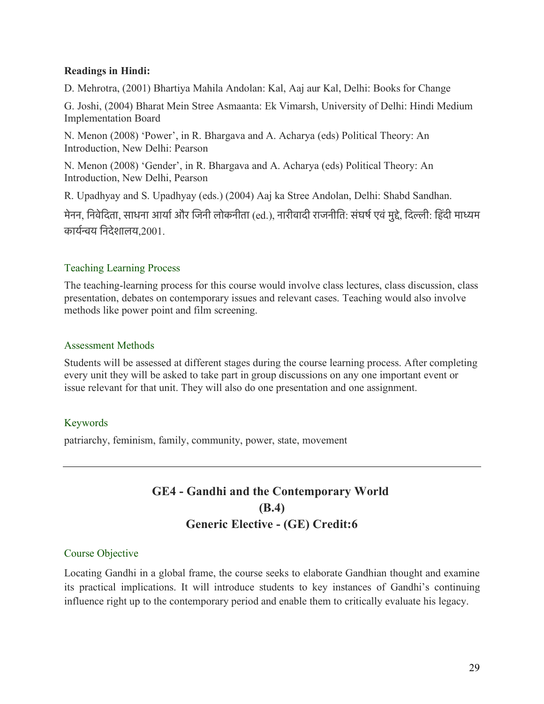# **Readings in Hindi:**

D. Mehrotra, (2001) Bhartiya Mahila Andolan: Kal, Aaj aur Kal, Delhi: Books for Change

G. Joshi, (2004) Bharat Mein Stree Asmaanta: Ek Vimarsh, University of Delhi: Hindi Medium Implementation Board

N. Menon (2008) 'Power', in R. Bhargava and A. Acharya (eds) Political Theory: An Introduction, New Delhi: Pearson

N. Menon (2008) 'Gender', in R. Bhargava and A. Acharya (eds) Political Theory: An Introduction, New Delhi, Pearson

R. Upadhyay and S. Upadhyay (eds.) (2004) Aaj ka Stree Andolan, Delhi: Shabd Sandhan.

मेनन, निवेदिता, साधना आर्या और जिनी लोकनीता (ed.), नारीवादी राजनीति: संघर्ष एवं मुद्दे, दिल्ली: हिंदी माध्यम कायरनय िनदेशालय,2001.

# Teaching Learning Process

The teaching-learning process for this course would involve class lectures, class discussion, class presentation, debates on contemporary issues and relevant cases. Teaching would also involve methods like power point and film screening.

# Assessment Methods

Students will be assessed at different stages during the course learning process. After completing every unit they will be asked to take part in group discussions on any one important event or issue relevant for that unit. They will also do one presentation and one assignment.

# Keywords

patriarchy, feminism, family, community, power, state, movement

# **GE4 - Gandhi and the Contemporary World (B.4) Generic Elective - (GE) Credit:6**

# Course Objective

Locating Gandhi in a global frame, the course seeks to elaborate Gandhian thought and examine its practical implications. It will introduce students to key instances of Gandhi's continuing influence right up to the contemporary period and enable them to critically evaluate his legacy.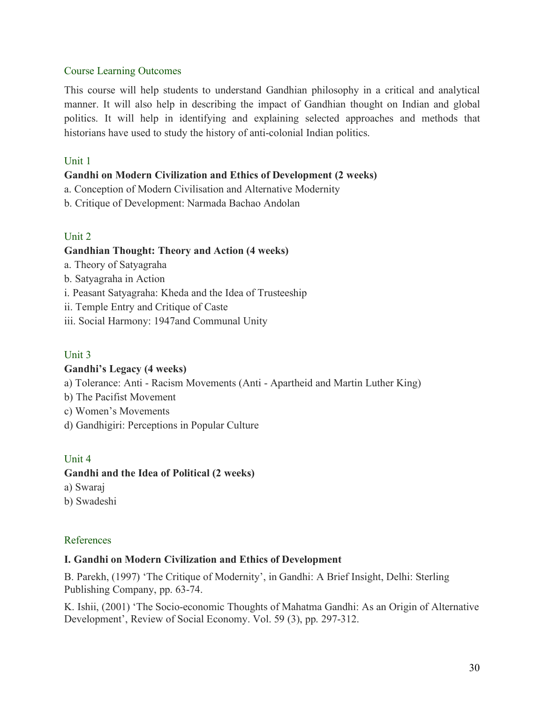# Course Learning Outcomes

This course will help students to understand Gandhian philosophy in a critical and analytical manner. It will also help in describing the impact of Gandhian thought on Indian and global politics. It will help in identifying and explaining selected approaches and methods that historians have used to study the history of anti-colonial Indian politics.

# Unit 1

# **Gandhi on Modern Civilization and Ethics of Development (2 weeks)**

- a. Conception of Modern Civilisation and Alternative Modernity
- b. Critique of Development: Narmada Bachao Andolan

# Unit 2

# **Gandhian Thought: Theory and Action (4 weeks)**

- a. Theory of Satyagraha
- b. Satyagraha in Action
- i. Peasant Satyagraha: Kheda and the Idea of Trusteeship
- ii. Temple Entry and Critique of Caste
- iii. Social Harmony: 1947and Communal Unity

# Unit 3

# **Gandhi's Legacy (4 weeks)**

- a) Tolerance: Anti Racism Movements (Anti Apartheid and Martin Luther King)
- b) The Pacifist Movement
- c) Women's Movements
- d) Gandhigiri: Perceptions in Popular Culture

# Unit 4

# **Gandhi and the Idea of Political (2 weeks)**

- a) Swaraj
- b) Swadeshi

# References

# **I. Gandhi on Modern Civilization and Ethics of Development**

B. Parekh, (1997) 'The Critique of Modernity', in Gandhi: A Brief Insight, Delhi: Sterling Publishing Company, pp. 63-74.

K. Ishii, (2001) 'The Socio-economic Thoughts of Mahatma Gandhi: As an Origin of Alternative Development', Review of Social Economy. Vol. 59 (3), pp. 297-312.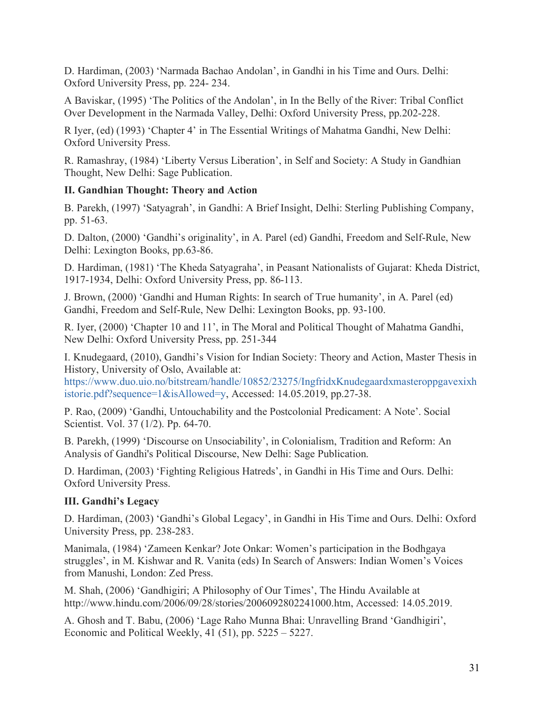D. Hardiman, (2003) 'Narmada Bachao Andolan', in Gandhi in his Time and Ours. Delhi: Oxford University Press, pp. 224- 234.

A Baviskar, (1995) 'The Politics of the Andolan', in In the Belly of the River: Tribal Conflict Over Development in the Narmada Valley, Delhi: Oxford University Press, pp.202-228.

R Iyer, (ed) (1993) 'Chapter 4' in The Essential Writings of Mahatma Gandhi, New Delhi: Oxford University Press.

R. Ramashray, (1984) 'Liberty Versus Liberation', in Self and Society: A Study in Gandhian Thought, New Delhi: Sage Publication.

# **II. Gandhian Thought: Theory and Action**

B. Parekh, (1997) 'Satyagrah', in Gandhi: A Brief Insight, Delhi: Sterling Publishing Company, pp. 51-63.

D. Dalton, (2000) 'Gandhi's originality', in A. Parel (ed) Gandhi, Freedom and Self-Rule, New Delhi: Lexington Books, pp.63-86.

D. Hardiman, (1981) 'The Kheda Satyagraha', in Peasant Nationalists of Gujarat: Kheda District, 1917-1934, Delhi: Oxford University Press, pp. 86-113.

J. Brown, (2000) 'Gandhi and Human Rights: In search of True humanity', in A. Parel (ed) Gandhi, Freedom and Self-Rule, New Delhi: Lexington Books, pp. 93-100.

R. Iyer, (2000) 'Chapter 10 and 11', in The Moral and Political Thought of Mahatma Gandhi, New Delhi: Oxford University Press, pp. 251-344

I. Knudegaard, (2010), Gandhi's Vision for Indian Society: Theory and Action, Master Thesis in History, University of Oslo, Available at:

https://www.duo.uio.no/bitstream/handle/10852/23275/IngfridxKnudegaardxmasteroppgavexixh istorie.pdf?sequence=1&isAllowed=y, Accessed: 14.05.2019, pp.27-38.

P. Rao, (2009) 'Gandhi, Untouchability and the Postcolonial Predicament: A Note'. Social Scientist. Vol. 37 (1/2). Pp. 64-70.

B. Parekh, (1999) 'Discourse on Unsociability', in Colonialism, Tradition and Reform: An Analysis of Gandhi's Political Discourse, New Delhi: Sage Publication.

D. Hardiman, (2003) 'Fighting Religious Hatreds', in Gandhi in His Time and Ours. Delhi: Oxford University Press.

# **III. Gandhi's Legacy**

D. Hardiman, (2003) 'Gandhi's Global Legacy', in Gandhi in His Time and Ours. Delhi: Oxford University Press, pp. 238-283.

Manimala, (1984) 'Zameen Kenkar? Jote Onkar: Women's participation in the Bodhgaya struggles', in M. Kishwar and R. Vanita (eds) In Search of Answers: Indian Women's Voices from Manushi, London: Zed Press.

M. Shah, (2006) 'Gandhigiri; A Philosophy of Our Times', The Hindu Available at http://www.hindu.com/2006/09/28/stories/2006092802241000.htm, Accessed: 14.05.2019.

A. Ghosh and T. Babu, (2006) 'Lage Raho Munna Bhai: Unravelling Brand 'Gandhigiri', Economic and Political Weekly, 41 (51), pp. 5225 – 5227.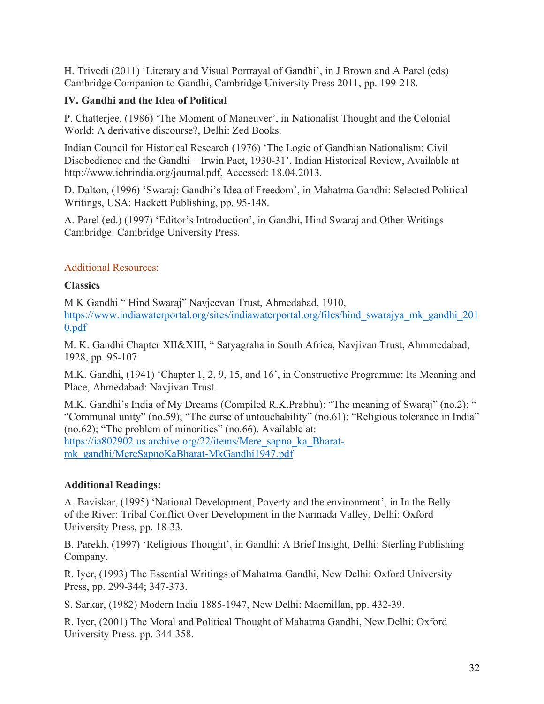H. Trivedi (2011) 'Literary and Visual Portrayal of Gandhi', in J Brown and A Parel (eds) Cambridge Companion to Gandhi, Cambridge University Press 2011, pp. 199-218.

# **IV. Gandhi and the Idea of Political**

P. Chatterjee, (1986) 'The Moment of Maneuver', in Nationalist Thought and the Colonial World: A derivative discourse?, Delhi: Zed Books.

Indian Council for Historical Research (1976) 'The Logic of Gandhian Nationalism: Civil Disobedience and the Gandhi – Irwin Pact, 1930-31', Indian Historical Review, Available at http://www.ichrindia.org/journal.pdf, Accessed: 18.04.2013.

D. Dalton, (1996) 'Swaraj: Gandhi's Idea of Freedom', in Mahatma Gandhi: Selected Political Writings, USA: Hackett Publishing, pp. 95-148.

A. Parel (ed.) (1997) 'Editor's Introduction', in Gandhi, Hind Swaraj and Other Writings Cambridge: Cambridge University Press.

# Additional Resources:

# **Classics**

M K Gandhi " Hind Swaraj" Navjeevan Trust, Ahmedabad, 1910, https://www.indiawaterportal.org/sites/indiawaterportal.org/files/hind\_swarajya\_mk\_gandhi\_201 0.pdf

M. K. Gandhi Chapter XII&XIII, " Satyagraha in South Africa, Navjivan Trust, Ahmmedabad, 1928, pp. 95-107

M.K. Gandhi, (1941) 'Chapter 1, 2, 9, 15, and 16', in Constructive Programme: Its Meaning and Place, Ahmedabad: Navjivan Trust.

M.K. Gandhi's India of My Dreams (Compiled R.K.Prabhu): "The meaning of Swaraj" (no.2); " "Communal unity" (no.59); "The curse of untouchability" (no.61); "Religious tolerance in India"  $(no.62)$ ; "The problem of minorities"  $(no.66)$ . Available at: https://ia802902.us.archive.org/22/items/Mere\_sapno\_ka\_Bharatmk\_gandhi/MereSapnoKaBharat-MkGandhi1947.pdf

# **Additional Readings:**

A. Baviskar, (1995) 'National Development, Poverty and the environment', in In the Belly of the River: Tribal Conflict Over Development in the Narmada Valley, Delhi: Oxford University Press, pp. 18-33.

B. Parekh, (1997) 'Religious Thought', in Gandhi: A Brief Insight, Delhi: Sterling Publishing Company.

R. Iyer, (1993) The Essential Writings of Mahatma Gandhi, New Delhi: Oxford University Press, pp. 299-344; 347-373.

S. Sarkar, (1982) Modern India 1885-1947, New Delhi: Macmillan, pp. 432-39.

R. Iyer, (2001) The Moral and Political Thought of Mahatma Gandhi, New Delhi: Oxford University Press. pp. 344-358.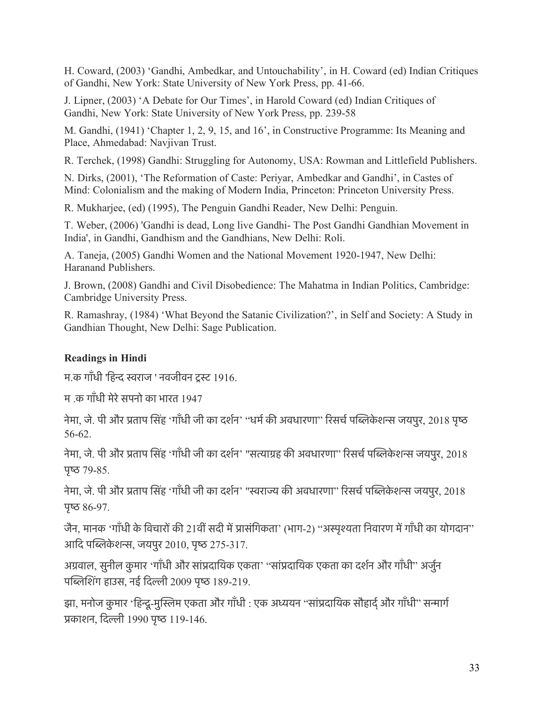H. Coward, (2003) 'Gandhi, Ambedkar, and Untouchability', in H. Coward (ed) Indian Critiques of Gandhi, New York: State University of New York Press, pp. 41-66.

J. Lipner, (2003) 'A Debate for Our Times', in Harold Coward (ed) Indian Critiques of Gandhi, New York: State University of New York Press, pp. 239-58

M. Gandhi, (1941) 'Chapter 1, 2, 9, 15, and 16', in Constructive Programme: Its Meaning and Place, Ahmedabad: Navjivan Trust.

R. Terchek, (1998) Gandhi: Struggling for Autonomy, USA: Rowman and Littlefield Publishers.

N. Dirks, (2001), 'The Reformation of Caste: Periyar, Ambedkar and Gandhi', in Castes of Mind: Colonialism and the making of Modern India, Princeton: Princeton University Press.

R. Mukharjee, (ed) (1995), The Penguin Gandhi Reader, New Delhi: Penguin.

T. Weber, (2006) 'Gandhi is dead, Long live Gandhi- The Post Gandhi Gandhian Movement in India', in Gandhi, Gandhism and the Gandhians, New Delhi: Roli.

A. Taneja, (2005) Gandhi Women and the National Movement 1920-1947, New Delhi: Haranand Publishers.

J. Brown, (2008) Gandhi and Civil Disobedience: The Mahatma in Indian Politics, Cambridge: Cambridge University Press.

R. Ramashray, (1984) 'What Beyond the Satanic Civilization?', in Self and Society: A Study in Gandhian Thought, New Delhi: Sage Publication.

# **Readings in Hindi**

म.क गाँधी 'हिन्द स्वराज ' नवजीवन टस्ट 1916.

म .क गाँधी मेरेसपनो का भारत 1947

नेमा, जे. पी और प्रताप सिंह 'गाँधी जी का दर्शन' ''धर्म की अवधारणा'' रिसर्च पब्लिकेशन्स जयपुर, 2018 पृष्ठ 56-62.

नेमा, जे. पी और प्रताप सिंह 'गाँधी जी का दर्शन' "सत्याग्रह की अवधारणा" रिसर्च पब्लिकेशन्स जयपुर, 2018 पृष्ठ  $79-85$ .

नेमा, जे. पी और प्रताप सिंह 'गाँधी जी का दर्शन' "स्वराज्य की अवधारणा" रिसर्च पब्लिकेशन्स जयपुर, 2018 पृष्ठ  $86-97$ .

जैन, मानक 'गाँधी के विचारों की 21वीं सदी में प्रासंगिकता' (भाग-2) "अस्पृश्यता निवारण में गाँधी का योगदान" आदि पब्लिकेशन्स, जयपुर 2010, पृष्ठ 275-317.

अग्रवाल, सुनील कुमार 'गाँधी और सांप्रदायिक एकता' "सांप्रदायिक एकता का दर्शन और गाँधी" अर्जुन पब्लिशिंग हाउस, नई दिल्ली 2009 पृष्ठ 189-219.

झा, मनोज कुमार 'हिन्दु-मुस्लिम एकता और गाँधी : एक अध्ययन "सांप्रदायिक सौहार्द और गाँधी" सन्मार्ग पकाशन, िदली 1990 पृष 119-146.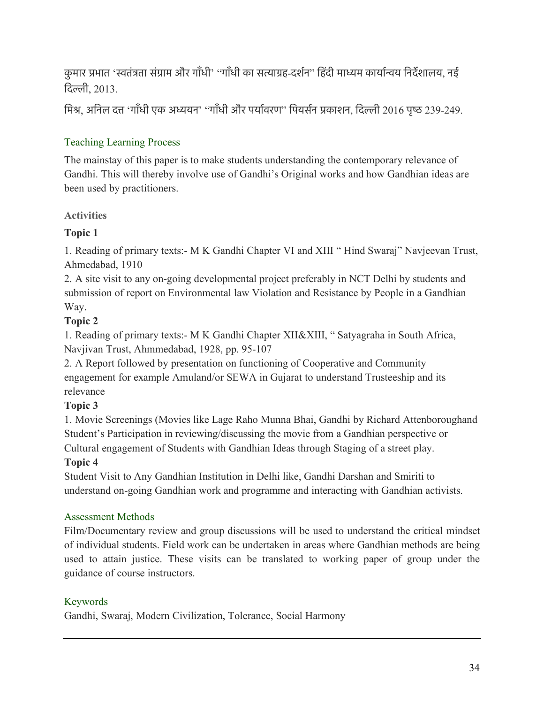कुमार प्रभात 'स्वतंत्रता संग्राम और गाँधी' "गाँधी का सत्याग्रह-दर्शन" हिंदी माध्यम कार्यान्वय निर्देशालय, नई िदली, 2013.

मिश्र, अनिल दत्त 'गाँधी एक अध्ययन' "गाँधी और पर्यावरण" पियर्सन प्रकाशन, दिल्ली 2016 पृष्ठ 239-249.

# Teaching Learning Process

The mainstay of this paper is to make students understanding the contemporary relevance of Gandhi. This will thereby involve use of Gandhi's Original works and how Gandhian ideas are been used by practitioners.

# **Activities**

# **Topic 1**

1. Reading of primary texts:- M K Gandhi Chapter VI and XIII " Hind Swaraj" Navjeevan Trust, Ahmedabad, 1910

2. A site visit to any on-going developmental project preferably in NCT Delhi by students and submission of report on Environmental law Violation and Resistance by People in a Gandhian Way.

# **Topic 2**

1. Reading of primary texts:- M K Gandhi Chapter XII&XIII, " Satyagraha in South Africa, Navjivan Trust, Ahmmedabad, 1928, pp. 95-107

2. A Report followed by presentation on functioning of Cooperative and Community engagement for example Amuland/or SEWA in Gujarat to understand Trusteeship and its relevance

# **Topic 3**

1. Movie Screenings (Movies like Lage Raho Munna Bhai, Gandhi by Richard Attenboroughand Student's Participation in reviewing/discussing the movie from a Gandhian perspective or Cultural engagement of Students with Gandhian Ideas through Staging of a street play.

# **Topic 4**

Student Visit to Any Gandhian Institution in Delhi like, Gandhi Darshan and Smiriti to understand on-going Gandhian work and programme and interacting with Gandhian activists.

# Assessment Methods

Film/Documentary review and group discussions will be used to understand the critical mindset of individual students. Field work can be undertaken in areas where Gandhian methods are being used to attain justice. These visits can be translated to working paper of group under the guidance of course instructors.

# Keywords

Gandhi, Swaraj, Modern Civilization, Tolerance, Social Harmony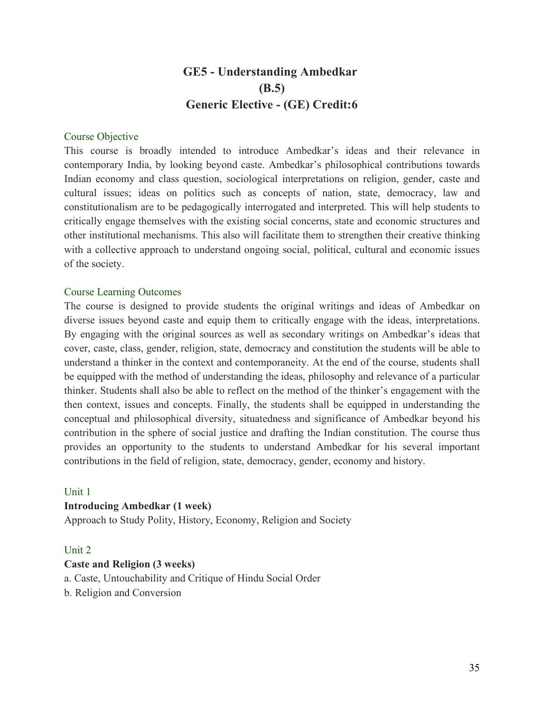# **GE5 - Understanding Ambedkar (B.5) Generic Elective - (GE) Credit:6**

#### Course Objective

This course is broadly intended to introduce Ambedkar's ideas and their relevance in contemporary India, by looking beyond caste. Ambedkar's philosophical contributions towards Indian economy and class question, sociological interpretations on religion, gender, caste and cultural issues; ideas on politics such as concepts of nation, state, democracy, law and constitutionalism are to be pedagogically interrogated and interpreted. This will help students to critically engage themselves with the existing social concerns, state and economic structures and other institutional mechanisms. This also will facilitate them to strengthen their creative thinking with a collective approach to understand ongoing social, political, cultural and economic issues of the society.

#### Course Learning Outcomes

The course is designed to provide students the original writings and ideas of Ambedkar on diverse issues beyond caste and equip them to critically engage with the ideas, interpretations. By engaging with the original sources as well as secondary writings on Ambedkar's ideas that cover, caste, class, gender, religion, state, democracy and constitution the students will be able to understand a thinker in the context and contemporaneity. At the end of the course, students shall be equipped with the method of understanding the ideas, philosophy and relevance of a particular thinker. Students shall also be able to reflect on the method of the thinker's engagement with the then context, issues and concepts. Finally, the students shall be equipped in understanding the conceptual and philosophical diversity, situatedness and significance of Ambedkar beyond his contribution in the sphere of social justice and drafting the Indian constitution. The course thus provides an opportunity to the students to understand Ambedkar for his several important contributions in the field of religion, state, democracy, gender, economy and history.

#### Unit 1

#### **Introducing Ambedkar (1 week)**

Approach to Study Polity, History, Economy, Religion and Society

#### Unit 2

#### **Caste and Religion (3 weeks)**

a. Caste, Untouchability and Critique of Hindu Social Order

b. Religion and Conversion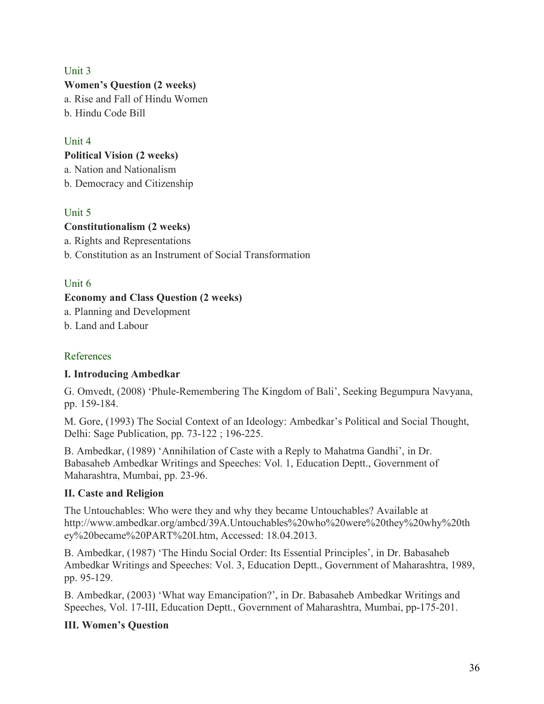# Unit 3

#### **Women's Question (2 weeks)**

a. Rise and Fall of Hindu Women b. Hindu Code Bill

# Unit 4

#### **Political Vision (2 weeks)**

a. Nation and Nationalism

b. Democracy and Citizenship

# Unit 5

# **Constitutionalism (2 weeks)**

a. Rights and Representations

b. Constitution as an Instrument of Social Transformation

# Unit 6

# **Economy and Class Question (2 weeks)**

a. Planning and Development

b. Land and Labour

# References

# **I. Introducing Ambedkar**

G. Omvedt, (2008) 'Phule-Remembering The Kingdom of Bali', Seeking Begumpura Navyana, pp. 159-184.

M. Gore, (1993) The Social Context of an Ideology: Ambedkar's Political and Social Thought, Delhi: Sage Publication, pp. 73-122 ; 196-225.

B. Ambedkar, (1989) 'Annihilation of Caste with a Reply to Mahatma Gandhi', in Dr. Babasaheb Ambedkar Writings and Speeches: Vol. 1, Education Deptt., Government of Maharashtra, Mumbai, pp. 23-96.

# **II. Caste and Religion**

The Untouchables: Who were they and why they became Untouchables? Available at http://www.ambedkar.org/ambcd/39A.Untouchables%20who%20were%20they%20why%20th ey%20became%20PART%20I.htm, Accessed: 18.04.2013.

B. Ambedkar, (1987) 'The Hindu Social Order: Its Essential Principles', in Dr. Babasaheb Ambedkar Writings and Speeches: Vol. 3, Education Deptt., Government of Maharashtra, 1989, pp. 95-129.

B. Ambedkar, (2003) 'What way Emancipation?', in Dr. Babasaheb Ambedkar Writings and Speeches, Vol. 17-III, Education Deptt., Government of Maharashtra, Mumbai, pp-175-201.

# **III. Women's Question**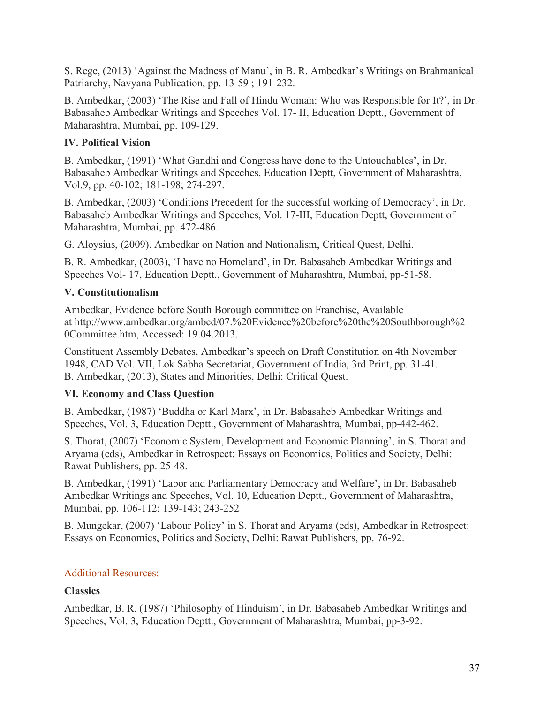S. Rege, (2013) 'Against the Madness of Manu', in B. R. Ambedkar's Writings on Brahmanical Patriarchy, Navyana Publication, pp. 13-59 ; 191-232.

B. Ambedkar, (2003) 'The Rise and Fall of Hindu Woman: Who was Responsible for It?', in Dr. Babasaheb Ambedkar Writings and Speeches Vol. 17- II, Education Deptt., Government of Maharashtra, Mumbai, pp. 109-129.

# **IV. Political Vision**

B. Ambedkar, (1991) 'What Gandhi and Congress have done to the Untouchables', in Dr. Babasaheb Ambedkar Writings and Speeches, Education Deptt, Government of Maharashtra, Vol.9, pp. 40-102; 181-198; 274-297.

B. Ambedkar, (2003) 'Conditions Precedent for the successful working of Democracy', in Dr. Babasaheb Ambedkar Writings and Speeches, Vol. 17-III, Education Deptt, Government of Maharashtra, Mumbai, pp. 472-486.

G. Aloysius, (2009). Ambedkar on Nation and Nationalism, Critical Quest, Delhi.

B. R. Ambedkar, (2003), 'I have no Homeland', in Dr. Babasaheb Ambedkar Writings and Speeches Vol- 17, Education Deptt., Government of Maharashtra, Mumbai, pp-51-58.

# **V. Constitutionalism**

Ambedkar, Evidence before South Borough committee on Franchise, Available at http://www.ambedkar.org/ambcd/07.%20Evidence%20before%20the%20Southborough%2 0Committee.htm, Accessed: 19.04.2013.

Constituent Assembly Debates, Ambedkar's speech on Draft Constitution on 4th November 1948, CAD Vol. VII, Lok Sabha Secretariat, Government of India, 3rd Print, pp. 31-41. B. Ambedkar, (2013), States and Minorities, Delhi: Critical Quest.

# **VI. Economy and Class Question**

B. Ambedkar, (1987) 'Buddha or Karl Marx', in Dr. Babasaheb Ambedkar Writings and Speeches, Vol. 3, Education Deptt., Government of Maharashtra, Mumbai, pp-442-462.

S. Thorat, (2007) 'Economic System, Development and Economic Planning', in S. Thorat and Aryama (eds), Ambedkar in Retrospect: Essays on Economics, Politics and Society, Delhi: Rawat Publishers, pp. 25-48.

B. Ambedkar, (1991) 'Labor and Parliamentary Democracy and Welfare', in Dr. Babasaheb Ambedkar Writings and Speeches, Vol. 10, Education Deptt., Government of Maharashtra, Mumbai, pp. 106-112; 139-143; 243-252

B. Mungekar, (2007) 'Labour Policy' in S. Thorat and Aryama (eds), Ambedkar in Retrospect: Essays on Economics, Politics and Society, Delhi: Rawat Publishers, pp. 76-92.

# Additional Resources:

# **Classics**

Ambedkar, B. R. (1987) 'Philosophy of Hinduism', in Dr. Babasaheb Ambedkar Writings and Speeches, Vol. 3, Education Deptt., Government of Maharashtra, Mumbai, pp-3-92.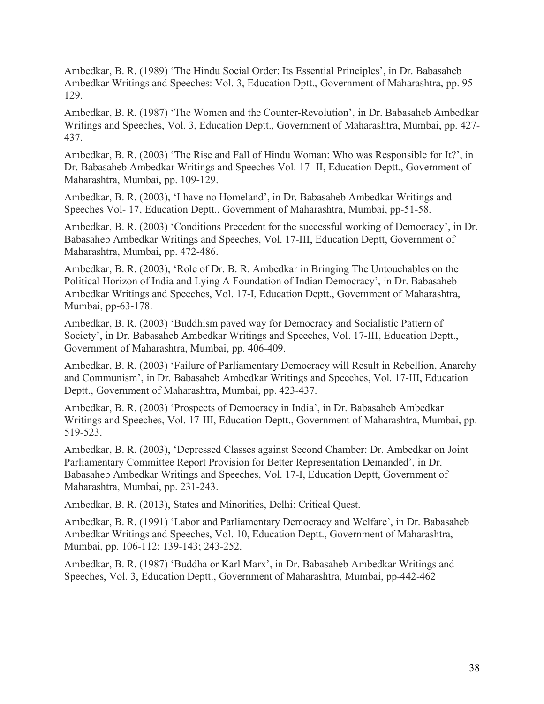Ambedkar, B. R. (1989) 'The Hindu Social Order: Its Essential Principles', in Dr. Babasaheb Ambedkar Writings and Speeches: Vol. 3, Education Dptt., Government of Maharashtra, pp. 95- 129.

Ambedkar, B. R. (1987) 'The Women and the Counter-Revolution', in Dr. Babasaheb Ambedkar Writings and Speeches, Vol. 3, Education Deptt., Government of Maharashtra, Mumbai, pp. 427- 437.

Ambedkar, B. R. (2003) 'The Rise and Fall of Hindu Woman: Who was Responsible for It?', in Dr. Babasaheb Ambedkar Writings and Speeches Vol. 17- II, Education Deptt., Government of Maharashtra, Mumbai, pp. 109-129.

Ambedkar, B. R. (2003), 'I have no Homeland', in Dr. Babasaheb Ambedkar Writings and Speeches Vol- 17, Education Deptt., Government of Maharashtra, Mumbai, pp-51-58.

Ambedkar, B. R. (2003) 'Conditions Precedent for the successful working of Democracy', in Dr. Babasaheb Ambedkar Writings and Speeches, Vol. 17-III, Education Deptt, Government of Maharashtra, Mumbai, pp. 472-486.

Ambedkar, B. R. (2003), 'Role of Dr. B. R. Ambedkar in Bringing The Untouchables on the Political Horizon of India and Lying A Foundation of Indian Democracy', in Dr. Babasaheb Ambedkar Writings and Speeches, Vol. 17-I, Education Deptt., Government of Maharashtra, Mumbai, pp-63-178.

Ambedkar, B. R. (2003) 'Buddhism paved way for Democracy and Socialistic Pattern of Society', in Dr. Babasaheb Ambedkar Writings and Speeches, Vol. 17-III, Education Deptt., Government of Maharashtra, Mumbai, pp. 406-409.

Ambedkar, B. R. (2003) 'Failure of Parliamentary Democracy will Result in Rebellion, Anarchy and Communism', in Dr. Babasaheb Ambedkar Writings and Speeches, Vol. 17-III, Education Deptt., Government of Maharashtra, Mumbai, pp. 423-437.

Ambedkar, B. R. (2003) 'Prospects of Democracy in India', in Dr. Babasaheb Ambedkar Writings and Speeches, Vol. 17-III, Education Deptt., Government of Maharashtra, Mumbai, pp. 519-523.

Ambedkar, B. R. (2003), 'Depressed Classes against Second Chamber: Dr. Ambedkar on Joint Parliamentary Committee Report Provision for Better Representation Demanded', in Dr. Babasaheb Ambedkar Writings and Speeches, Vol. 17-I, Education Deptt, Government of Maharashtra, Mumbai, pp. 231-243.

Ambedkar, B. R. (2013), States and Minorities, Delhi: Critical Quest.

Ambedkar, B. R. (1991) 'Labor and Parliamentary Democracy and Welfare', in Dr. Babasaheb Ambedkar Writings and Speeches, Vol. 10, Education Deptt., Government of Maharashtra, Mumbai, pp. 106-112; 139-143; 243-252.

Ambedkar, B. R. (1987) 'Buddha or Karl Marx', in Dr. Babasaheb Ambedkar Writings and Speeches, Vol. 3, Education Deptt., Government of Maharashtra, Mumbai, pp-442-462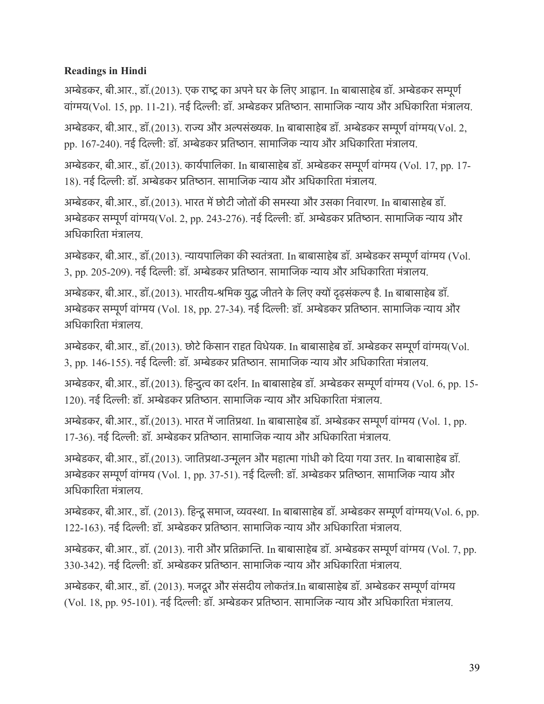# **Readings in Hindi**

अम्बेडकर, बी.आर., डॉ.(2013). एक राष्ट्र का अपने घर के लिए आह्वान. In बाबासाहेब डॉ. अम्बेडकर सम्पूर्ण वांगय(Vol. 15, pp. 11-21). नई िदली: डॉ. अमेडकर पितषान. सामािजक नाय और अिधकािरता मंतालय.

अम्बेडकर, बी.आर., डॉ.(2013). राज्य और अल्पसंख्यक. In बाबासाहेब डॉ. अम्बेडकर सम्पूर्ण वांग्मय(Vol. 2, pp. 167-240). नई दिल्ली: डॉ. अम्बेडकर प्रतिष्ठान. सामाजिक न्याय और अधिकारिता मंत्रालय.

अमेडकर, बी.आर., डॉ.(2013). कायरपािलका. In बाबासाहेब डॉ. अमेडकर समूणरवांगय (Vol. 17, pp. 17- 18). नई दिल्ली: डॉ. अम्बेडकर प्रतिष्ठान. सामाजिक न्याय और अधिकारिता मंत्रालय.

अम्बेडकर, बी.आर., डॉ.(2013). भारत में छोटी जोतों की समस्या और उसका निवारण. In बाबासाहेब डॉ. अम्बेडकर सम्पूर्ण वांग्मय(Vol. 2, pp. 243-276). नई दिल्ली: डॉ. अम्बेडकर प्रतिष्ठान. सामाजिक न्याय और अिधकािरता मंतालय.

अम्बेडकर, बी.आर., डॉ.(2013). न्यायपालिका की स्वतंत्रता. In बाबासाहेब डॉ. अम्बेडकर सम्पूर्ण वांग्मय (Vol. 3, pp. 205-209). नई िदली: डॉ. अमेडकर पितषान. सामािजक नाय और अिधकािरता मंतालय.

अम्बेडकर, बी.आर., डॉ.(2013). भारतीय-श्रमिक युद्ध जीतने के लिए क्यों दृढ़संकल्प है. In बाबासाहेब डॉ. अम्बेडकर सम्पूर्ण वांग्मय (Vol. 18, pp. 27-34). नई दिल्ली: डॉ. अम्बेडकर प्रतिष्ठान. सामाजिक न्याय और अिधकािरता मंतालय.

अम्बेडकर, बी.आर., डॉ.(2013). छोटे किसान राहत विधेयक. In बाबासाहेब डॉ. अम्बेडकर सम्पूर्ण वांग्मय(Vol. 3, pp. 146-155). नई िदली: डॉ. अमेडकर पितषान. सामािजक नाय और अिधकािरता मंतालय.

अमेडकर, बी.आर., डॉ.(2013). िहनुत का दशरन. In बाबासाहेब डॉ. अमेडकर समूणरवांगय (Vol. 6, pp. 15- 120). नई दिल्ली: डॉ. अम्बेडकर प्रतिष्ठान. सामाजिक न्याय और अधिकारिता मंत्रालय.

अम्बेडकर, बी.आर., डॉ.(2013). भारत में जातिप्रथा. In बाबासाहेब डॉ. अम्बेडकर सम्पूर्ण वांग्मय (Vol. 1, pp. 17-36). नई दिल्ली: डॉ. अम्बेडकर प्रतिष्ठान. सामाजिक न्याय और अधिकारिता मंत्रालय.

अम्बेडकर, बी.आर., डॉ.(2013). जातिप्रथा-उन्मूलन और महात्मा गांधी को दिया गया उत्तर. In बाबासाहेब डॉ. अम्बेडकर सम्पूर्ण वांग्मय (Vol. 1, pp. 37-51). नई दिल्ली: डॉ. अम्बेडकर प्रतिष्ठान. सामाजिक न्याय और अधिकारिता मंत्रालय.

अम्बेडकर, बी.आर., डॉ. (2013). हिन्दू समाज, व्यवस्था. In बाबासाहेब डॉ. अम्बेडकर सम्पूर्ण वांग्मय(Vol. 6, pp. 122-163). नई िदली: डॉ. अमेडकर पितषान. सामािजक नाय और अिधकािरता मंतालय.

अम्बेडकर, बी.आर., डॉ. (2013). नारी और प्रतिक्रान्ति. In बाबासाहेब डॉ. अम्बेडकर सम्पूर्ण वांग्मय (Vol. 7, pp. 330-342). नई िदली: डॉ. अमेडकर पितषान. सामािजक नाय और अिधकािरता मंतालय.

अमेडकर, बी.आर., डॉ. (2013). मजदूर और संसदीय लोकतंत.In बाबासाहेब डॉ. अमेडकर समूणरवांगय (Vol. 18, pp. 95-101). नई िदली: डॉ. अमेडकर पितषान. सामािजक नाय और अिधकािरता मंतालय.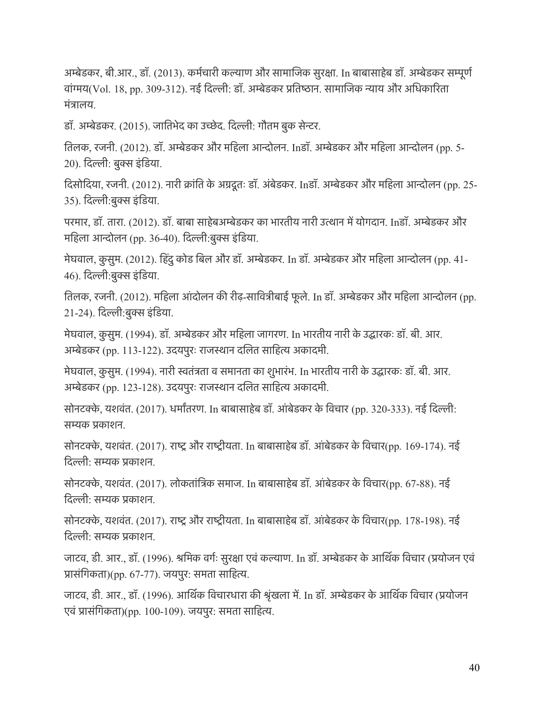अम्बेडकर, बी.आर., डॉ. (2013). कर्मचारी कल्याण और सामाजिक सुरक्षा. In बाबासाहेब डॉ. अम्बेडकर सम्पूर्ण वांगय(Vol. 18, pp. 309-312). नई िदली: डॉ. अमेडकर पितषान. सामािजक नाय और अिधकािरता मंतालय.

डॉ. अमेडकर. (2015). जाितभेद का उचेद. िदली: गौतम बुक सेनर.

ितलक, रजनी. (2012). डॉ. अमेडकर और मिहला आनोलन. Inडॉ. अमेडकर और मिहला आनोलन (pp. 5- 20). दिल्ली: बुक्स इंडिया.

दिसोदिया, रजनी. (2012). नारी क्रांति के अग्रदूतः डॉ. अंबेडकर. Inडॉ. अम्बेडकर और महिला आन्दोलन (pp. 25-35). दिल्ली:बुक्स इंडिया.

परमार, डॉ. तारा. (2012). डॉ. बाबा साहेबअम्बेडकर का भारतीय नारी उत्थान में योगदान. Inडॉ. अम्बेडकर और महिला आन्दोलन (pp. 36-40). दिल्ली:बुक्स इंडिया.

मेघवाल, कुसुम. (2012). हिंदु कोड बिल और डॉ. अम्बेडकर. In डॉ. अम्बेडकर और महिला आन्दोलन (pp. 41-46). दिल्ली:बुक्स इंडिया.

ितलक, रजनी. (2012). मिहला आं दोलन की रीढ़-सािवतीबाई फू ले. In डॉ. अमेडकर और मिहला आनोलन (pp. 21-24). दिल्ली:बुक्स इंडिया.

मेघवाल, कु सुम. (1994). डॉ. अमेडकर और मिहला जागरण. In भारतीय नारी के उदारकः डॉ. बी. आर. अम्बेडकर (pp. 113-122). उदयपुरः राजस्थान दलित साहित्य अकादमी.

मेघवाल, कु सुम. (1994). नारी सतंतता व समानता का शुभारंभ. In भारतीय नारी के उदारकः डॉ. बी. आर. अम्बेडकर (pp. 123-128). उदयपुरः राजस्थान दलित साहित्य अकादमी.

सोनटक्के, यशवंत. (2017). धर्मांतरण. In बाबासाहेब डॉ. आंबेडकर के विचार (pp. 320-333). नई दिल्ली: समक पकाशन.

सोनटक्के, यशवंत. (2017). राष्ट्र और राष्ट्रीयता. In बाबासाहेब डॉ. आंबेडकर के विचार(pp. 169-174). नई िदली: समक पकाशन.

सोनटके, यशवंत. (2017). लोकतांितक समाज. In बाबासाहेब डॉ. आं बेडकर के िवचार(pp. 67-88). नई िदली: समक पकाशन.

सोनटक्के, यशवंत. (2017). राष्ट्र और राष्ट्रीयता. In बाबासाहेब डॉ. आंबेडकर के विचार(pp. 178-198). नई िदली: समक पकाशन.

जाटव, डी. आर., डॉ. (1996). श्रमिक वर्गः सुरक्षा एवं कल्याण. In डॉ. अम्बेडकर के आर्थिक विचार (प्रयोजन एवं प्रासंगिकता)(pp. 67-77). जयपुर: समता साहित्य.

जाटव, डी. आर., डॉ. (1996). आर्थिक विचारधारा की श्रृंखला में. In डॉ. अम्बेडकर के आर्थिक विचार (प्रयोजन एवं पासंिगकता)(pp. 100-109). जयपुर: समता सािहत.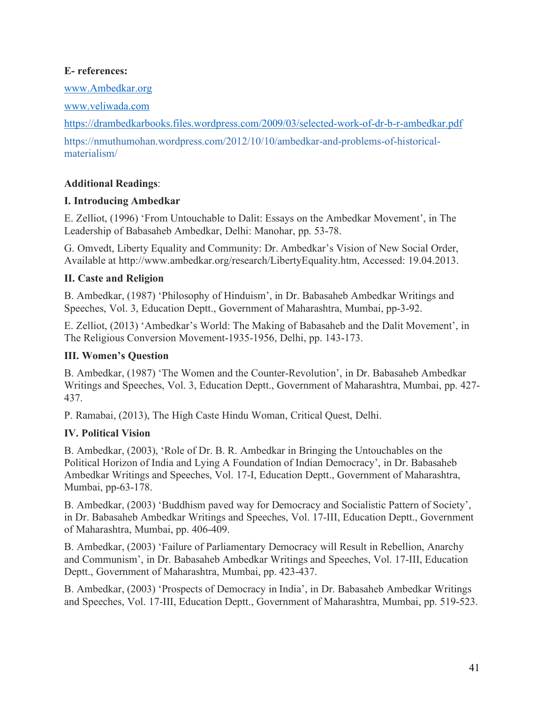#### **E- references:**

www.Ambedkar.org

www.veliwada.com

https://drambedkarbooks.files.wordpress.com/2009/03/selected-work-of-dr-b-r-ambedkar.pdf

https://nmuthumohan.wordpress.com/2012/10/10/ambedkar-and-problems-of-historicalmaterialism/

# **Additional Readings**:

## **I. Introducing Ambedkar**

E. Zelliot, (1996) 'From Untouchable to Dalit: Essays on the Ambedkar Movement', in The Leadership of Babasaheb Ambedkar, Delhi: Manohar, pp. 53-78.

G. Omvedt, Liberty Equality and Community: Dr. Ambedkar's Vision of New Social Order, Available at http://www.ambedkar.org/research/LibertyEquality.htm, Accessed: 19.04.2013.

# **II. Caste and Religion**

B. Ambedkar, (1987) 'Philosophy of Hinduism', in Dr. Babasaheb Ambedkar Writings and Speeches, Vol. 3, Education Deptt., Government of Maharashtra, Mumbai, pp-3-92.

E. Zelliot, (2013) 'Ambedkar's World: The Making of Babasaheb and the Dalit Movement', in The Religious Conversion Movement-1935-1956, Delhi, pp. 143-173.

# **III. Women's Question**

B. Ambedkar, (1987) 'The Women and the Counter-Revolution', in Dr. Babasaheb Ambedkar Writings and Speeches, Vol. 3, Education Deptt., Government of Maharashtra, Mumbai, pp. 427- 437.

P. Ramabai, (2013), The High Caste Hindu Woman, Critical Quest, Delhi.

# **IV. Political Vision**

B. Ambedkar, (2003), 'Role of Dr. B. R. Ambedkar in Bringing the Untouchables on the Political Horizon of India and Lying A Foundation of Indian Democracy', in Dr. Babasaheb Ambedkar Writings and Speeches, Vol. 17-I, Education Deptt., Government of Maharashtra, Mumbai, pp-63-178.

B. Ambedkar, (2003) 'Buddhism paved way for Democracy and Socialistic Pattern of Society', in Dr. Babasaheb Ambedkar Writings and Speeches, Vol. 17-III, Education Deptt., Government of Maharashtra, Mumbai, pp. 406-409.

B. Ambedkar, (2003) 'Failure of Parliamentary Democracy will Result in Rebellion, Anarchy and Communism', in Dr. Babasaheb Ambedkar Writings and Speeches, Vol. 17-III, Education Deptt., Government of Maharashtra, Mumbai, pp. 423-437.

B. Ambedkar, (2003) 'Prospects of Democracy in India', in Dr. Babasaheb Ambedkar Writings and Speeches, Vol. 17-III, Education Deptt., Government of Maharashtra, Mumbai, pp. 519-523.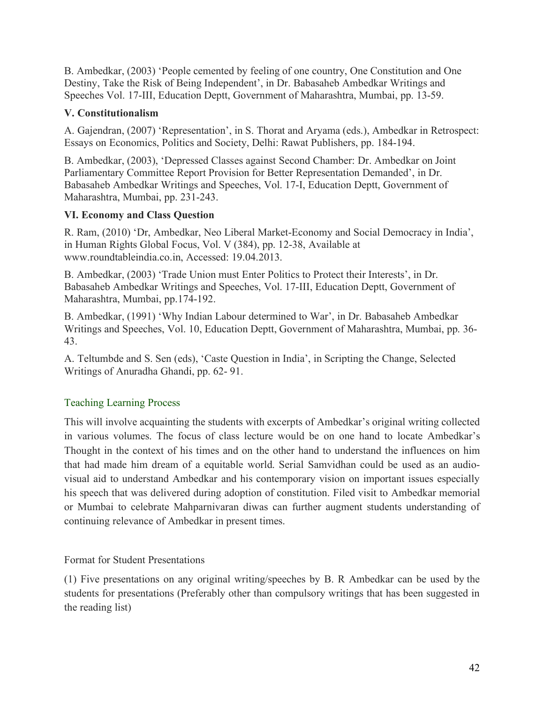B. Ambedkar, (2003) 'People cemented by feeling of one country, One Constitution and One Destiny, Take the Risk of Being Independent', in Dr. Babasaheb Ambedkar Writings and Speeches Vol. 17-III, Education Deptt, Government of Maharashtra, Mumbai, pp. 13-59.

### **V. Constitutionalism**

A. Gajendran, (2007) 'Representation', in S. Thorat and Aryama (eds.), Ambedkar in Retrospect: Essays on Economics, Politics and Society, Delhi: Rawat Publishers, pp. 184-194.

B. Ambedkar, (2003), 'Depressed Classes against Second Chamber: Dr. Ambedkar on Joint Parliamentary Committee Report Provision for Better Representation Demanded', in Dr. Babasaheb Ambedkar Writings and Speeches, Vol. 17-I, Education Deptt, Government of Maharashtra, Mumbai, pp. 231-243.

## **VI. Economy and Class Question**

R. Ram, (2010) 'Dr, Ambedkar, Neo Liberal Market-Economy and Social Democracy in India', in Human Rights Global Focus, Vol. V (384), pp. 12-38, Available at www.roundtableindia.co.in, Accessed: 19.04.2013.

B. Ambedkar, (2003) 'Trade Union must Enter Politics to Protect their Interests', in Dr. Babasaheb Ambedkar Writings and Speeches, Vol. 17-III, Education Deptt, Government of Maharashtra, Mumbai, pp.174-192.

B. Ambedkar, (1991) 'Why Indian Labour determined to War', in Dr. Babasaheb Ambedkar Writings and Speeches, Vol. 10, Education Deptt, Government of Maharashtra, Mumbai, pp. 36- 43.

A. Teltumbde and S. Sen (eds), 'Caste Question in India', in Scripting the Change, Selected Writings of Anuradha Ghandi, pp. 62- 91.

# Teaching Learning Process

This will involve acquainting the students with excerpts of Ambedkar's original writing collected in various volumes. The focus of class lecture would be on one hand to locate Ambedkar's Thought in the context of his times and on the other hand to understand the influences on him that had made him dream of a equitable world. Serial Samvidhan could be used as an audiovisual aid to understand Ambedkar and his contemporary vision on important issues especially his speech that was delivered during adoption of constitution. Filed visit to Ambedkar memorial or Mumbai to celebrate Mahparnivaran diwas can further augment students understanding of continuing relevance of Ambedkar in present times.

Format for Student Presentations

(1) Five presentations on any original writing/speeches by B. R Ambedkar can be used by the students for presentations (Preferably other than compulsory writings that has been suggested in the reading list)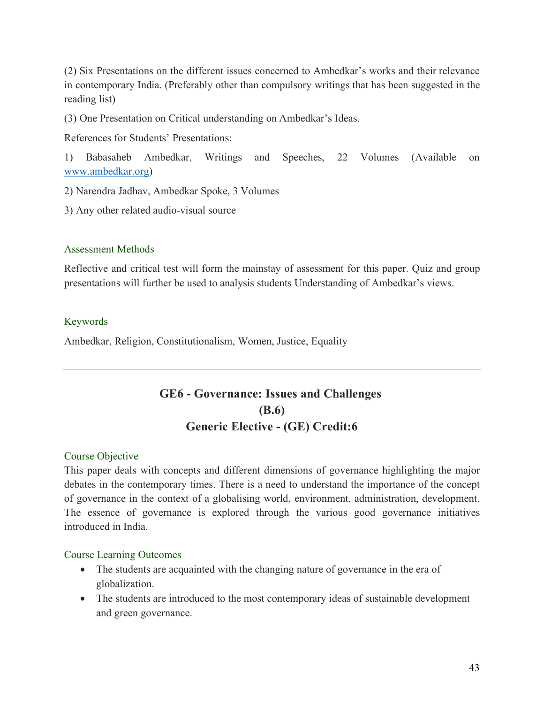(2) Six Presentations on the different issues concerned to Ambedkar's works and their relevance in contemporary India. (Preferably other than compulsory writings that has been suggested in the reading list)

(3) One Presentation on Critical understanding on Ambedkar's Ideas.

References for Students' Presentations:

1) Babasaheb Ambedkar, Writings and Speeches, 22 Volumes (Available on www.ambedkar.org)

2) Narendra Jadhav, Ambedkar Spoke, 3 Volumes

3) Any other related audio-visual source

## Assessment Methods

Reflective and critical test will form the mainstay of assessment for this paper. Quiz and group presentations will further be used to analysis students Understanding of Ambedkar's views.

## Keywords

Ambedkar, Religion, Constitutionalism, Women, Justice, Equality

# **GE6 - Governance: Issues and Challenges (B.6) Generic Elective - (GE) Credit:6**

#### Course Objective

This paper deals with concepts and different dimensions of governance highlighting the major debates in the contemporary times. There is a need to understand the importance of the concept of governance in the context of a globalising world, environment, administration, development. The essence of governance is explored through the various good governance initiatives introduced in India.

#### Course Learning Outcomes

- The students are acquainted with the changing nature of governance in the era of globalization.
- The students are introduced to the most contemporary ideas of sustainable development and green governance.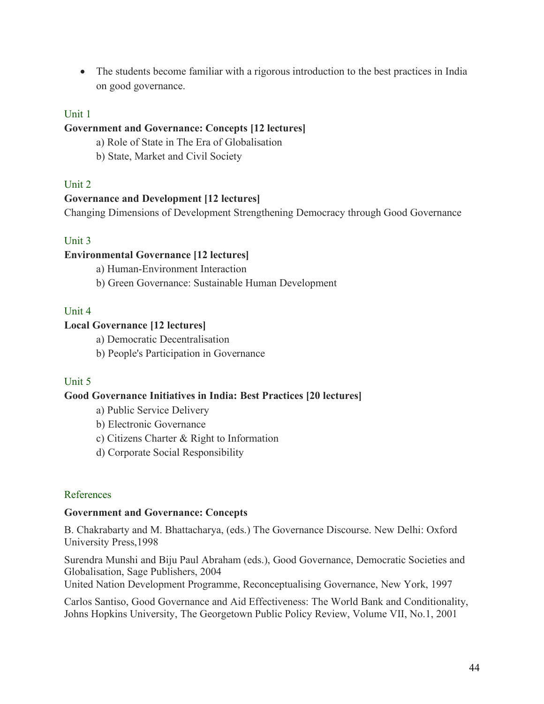• The students become familiar with a rigorous introduction to the best practices in India on good governance.

#### Unit 1

#### **Government and Governance: Concepts [12 lectures]**

- a) Role of State in The Era of Globalisation
- b) State, Market and Civil Society

#### Unit 2

#### **Governance and Development [12 lectures]**

Changing Dimensions of Development Strengthening Democracy through Good Governance

#### Unit 3

### **Environmental Governance [12 lectures]**

a) Human-Environment Interaction

b) Green Governance: Sustainable Human Development

#### Unit 4

#### **Local Governance [12 lectures]**

a) Democratic Decentralisation

b) People's Participation in Governance

#### Unit 5

#### **Good Governance Initiatives in India: Best Practices [20 lectures]**

a) Public Service Delivery

- b) Electronic Governance
- c) Citizens Charter & Right to Information
- d) Corporate Social Responsibility

#### References

#### **Government and Governance: Concepts**

B. Chakrabarty and M. Bhattacharya, (eds.) The Governance Discourse. New Delhi: Oxford University Press,1998

Surendra Munshi and Biju Paul Abraham (eds.), Good Governance, Democratic Societies and Globalisation, Sage Publishers, 2004

United Nation Development Programme, Reconceptualising Governance, New York, 1997

Carlos Santiso, Good Governance and Aid Effectiveness: The World Bank and Conditionality, Johns Hopkins University, The Georgetown Public Policy Review, Volume VII, No.1, 2001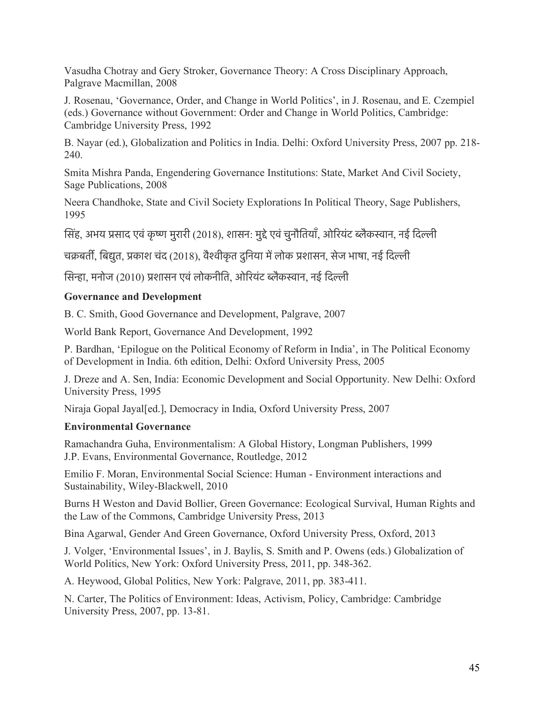Vasudha Chotray and Gery Stroker, Governance Theory: A Cross Disciplinary Approach, Palgrave Macmillan, 2008

J. Rosenau, 'Governance, Order, and Change in World Politics', in J. Rosenau, and E. Czempiel (eds.) Governance without Government: Order and Change in World Politics, Cambridge: Cambridge University Press, 1992

B. Nayar (ed.), Globalization and Politics in India. Delhi: Oxford University Press, 2007 pp. 218- 240.

Smita Mishra Panda, Engendering Governance Institutions: State, Market And Civil Society, Sage Publications, 2008

Neera Chandhoke, State and Civil Society Explorations In Political Theory, Sage Publishers, 1995

सिंह, अभय प्रसाद एवं कृष्ण मुरारी (2018), शासन: मुद्दे एवं चुनौतियाँ, ओरियंट ब्लैकस्वान, नई दिल्ली

चक्रबर्ती, बिद्युत, प्रकाश चंद (2018), वैश्वीकृत दुनिया में लोक प्रशासन, सेज भाषा, नई दिल्ली

सिन्हा, मनोज (2010) प्रशासन एवं लोकनीति, ओरियंट ब्लैकस्वान, नई दिल्ली

## **Governance and Development**

B. C. Smith, Good Governance and Development, Palgrave, 2007

World Bank Report, Governance And Development, 1992

P. Bardhan, 'Epilogue on the Political Economy of Reform in India', in The Political Economy of Development in India. 6th edition, Delhi: Oxford University Press, 2005

J. Dreze and A. Sen, India: Economic Development and Social Opportunity. New Delhi: Oxford University Press, 1995

Niraja Gopal Jayal[ed.], Democracy in India, Oxford University Press, 2007

# **Environmental Governance**

Ramachandra Guha, Environmentalism: A Global History, Longman Publishers, 1999 J.P. Evans, Environmental Governance, Routledge, 2012

Emilio F. Moran, Environmental Social Science: Human - Environment interactions and Sustainability, Wiley-Blackwell, 2010

Burns H Weston and David Bollier, Green Governance: Ecological Survival, Human Rights and the Law of the Commons, Cambridge University Press, 2013

Bina Agarwal, Gender And Green Governance, Oxford University Press, Oxford, 2013

J. Volger, 'Environmental Issues', in J. Baylis, S. Smith and P. Owens (eds.) Globalization of World Politics, New York: Oxford University Press, 2011, pp. 348-362.

A. Heywood, Global Politics, New York: Palgrave, 2011, pp. 383-411.

N. Carter, The Politics of Environment: Ideas, Activism, Policy, Cambridge: Cambridge University Press, 2007, pp. 13-81.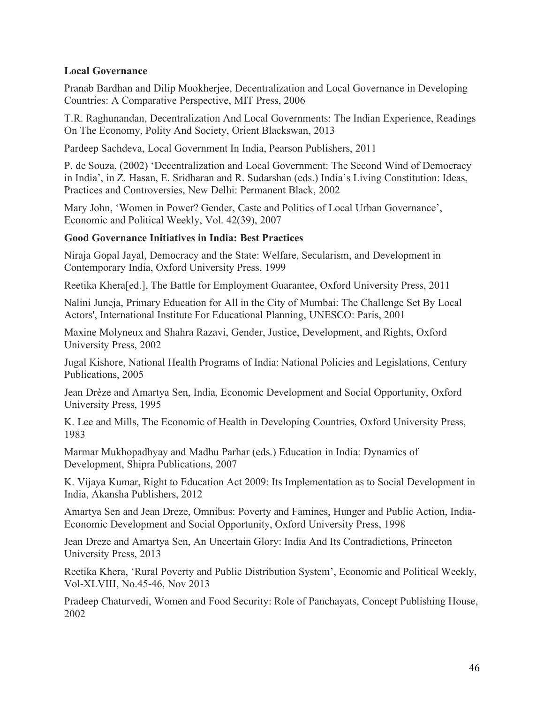#### **Local Governance**

Pranab Bardhan and Dilip Mookherjee, Decentralization and Local Governance in Developing Countries: A Comparative Perspective, MIT Press, 2006

T.R. Raghunandan, Decentralization And Local Governments: The Indian Experience, Readings On The Economy, Polity And Society, Orient Blackswan, 2013

Pardeep Sachdeva, Local Government In India, Pearson Publishers, 2011

P. de Souza, (2002) 'Decentralization and Local Government: The Second Wind of Democracy in India', in Z. Hasan, E. Sridharan and R. Sudarshan (eds.) India's Living Constitution: Ideas, Practices and Controversies, New Delhi: Permanent Black, 2002

Mary John, 'Women in Power? Gender, Caste and Politics of Local Urban Governance', Economic and Political Weekly, Vol. 42(39), 2007

#### **Good Governance Initiatives in India: Best Practices**

Niraja Gopal Jayal, Democracy and the State: Welfare, Secularism, and Development in Contemporary India, Oxford University Press, 1999

Reetika Khera[ed.], The Battle for Employment Guarantee, Oxford University Press, 2011

Nalini Juneja, Primary Education for All in the City of Mumbai: The Challenge Set By Local Actors', International Institute For Educational Planning, UNESCO: Paris, 2001

Maxine Molyneux and Shahra Razavi, Gender, Justice, Development, and Rights, Oxford University Press, 2002

Jugal Kishore, National Health Programs of India: National Policies and Legislations, Century Publications, 2005

Jean Drèze and Amartya Sen, India, Economic Development and Social Opportunity, Oxford University Press, 1995

K. Lee and Mills, The Economic of Health in Developing Countries, Oxford University Press, 1983

Marmar Mukhopadhyay and Madhu Parhar (eds.) Education in India: Dynamics of Development, Shipra Publications, 2007

K. Vijaya Kumar, Right to Education Act 2009: Its Implementation as to Social Development in India, Akansha Publishers, 2012

Amartya Sen and Jean Dreze, Omnibus: Poverty and Famines, Hunger and Public Action, India-Economic Development and Social Opportunity, Oxford University Press, 1998

Jean Dreze and Amartya Sen, An Uncertain Glory: India And Its Contradictions, Princeton University Press, 2013

Reetika Khera, 'Rural Poverty and Public Distribution System', Economic and Political Weekly, Vol-XLVIII, No.45-46, Nov 2013

Pradeep Chaturvedi, Women and Food Security: Role of Panchayats, Concept Publishing House, 2002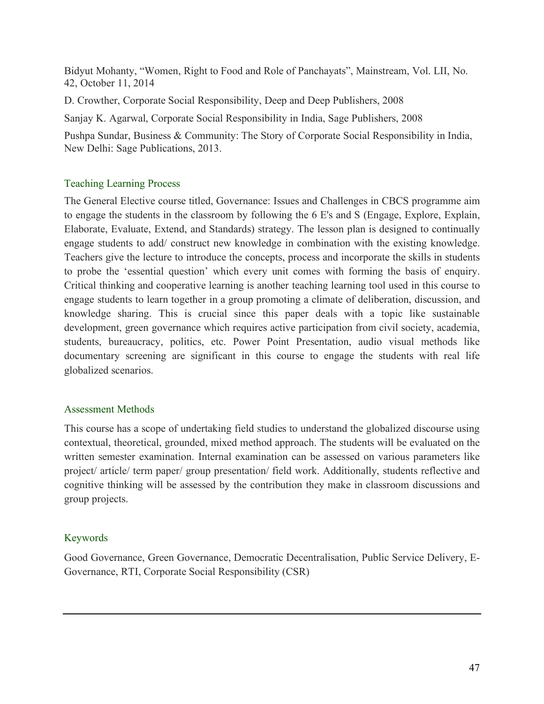Bidyut Mohanty, "Women, Right to Food and Role of Panchayats", Mainstream, Vol. LII, No. 42, October 11, 2014

D. Crowther, Corporate Social Responsibility, Deep and Deep Publishers, 2008

Sanjay K. Agarwal, Corporate Social Responsibility in India, Sage Publishers, 2008

Pushpa Sundar, Business & Community: The Story of Corporate Social Responsibility in India, New Delhi: Sage Publications, 2013.

# Teaching Learning Process

The General Elective course titled, Governance: Issues and Challenges in CBCS programme aim to engage the students in the classroom by following the 6 E's and S (Engage, Explore, Explain, Elaborate, Evaluate, Extend, and Standards) strategy. The lesson plan is designed to continually engage students to add/ construct new knowledge in combination with the existing knowledge. Teachers give the lecture to introduce the concepts, process and incorporate the skills in students to probe the 'essential question' which every unit comes with forming the basis of enquiry. Critical thinking and cooperative learning is another teaching learning tool used in this course to engage students to learn together in a group promoting a climate of deliberation, discussion, and knowledge sharing. This is crucial since this paper deals with a topic like sustainable development, green governance which requires active participation from civil society, academia, students, bureaucracy, politics, etc. Power Point Presentation, audio visual methods like documentary screening are significant in this course to engage the students with real life globalized scenarios.

#### Assessment Methods

This course has a scope of undertaking field studies to understand the globalized discourse using contextual, theoretical, grounded, mixed method approach. The students will be evaluated on the written semester examination. Internal examination can be assessed on various parameters like project/ article/ term paper/ group presentation/ field work. Additionally, students reflective and cognitive thinking will be assessed by the contribution they make in classroom discussions and group projects.

# Keywords

Good Governance, Green Governance, Democratic Decentralisation, Public Service Delivery, E-Governance, RTI, Corporate Social Responsibility (CSR)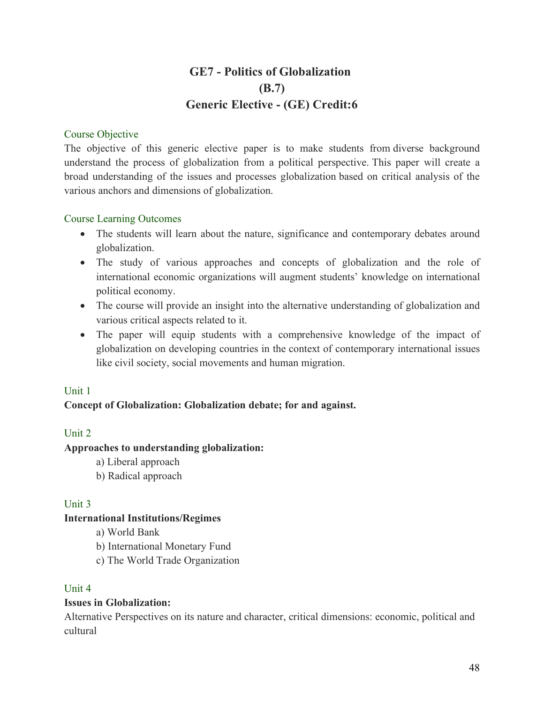# **GE7 - Politics of Globalization (B.7) Generic Elective - (GE) Credit:6**

#### Course Objective

The objective of this generic elective paper is to make students from diverse background understand the process of globalization from a political perspective. This paper will create a broad understanding of the issues and processes globalization based on critical analysis of the various anchors and dimensions of globalization.

#### Course Learning Outcomes

- The students will learn about the nature, significance and contemporary debates around globalization.
- The study of various approaches and concepts of globalization and the role of international economic organizations will augment students' knowledge on international political economy.
- The course will provide an insight into the alternative understanding of globalization and various critical aspects related to it.
- The paper will equip students with a comprehensive knowledge of the impact of globalization on developing countries in the context of contemporary international issues like civil society, social movements and human migration.

#### Unit 1

#### **Concept of Globalization: Globalization debate; for and against.**

#### Unit 2

#### **Approaches to understanding globalization:**

- a) Liberal approach
- b) Radical approach

#### Unit 3

#### **International Institutions/Regimes**

a) World Bank

- b) International Monetary Fund
- c) The World Trade Organization

#### Unit 4

#### **Issues in Globalization:**

Alternative Perspectives on its nature and character, critical dimensions: economic, political and cultural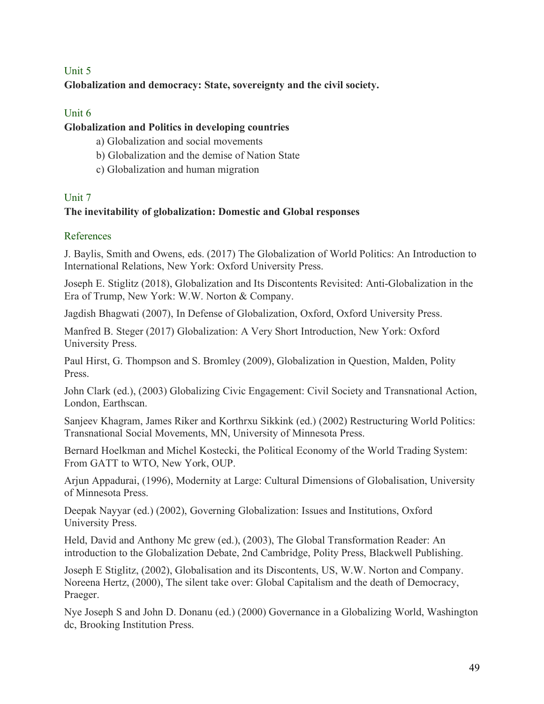# Unit 5 **Globalization and democracy: State, sovereignty and the civil society.**

# Unit 6

# **Globalization and Politics in developing countries**

- a) Globalization and social movements
- b) Globalization and the demise of Nation State
- c) Globalization and human migration

## Unit 7

# **The inevitability of globalization: Domestic and Global responses**

## References

J. Baylis, Smith and Owens, eds. (2017) The Globalization of World Politics: An Introduction to International Relations, New York: Oxford University Press.

Joseph E. Stiglitz (2018), Globalization and Its Discontents Revisited: Anti-Globalization in the Era of Trump, New York: W.W. Norton & Company.

Jagdish Bhagwati (2007), In Defense of Globalization, Oxford, Oxford University Press.

Manfred B. Steger (2017) Globalization: A Very Short Introduction, New York: Oxford University Press.

Paul Hirst, G. Thompson and S. Bromley (2009), Globalization in Question, Malden, Polity Press.

John Clark (ed.), (2003) Globalizing Civic Engagement: Civil Society and Transnational Action, London, Earthscan.

Sanjeev Khagram, James Riker and Korthrxu Sikkink (ed.) (2002) Restructuring World Politics: Transnational Social Movements, MN, University of Minnesota Press.

Bernard Hoelkman and Michel Kostecki, the Political Economy of the World Trading System: From GATT to WTO, New York, OUP.

Arjun Appadurai, (1996), Modernity at Large: Cultural Dimensions of Globalisation, University of Minnesota Press.

Deepak Nayyar (ed.) (2002), Governing Globalization: Issues and Institutions, Oxford University Press.

Held, David and Anthony Mc grew (ed.), (2003), The Global Transformation Reader: An introduction to the Globalization Debate, 2nd Cambridge, Polity Press, Blackwell Publishing.

Joseph E Stiglitz, (2002), Globalisation and its Discontents, US, W.W. Norton and Company. Noreena Hertz, (2000), The silent take over: Global Capitalism and the death of Democracy, Praeger.

Nye Joseph S and John D. Donanu (ed.) (2000) Governance in a Globalizing World, Washington dc, Brooking Institution Press.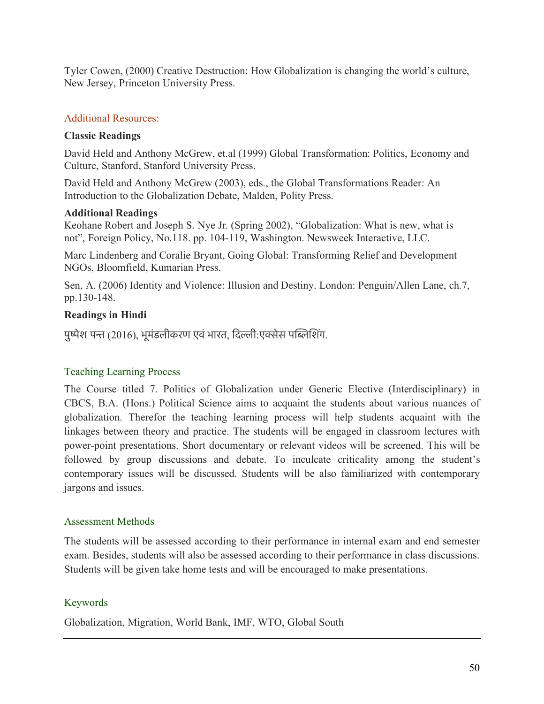Tyler Cowen, (2000) Creative Destruction: How Globalization is changing the world's culture, New Jersey, Princeton University Press.

# Additional Resources:

### **Classic Readings**

David Held and Anthony McGrew, et.al (1999) Global Transformation: Politics, Economy and Culture, Stanford, Stanford University Press.

David Held and Anthony McGrew (2003), eds., the Global Transformations Reader: An Introduction to the Globalization Debate, Malden, Polity Press.

## **Additional Readings**

Keohane Robert and Joseph S. Nye Jr. (Spring 2002), "Globalization: What is new, what is not", Foreign Policy, No.118. pp. 104-119, Washington. Newsweek Interactive, LLC.

Marc Lindenberg and Coralie Bryant, Going Global: Transforming Relief and Development NGOs, Bloomfield, Kumarian Press.

Sen, A. (2006) Identity and Violence: Illusion and Destiny. London: Penguin/Allen Lane, ch.7, pp.130-148.

# **Readings in Hindi**

पुष्पेश पन्त (2016), भूमंडलीकरण एवं भारत, दिल्ली:एक्सेस पब्लिशिंग.

# Teaching Learning Process

The Course titled 7. Politics of Globalization under Generic Elective (Interdisciplinary) in CBCS, B.A. (Hons.) Political Science aims to acquaint the students about various nuances of globalization. Therefor the teaching learning process will help students acquaint with the linkages between theory and practice. The students will be engaged in classroom lectures with power-point presentations. Short documentary or relevant videos will be screened. This will be followed by group discussions and debate. To inculcate criticality among the student's contemporary issues will be discussed. Students will be also familiarized with contemporary jargons and issues.

# Assessment Methods

The students will be assessed according to their performance in internal exam and end semester exam. Besides, students will also be assessed according to their performance in class discussions. Students will be given take home tests and will be encouraged to make presentations.

# Keywords

Globalization, Migration, World Bank, IMF, WTO, Global South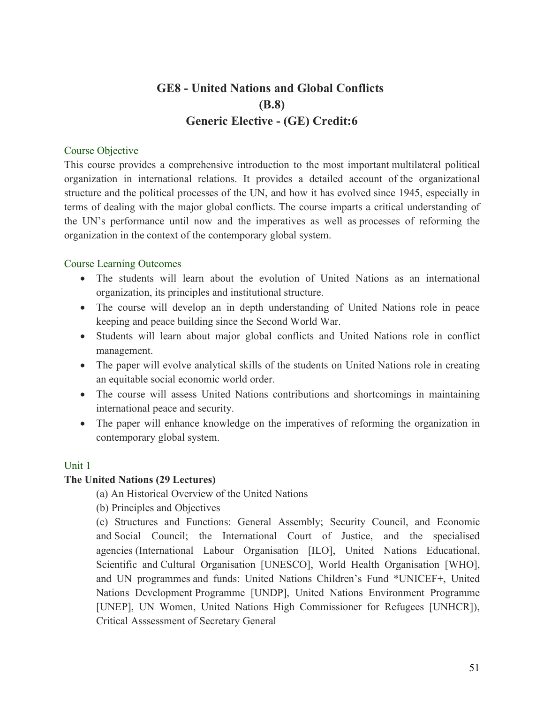# **GE8 - United Nations and Global Conflicts (B.8) Generic Elective - (GE) Credit:6**

#### Course Objective

This course provides a comprehensive introduction to the most important multilateral political organization in international relations. It provides a detailed account of the organizational structure and the political processes of the UN, and how it has evolved since 1945, especially in terms of dealing with the major global conflicts. The course imparts a critical understanding of the UN's performance until now and the imperatives as well as processes of reforming the organization in the context of the contemporary global system.

#### Course Learning Outcomes

- The students will learn about the evolution of United Nations as an international organization, its principles and institutional structure.
- The course will develop an in depth understanding of United Nations role in peace keeping and peace building since the Second World War.
- Students will learn about major global conflicts and United Nations role in conflict management.
- The paper will evolve analytical skills of the students on United Nations role in creating an equitable social economic world order.
- The course will assess United Nations contributions and shortcomings in maintaining international peace and security.
- The paper will enhance knowledge on the imperatives of reforming the organization in contemporary global system.

# Unit 1

# **The United Nations (29 Lectures)**

(a) An Historical Overview of the United Nations

(b) Principles and Objectives

(c) Structures and Functions: General Assembly; Security Council, and Economic and Social Council; the International Court of Justice, and the specialised agencies (International Labour Organisation [ILO], United Nations Educational, Scientific and Cultural Organisation [UNESCO], World Health Organisation [WHO], and UN programmes and funds: United Nations Children's Fund \*UNICEF+, United Nations Development Programme [UNDP], United Nations Environment Programme [UNEP], UN Women, United Nations High Commissioner for Refugees [UNHCR]), Critical Asssessment of Secretary General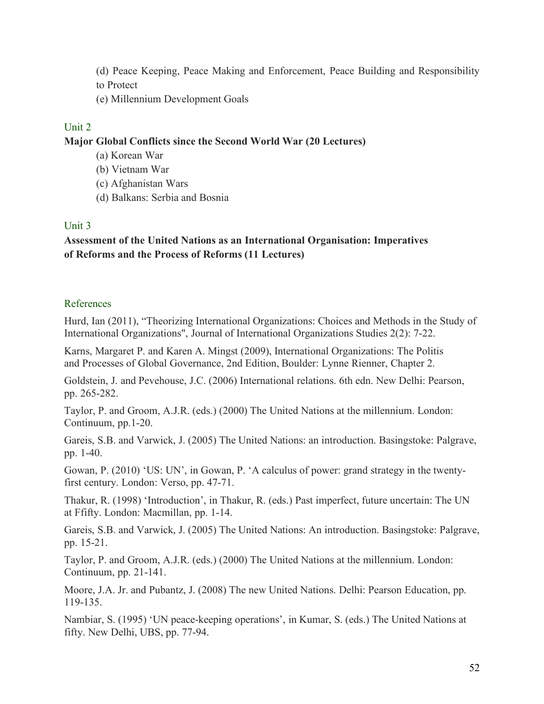- (d) Peace Keeping, Peace Making and Enforcement, Peace Building and Responsibility to Protect
- (e) Millennium Development Goals

## Unit 2

#### **Major Global Conflicts since the Second World War (20 Lectures)**

- (a) Korean War
- (b) Vietnam War
- (c) Afghanistan Wars
- (d) Balkans: Serbia and Bosnia

## Unit 3

# **Assessment of the United Nations as an International Organisation: Imperatives of Reforms and the Process of Reforms (11 Lectures)**

## References

Hurd, Ian (2011), "Theorizing International Organizations: Choices and Methods in the Study of International Organizations", Journal of International Organizations Studies 2(2): 7-22.

Karns, Margaret P. and Karen A. Mingst (2009), International Organizations: The Politis and Processes of Global Governance, 2nd Edition, Boulder: Lynne Rienner, Chapter 2.

Goldstein, J. and Pevehouse, J.C. (2006) International relations. 6th edn. New Delhi: Pearson, pp. 265-282.

Taylor, P. and Groom, A.J.R. (eds.) (2000) The United Nations at the millennium. London: Continuum, pp.1-20.

Gareis, S.B. and Varwick, J. (2005) The United Nations: an introduction. Basingstoke: Palgrave, pp. 1-40.

Gowan, P. (2010) 'US: UN', in Gowan, P. 'A calculus of power: grand strategy in the twentyfirst century. London: Verso, pp. 47-71.

Thakur, R. (1998) 'Introduction', in Thakur, R. (eds.) Past imperfect, future uncertain: The UN at Ffifty. London: Macmillan, pp. 1-14.

Gareis, S.B. and Varwick, J. (2005) The United Nations: An introduction. Basingstoke: Palgrave, pp. 15-21.

Taylor, P. and Groom, A.J.R. (eds.) (2000) The United Nations at the millennium. London: Continuum, pp. 21-141.

Moore, J.A. Jr. and Pubantz, J. (2008) The new United Nations. Delhi: Pearson Education, pp. 119-135.

Nambiar, S. (1995) 'UN peace-keeping operations', in Kumar, S. (eds.) The United Nations at fifty. New Delhi, UBS, pp. 77-94.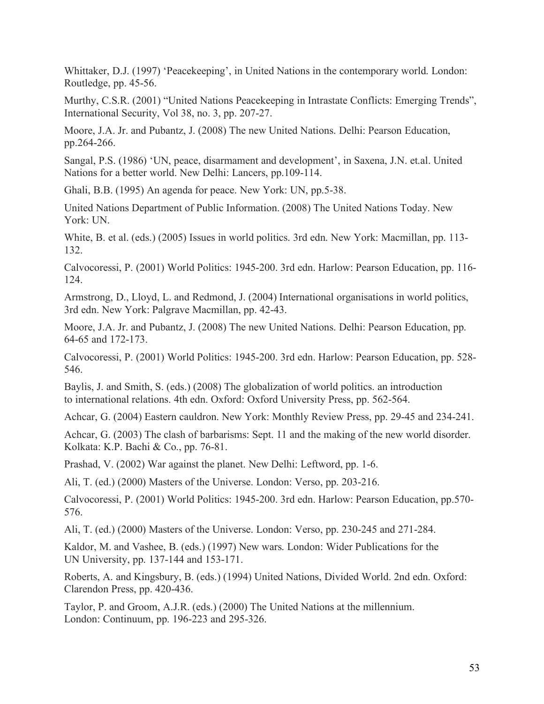Whittaker, D.J. (1997) 'Peacekeeping', in United Nations in the contemporary world. London: Routledge, pp. 45-56.

Murthy, C.S.R. (2001) "United Nations Peacekeeping in Intrastate Conflicts: Emerging Trends", International Security, Vol 38, no. 3, pp. 207-27.

Moore, J.A. Jr. and Pubantz, J. (2008) The new United Nations. Delhi: Pearson Education, pp.264-266.

Sangal, P.S. (1986) 'UN, peace, disarmament and development', in Saxena, J.N. et.al. United Nations for a better world. New Delhi: Lancers, pp.109-114.

Ghali, B.B. (1995) An agenda for peace. New York: UN, pp.5-38.

United Nations Department of Public Information. (2008) The United Nations Today. New York: UN.

White, B. et al. (eds.) (2005) Issues in world politics. 3rd edn. New York: Macmillan, pp. 113- 132.

Calvocoressi, P. (2001) World Politics: 1945-200. 3rd edn. Harlow: Pearson Education, pp. 116- 124.

Armstrong, D., Lloyd, L. and Redmond, J. (2004) International organisations in world politics, 3rd edn. New York: Palgrave Macmillan, pp. 42-43.

Moore, J.A. Jr. and Pubantz, J. (2008) The new United Nations. Delhi: Pearson Education, pp. 64-65 and 172-173.

Calvocoressi, P. (2001) World Politics: 1945-200. 3rd edn. Harlow: Pearson Education, pp. 528- 546.

Baylis, J. and Smith, S. (eds.) (2008) The globalization of world politics. an introduction to international relations. 4th edn. Oxford: Oxford University Press, pp. 562-564.

Achcar, G. (2004) Eastern cauldron. New York: Monthly Review Press, pp. 29-45 and 234-241.

Achcar, G. (2003) The clash of barbarisms: Sept. 11 and the making of the new world disorder. Kolkata: K.P. Bachi & Co., pp. 76-81.

Prashad, V. (2002) War against the planet. New Delhi: Leftword, pp. 1-6.

Ali, T. (ed.) (2000) Masters of the Universe. London: Verso, pp. 203-216.

Calvocoressi, P. (2001) World Politics: 1945-200. 3rd edn. Harlow: Pearson Education, pp.570- 576.

Ali, T. (ed.) (2000) Masters of the Universe. London: Verso, pp. 230-245 and 271-284.

Kaldor, M. and Vashee, B. (eds.) (1997) New wars. London: Wider Publications for the UN University, pp. 137-144 and 153-171.

Roberts, A. and Kingsbury, B. (eds.) (1994) United Nations, Divided World. 2nd edn. Oxford: Clarendon Press, pp. 420-436.

Taylor, P. and Groom, A.J.R. (eds.) (2000) The United Nations at the millennium. London: Continuum, pp. 196-223 and 295-326.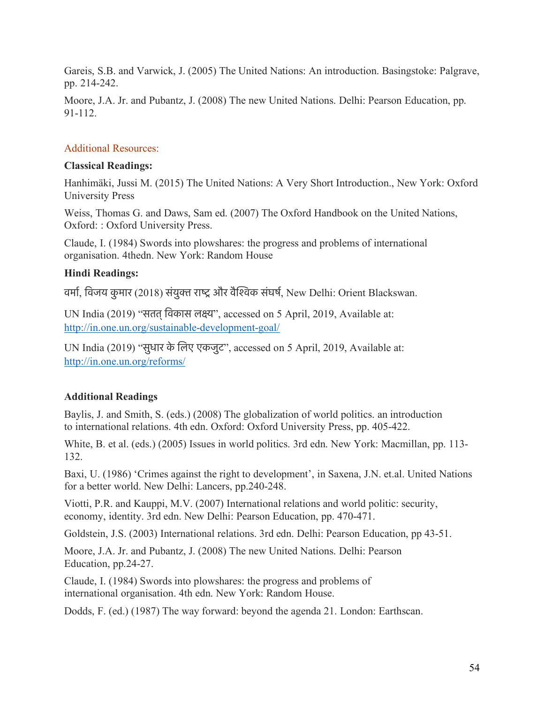Gareis, S.B. and Varwick, J. (2005) The United Nations: An introduction. Basingstoke: Palgrave, pp. 214-242.

Moore, J.A. Jr. and Pubantz, J. (2008) The new United Nations. Delhi: Pearson Education, pp. 91-112.

#### Additional Resources:

#### **Classical Readings:**

Hanhimäki, Jussi M. (2015) The United Nations: A Very Short Introduction., New York: Oxford University Press

Weiss, Thomas G. and Daws, Sam ed. (2007) The Oxford Handbook on the United Nations, Oxford: : Oxford University Press.

Claude, I. (1984) Swords into plowshares: the progress and problems of international organisation. 4thedn. New York: Random House

#### **Hindi Readings:**

वर्मा, विजय कुमार (2018) संयुक्त राष्ट्र और वैश्विक संघर्ष, New Delhi: Orient Blackswan.

UN India (2019) "सतत्िवकास लकय", accessed on 5 April, 2019, Available at: http://in.one.un.org/sustainable-development-goal/

UN India (2019) "सुधार के िलए एकजुट", accessed on 5 April, 2019, Available at: http://in.one.un.org/reforms/

#### **Additional Readings**

Baylis, J. and Smith, S. (eds.) (2008) The globalization of world politics. an introduction to international relations. 4th edn. Oxford: Oxford University Press, pp. 405-422.

White, B. et al. (eds.) (2005) Issues in world politics. 3rd edn. New York: Macmillan, pp. 113- 132.

Baxi, U. (1986) 'Crimes against the right to development', in Saxena, J.N. et.al. United Nations for a better world. New Delhi: Lancers, pp.240-248.

Viotti, P.R. and Kauppi, M.V. (2007) International relations and world politic: security, economy, identity. 3rd edn. New Delhi: Pearson Education, pp. 470-471.

Goldstein, J.S. (2003) International relations. 3rd edn. Delhi: Pearson Education, pp 43-51.

Moore, J.A. Jr. and Pubantz, J. (2008) The new United Nations. Delhi: Pearson Education, pp.24-27.

Claude, I. (1984) Swords into plowshares: the progress and problems of international organisation. 4th edn. New York: Random House.

Dodds, F. (ed.) (1987) The way forward: beyond the agenda 21. London: Earthscan.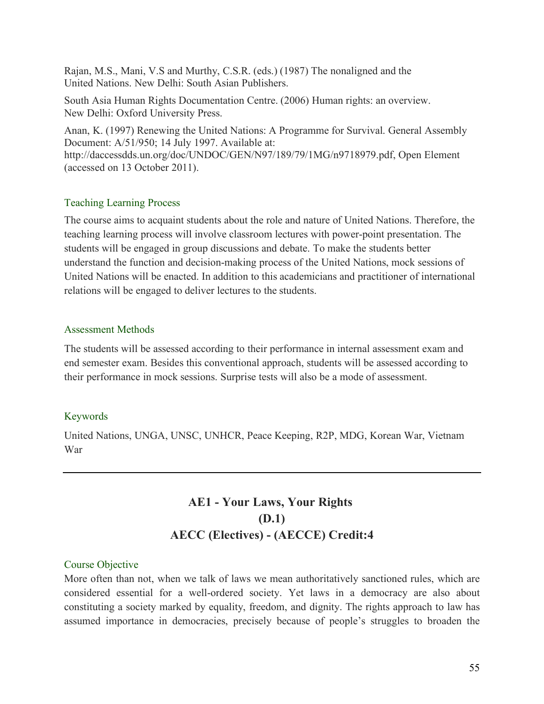Rajan, M.S., Mani, V.S and Murthy, C.S.R. (eds.) (1987) The nonaligned and the United Nations. New Delhi: South Asian Publishers.

South Asia Human Rights Documentation Centre. (2006) Human rights: an overview. New Delhi: Oxford University Press.

Anan, K. (1997) Renewing the United Nations: A Programme for Survival. General Assembly Document: A/51/950; 14 July 1997. Available at: http://daccessdds.un.org/doc/UNDOC/GEN/N97/189/79/1MG/n9718979.pdf, Open Element (accessed on 13 October 2011).

#### Teaching Learning Process

The course aims to acquaint students about the role and nature of United Nations. Therefore, the teaching learning process will involve classroom lectures with power-point presentation. The students will be engaged in group discussions and debate. To make the students better understand the function and decision-making process of the United Nations, mock sessions of United Nations will be enacted. In addition to this academicians and practitioner of international relations will be engaged to deliver lectures to the students.

## Assessment Methods

The students will be assessed according to their performance in internal assessment exam and end semester exam. Besides this conventional approach, students will be assessed according to their performance in mock sessions. Surprise tests will also be a mode of assessment.

# Keywords

United Nations, UNGA, UNSC, UNHCR, Peace Keeping, R2P, MDG, Korean War, Vietnam War

# **AE1 - Your Laws, Your Rights (D.1) AECC (Electives) - (AECCE) Credit:4**

#### Course Objective

More often than not, when we talk of laws we mean authoritatively sanctioned rules, which are considered essential for a well-ordered society. Yet laws in a democracy are also about constituting a society marked by equality, freedom, and dignity. The rights approach to law has assumed importance in democracies, precisely because of people's struggles to broaden the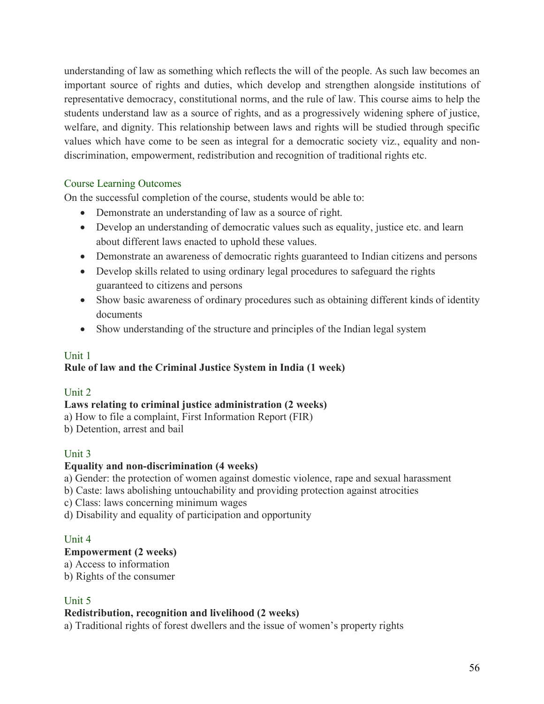understanding of law as something which reflects the will of the people. As such law becomes an important source of rights and duties, which develop and strengthen alongside institutions of representative democracy, constitutional norms, and the rule of law. This course aims to help the students understand law as a source of rights, and as a progressively widening sphere of justice, welfare, and dignity. This relationship between laws and rights will be studied through specific values which have come to be seen as integral for a democratic society viz., equality and nondiscrimination, empowerment, redistribution and recognition of traditional rights etc.

# Course Learning Outcomes

On the successful completion of the course, students would be able to:

- Demonstrate an understanding of law as a source of right.
- Develop an understanding of democratic values such as equality, justice etc. and learn about different laws enacted to uphold these values.
- Demonstrate an awareness of democratic rights guaranteed to Indian citizens and persons
- Develop skills related to using ordinary legal procedures to safeguard the rights guaranteed to citizens and persons
- Show basic awareness of ordinary procedures such as obtaining different kinds of identity documents
- Show understanding of the structure and principles of the Indian legal system

# Unit 1

# **Rule of law and the Criminal Justice System in India (1 week)**

#### Unit 2

#### **Laws relating to criminal justice administration (2 weeks)**

- a) How to file a complaint, First Information Report (FIR)
- b) Detention, arrest and bail

# Unit 3

# **Equality and non-discrimination (4 weeks)**

a) Gender: the protection of women against domestic violence, rape and sexual harassment

- b) Caste: laws abolishing untouchability and providing protection against atrocities
- c) Class: laws concerning minimum wages
- d) Disability and equality of participation and opportunity

#### Unit 4

# **Empowerment (2 weeks)**

a) Access to information

b) Rights of the consumer

# Unit 5

#### **Redistribution, recognition and livelihood (2 weeks)**

a) Traditional rights of forest dwellers and the issue of women's property rights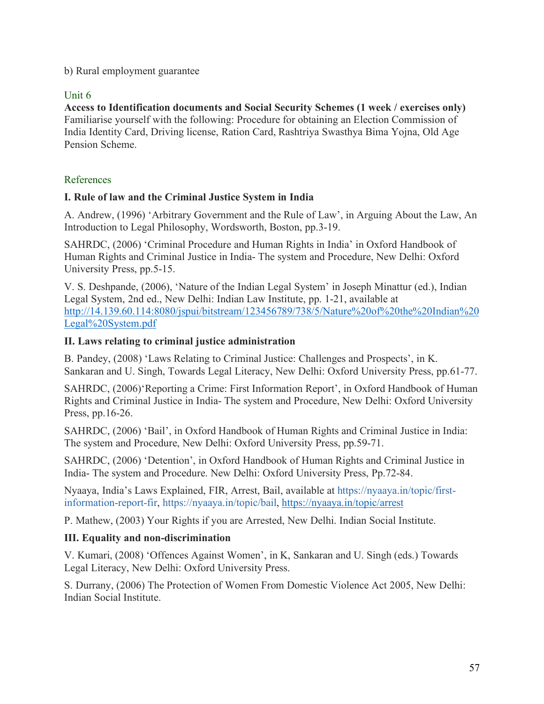b) Rural employment guarantee

## Unit 6

**Access to Identification documents and Social Security Schemes (1 week / exercises only)** Familiarise yourself with the following: Procedure for obtaining an Election Commission of India Identity Card, Driving license, Ration Card, Rashtriya Swasthya Bima Yojna, Old Age Pension Scheme.

## References

#### **I. Rule of law and the Criminal Justice System in India**

A. Andrew, (1996) 'Arbitrary Government and the Rule of Law', in Arguing About the Law, An Introduction to Legal Philosophy, Wordsworth, Boston, pp.3-19.

SAHRDC, (2006) 'Criminal Procedure and Human Rights in India' in Oxford Handbook of Human Rights and Criminal Justice in India- The system and Procedure, New Delhi: Oxford University Press, pp.5-15.

V. S. Deshpande, (2006), 'Nature of the Indian Legal System' in Joseph Minattur (ed.), Indian Legal System, 2nd ed., New Delhi: Indian Law Institute, pp. 1-21, available at http://14.139.60.114:8080/jspui/bitstream/123456789/738/5/Nature%20of%20the%20Indian%20 Legal%20System.pdf

#### **II. Laws relating to criminal justice administration**

B. Pandey, (2008) 'Laws Relating to Criminal Justice: Challenges and Prospects', in K. Sankaran and U. Singh, Towards Legal Literacy, New Delhi: Oxford University Press, pp.61-77.

SAHRDC, (2006)'Reporting a Crime: First Information Report', in Oxford Handbook of Human Rights and Criminal Justice in India- The system and Procedure, New Delhi: Oxford University Press, pp.16-26.

SAHRDC, (2006) 'Bail', in Oxford Handbook of Human Rights and Criminal Justice in India: The system and Procedure, New Delhi: Oxford University Press, pp.59-71.

SAHRDC, (2006) 'Detention', in Oxford Handbook of Human Rights and Criminal Justice in India- The system and Procedure. New Delhi: Oxford University Press, Pp.72-84.

Nyaaya, India's Laws Explained, FIR, Arrest, Bail, available at https://nyaaya.in/topic/firstinformation-report-fir, https://nyaaya.in/topic/bail, https://nyaaya.in/topic/arrest

P. Mathew, (2003) Your Rights if you are Arrested, New Delhi. Indian Social Institute.

#### **III. Equality and non-discrimination**

V. Kumari, (2008) 'Offences Against Women', in K, Sankaran and U. Singh (eds.) Towards Legal Literacy, New Delhi: Oxford University Press.

S. Durrany, (2006) The Protection of Women From Domestic Violence Act 2005, New Delhi: Indian Social Institute.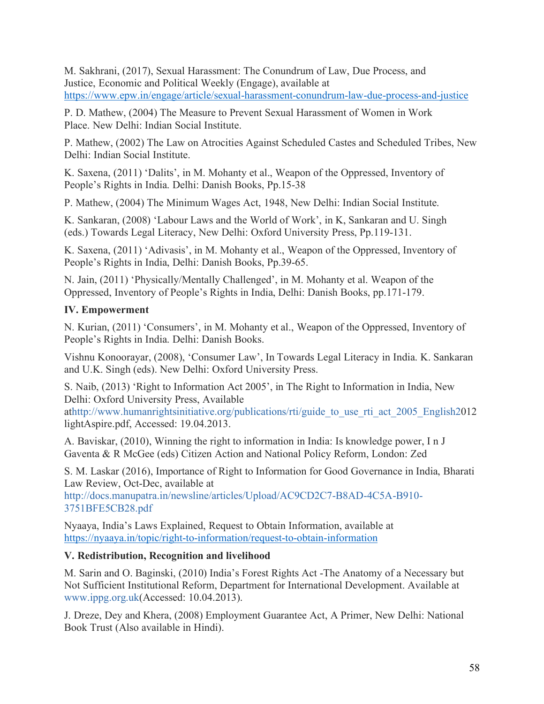M. Sakhrani, (2017), Sexual Harassment: The Conundrum of Law, Due Process, and Justice, Economic and Political Weekly (Engage), available at https://www.epw.in/engage/article/sexual-harassment-conundrum-law-due-process-and-justice

P. D. Mathew, (2004) The Measure to Prevent Sexual Harassment of Women in Work Place. New Delhi: Indian Social Institute.

P. Mathew, (2002) The Law on Atrocities Against Scheduled Castes and Scheduled Tribes, New Delhi: Indian Social Institute.

K. Saxena, (2011) 'Dalits', in M. Mohanty et al., Weapon of the Oppressed, Inventory of People's Rights in India. Delhi: Danish Books, Pp.15-38

P. Mathew, (2004) The Minimum Wages Act, 1948, New Delhi: Indian Social Institute.

K. Sankaran, (2008) 'Labour Laws and the World of Work', in K, Sankaran and U. Singh (eds.) Towards Legal Literacy, New Delhi: Oxford University Press, Pp.119-131.

K. Saxena, (2011) 'Adivasis', in M. Mohanty et al., Weapon of the Oppressed, Inventory of People's Rights in India, Delhi: Danish Books, Pp.39-65.

N. Jain, (2011) 'Physically/Mentally Challenged', in M. Mohanty et al. Weapon of the Oppressed, Inventory of People's Rights in India, Delhi: Danish Books, pp.171-179.

# **IV. Empowerment**

N. Kurian, (2011) 'Consumers', in M. Mohanty et al., Weapon of the Oppressed, Inventory of People's Rights in India. Delhi: Danish Books.

Vishnu Konoorayar, (2008), 'Consumer Law', In Towards Legal Literacy in India. K. Sankaran and U.K. Singh (eds). New Delhi: Oxford University Press.

S. Naib, (2013) 'Right to Information Act 2005', in The Right to Information in India, New Delhi: Oxford University Press, Available

athttp://www.humanrightsinitiative.org/publications/rti/guide to use rti act 2005 English2012 lightAspire.pdf, Accessed: 19.04.2013.

A. Baviskar, (2010), Winning the right to information in India: Is knowledge power, I n J Gaventa & R McGee (eds) Citizen Action and National Policy Reform, London: Zed

S. M. Laskar (2016), Importance of Right to Information for Good Governance in India, Bharati Law Review, Oct-Dec, available at

http://docs.manupatra.in/newsline/articles/Upload/AC9CD2C7-B8AD-4C5A-B910- 3751BFE5CB28.pdf

Nyaaya, India's Laws Explained, Request to Obtain Information, available at https://nyaaya.in/topic/right-to-information/request-to-obtain-information

# **V. Redistribution, Recognition and livelihood**

M. Sarin and O. Baginski, (2010) India's Forest Rights Act -The Anatomy of a Necessary but Not Sufficient Institutional Reform, Department for International Development. Available at www.ippg.org.uk(Accessed: 10.04.2013).

J. Dreze, Dey and Khera, (2008) Employment Guarantee Act, A Primer, New Delhi: National Book Trust (Also available in Hindi).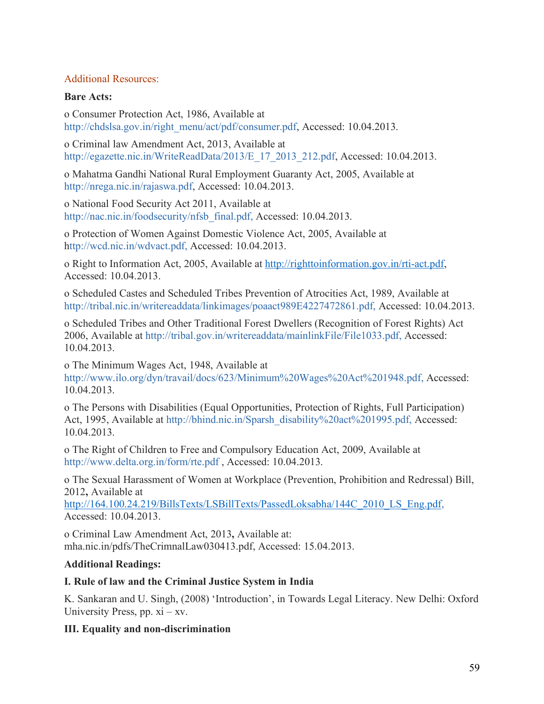### Additional Resources:

### **Bare Acts:**

o Consumer Protection Act, 1986, Available at http://chdslsa.gov.in/right\_menu/act/pdf/consumer.pdf, Accessed: 10.04.2013.

o Criminal law Amendment Act, 2013, Available at http://egazette.nic.in/WriteReadData/2013/E\_17\_2013\_212.pdf, Accessed: 10.04.2013.

o Mahatma Gandhi National Rural Employment Guaranty Act, 2005, Available at http://nrega.nic.in/rajaswa.pdf, Accessed: 10.04.2013.

o National Food Security Act 2011, Available at http://nac.nic.in/foodsecurity/nfsb\_final.pdf, Accessed: 10.04.2013.

o Protection of Women Against Domestic Violence Act, 2005, Available at http://wcd.nic.in/wdvact.pdf, Accessed: 10.04.2013.

o Right to Information Act, 2005, Available at http://righttoinformation.gov.in/rti-act.pdf, Accessed: 10.04.2013.

o Scheduled Castes and Scheduled Tribes Prevention of Atrocities Act, 1989, Available at http://tribal.nic.in/writereaddata/linkimages/poaact989E4227472861.pdf, Accessed: 10.04.2013.

o Scheduled Tribes and Other Traditional Forest Dwellers (Recognition of Forest Rights) Act 2006, Available at http://tribal.gov.in/writereaddata/mainlinkFile/File1033.pdf, Accessed: 10.04.2013.

o The Minimum Wages Act, 1948, Available at

http://www.ilo.org/dyn/travail/docs/623/Minimum%20Wages%20Act%201948.pdf, Accessed: 10.04.2013.

o The Persons with Disabilities (Equal Opportunities, Protection of Rights, Full Participation) Act, 1995, Available at http://bhind.nic.in/Sparsh\_disability%20act%201995.pdf, Accessed: 10.04.2013.

o The Right of Children to Free and Compulsory Education Act, 2009, Available at http://www.delta.org.in/form/rte.pdf , Accessed: 10.04.2013.

o The Sexual Harassment of Women at Workplace (Prevention, Prohibition and Redressal) Bill, 2012**,** Available at

http://164.100.24.219/BillsTexts/LSBillTexts/PassedLoksabha/144C\_2010\_LS\_Eng.pdf, Accessed: 10.04.2013.

o Criminal Law Amendment Act, 2013**,** Available at: mha.nic.in/pdfs/TheCrimnalLaw030413.pdf, Accessed: 15.04.2013.

# **Additional Readings:**

# **I. Rule of law and the Criminal Justice System in India**

K. Sankaran and U. Singh, (2008) 'Introduction', in Towards Legal Literacy. New Delhi: Oxford University Press, pp.  $xi - xy$ .

# **III. Equality and non-discrimination**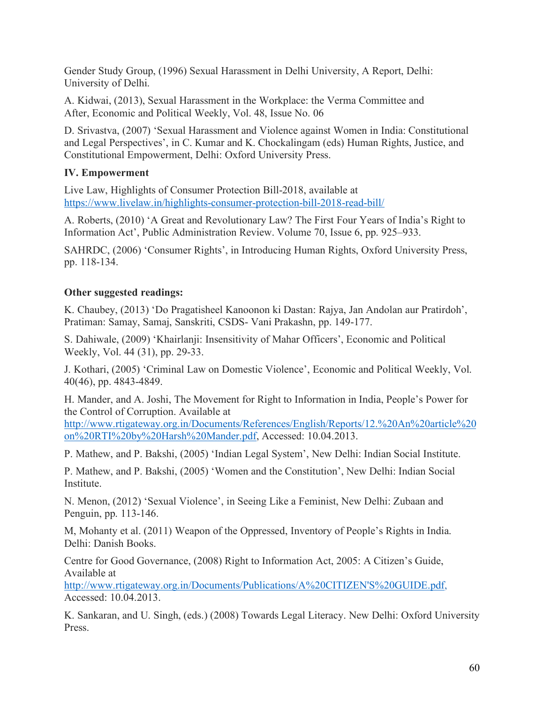Gender Study Group, (1996) Sexual Harassment in Delhi University, A Report, Delhi: University of Delhi.

A. Kidwai, (2013), Sexual Harassment in the Workplace: the Verma Committee and After, Economic and Political Weekly, Vol. 48, Issue No. 06

D. Srivastva, (2007) 'Sexual Harassment and Violence against Women in India: Constitutional and Legal Perspectives', in C. Kumar and K. Chockalingam (eds) Human Rights, Justice, and Constitutional Empowerment, Delhi: Oxford University Press.

## **IV. Empowerment**

Live Law, Highlights of Consumer Protection Bill-2018, available at https://www.livelaw.in/highlights-consumer-protection-bill-2018-read-bill/

A. Roberts, (2010) 'A Great and Revolutionary Law? The First Four Years of India's Right to Information Act', Public Administration Review. Volume 70, Issue 6, pp. 925–933.

SAHRDC, (2006) 'Consumer Rights', in Introducing Human Rights, Oxford University Press, pp. 118-134.

#### **Other suggested readings:**

K. Chaubey, (2013) 'Do Pragatisheel Kanoonon ki Dastan: Rajya, Jan Andolan aur Pratirdoh', Pratiman: Samay, Samaj, Sanskriti, CSDS- Vani Prakashn, pp. 149-177.

S. Dahiwale, (2009) 'Khairlanji: Insensitivity of Mahar Officers', Economic and Political Weekly, Vol. 44 (31), pp. 29-33.

J. Kothari, (2005) 'Criminal Law on Domestic Violence', Economic and Political Weekly, Vol. 40(46), pp. 4843-4849.

H. Mander, and A. Joshi, The Movement for Right to Information in India, People's Power for the Control of Corruption. Available at

http://www.rtigateway.org.in/Documents/References/English/Reports/12.%20An%20article%20 on%20RTI%20by%20Harsh%20Mander.pdf, Accessed: 10.04.2013.

P. Mathew, and P. Bakshi, (2005) 'Indian Legal System', New Delhi: Indian Social Institute.

P. Mathew, and P. Bakshi, (2005) 'Women and the Constitution', New Delhi: Indian Social Institute.

N. Menon, (2012) 'Sexual Violence', in Seeing Like a Feminist, New Delhi: Zubaan and Penguin, pp. 113-146.

M, Mohanty et al. (2011) Weapon of the Oppressed, Inventory of People's Rights in India. Delhi: Danish Books.

Centre for Good Governance, (2008) Right to Information Act, 2005: A Citizen's Guide, Available at

http://www.rtigateway.org.in/Documents/Publications/A%20CITIZEN'S%20GUIDE.pdf, Accessed: 10.04.2013.

K. Sankaran, and U. Singh, (eds.) (2008) Towards Legal Literacy. New Delhi: Oxford University Press.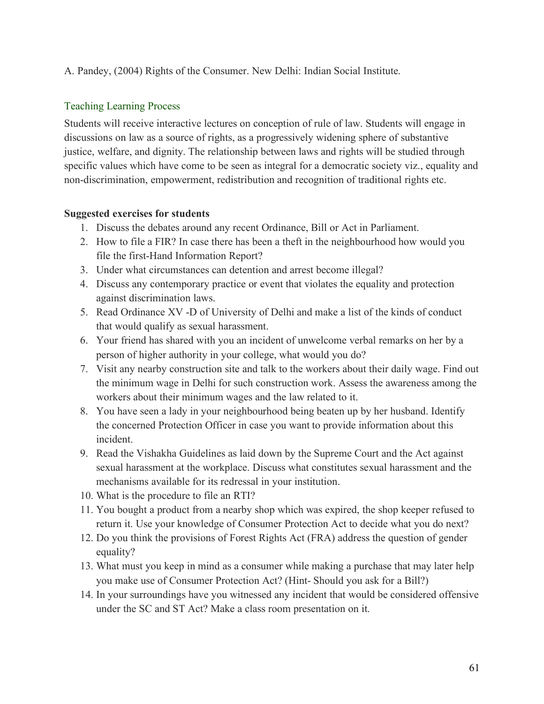A. Pandey, (2004) Rights of the Consumer. New Delhi: Indian Social Institute.

# Teaching Learning Process

Students will receive interactive lectures on conception of rule of law. Students will engage in discussions on law as a source of rights, as a progressively widening sphere of substantive justice, welfare, and dignity. The relationship between laws and rights will be studied through specific values which have come to be seen as integral for a democratic society viz., equality and non-discrimination, empowerment, redistribution and recognition of traditional rights etc.

# **Suggested exercises for students**

- 1. Discuss the debates around any recent Ordinance, Bill or Act in Parliament.
- 2. How to file a FIR? In case there has been a theft in the neighbourhood how would you file the first-Hand Information Report?
- 3. Under what circumstances can detention and arrest become illegal?
- 4. Discuss any contemporary practice or event that violates the equality and protection against discrimination laws.
- 5. Read Ordinance XV -D of University of Delhi and make a list of the kinds of conduct that would qualify as sexual harassment.
- 6. Your friend has shared with you an incident of unwelcome verbal remarks on her by a person of higher authority in your college, what would you do?
- 7. Visit any nearby construction site and talk to the workers about their daily wage. Find out the minimum wage in Delhi for such construction work. Assess the awareness among the workers about their minimum wages and the law related to it.
- 8. You have seen a lady in your neighbourhood being beaten up by her husband. Identify the concerned Protection Officer in case you want to provide information about this incident.
- 9. Read the Vishakha Guidelines as laid down by the Supreme Court and the Act against sexual harassment at the workplace. Discuss what constitutes sexual harassment and the mechanisms available for its redressal in your institution.
- 10. What is the procedure to file an RTI?
- 11. You bought a product from a nearby shop which was expired, the shop keeper refused to return it. Use your knowledge of Consumer Protection Act to decide what you do next?
- 12. Do you think the provisions of Forest Rights Act (FRA) address the question of gender equality?
- 13. What must you keep in mind as a consumer while making a purchase that may later help you make use of Consumer Protection Act? (Hint- Should you ask for a Bill?)
- 14. In your surroundings have you witnessed any incident that would be considered offensive under the SC and ST Act? Make a class room presentation on it.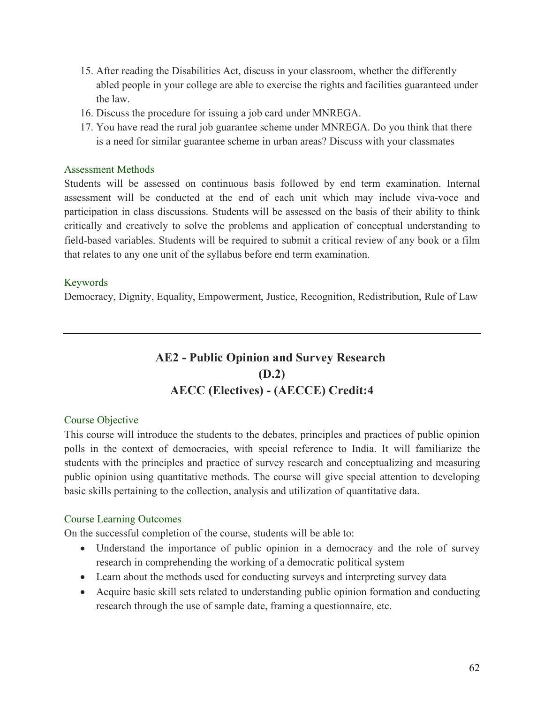- 15. After reading the Disabilities Act, discuss in your classroom, whether the differently abled people in your college are able to exercise the rights and facilities guaranteed under the law.
- 16. Discuss the procedure for issuing a job card under MNREGA.
- 17. You have read the rural job guarantee scheme under MNREGA. Do you think that there is a need for similar guarantee scheme in urban areas? Discuss with your classmates

#### Assessment Methods

Students will be assessed on continuous basis followed by end term examination. Internal assessment will be conducted at the end of each unit which may include viva-voce and participation in class discussions. Students will be assessed on the basis of their ability to think critically and creatively to solve the problems and application of conceptual understanding to field-based variables. Students will be required to submit a critical review of any book or a film that relates to any one unit of the syllabus before end term examination.

#### Keywords

Democracy, Dignity, Equality, Empowerment, Justice, Recognition, Redistribution, Rule of Law

# **AE2 - Public Opinion and Survey Research (D.2) AECC (Electives) - (AECCE) Credit:4**

#### Course Objective

This course will introduce the students to the debates, principles and practices of public opinion polls in the context of democracies, with special reference to India. It will familiarize the students with the principles and practice of survey research and conceptualizing and measuring public opinion using quantitative methods. The course will give special attention to developing basic skills pertaining to the collection, analysis and utilization of quantitative data.

#### Course Learning Outcomes

On the successful completion of the course, students will be able to:

- Understand the importance of public opinion in a democracy and the role of survey research in comprehending the working of a democratic political system
- Learn about the methods used for conducting surveys and interpreting survey data
- Acquire basic skill sets related to understanding public opinion formation and conducting research through the use of sample date, framing a questionnaire, etc.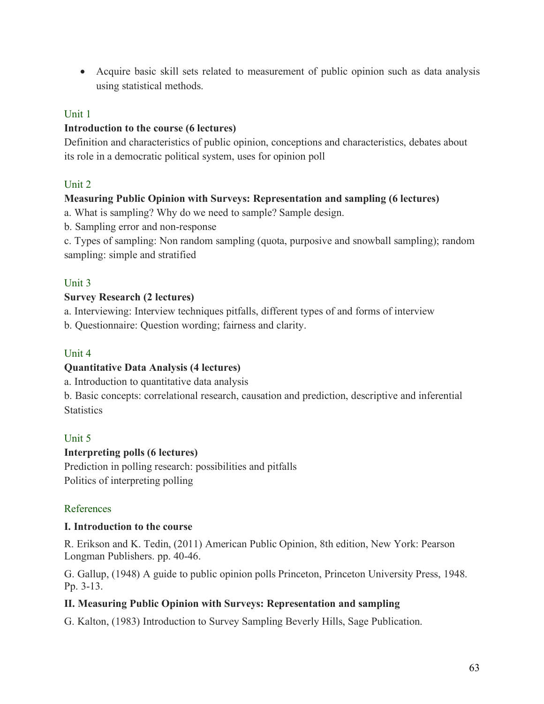• Acquire basic skill sets related to measurement of public opinion such as data analysis using statistical methods.

# Unit 1

# **Introduction to the course (6 lectures)**

Definition and characteristics of public opinion, conceptions and characteristics, debates about its role in a democratic political system, uses for opinion poll

# Unit 2

## **Measuring Public Opinion with Surveys: Representation and sampling (6 lectures)**

a. What is sampling? Why do we need to sample? Sample design.

b. Sampling error and non-response

c. Types of sampling: Non random sampling (quota, purposive and snowball sampling); random sampling: simple and stratified

# Unit 3

## **Survey Research (2 lectures)**

a. Interviewing: Interview techniques pitfalls, different types of and forms of interview

b. Questionnaire: Question wording; fairness and clarity.

# Unit 4

#### **Quantitative Data Analysis (4 lectures)**

a. Introduction to quantitative data analysis

b. Basic concepts: correlational research, causation and prediction, descriptive and inferential **Statistics** 

# Unit 5

#### **Interpreting polls (6 lectures)**

Prediction in polling research: possibilities and pitfalls Politics of interpreting polling

# References

#### **I. Introduction to the course**

R. Erikson and K. Tedin, (2011) American Public Opinion, 8th edition, New York: Pearson Longman Publishers. pp. 40-46.

G. Gallup, (1948) A guide to public opinion polls Princeton, Princeton University Press, 1948. Pp. 3-13.

# **II. Measuring Public Opinion with Surveys: Representation and sampling**

G. Kalton, (1983) Introduction to Survey Sampling Beverly Hills, Sage Publication.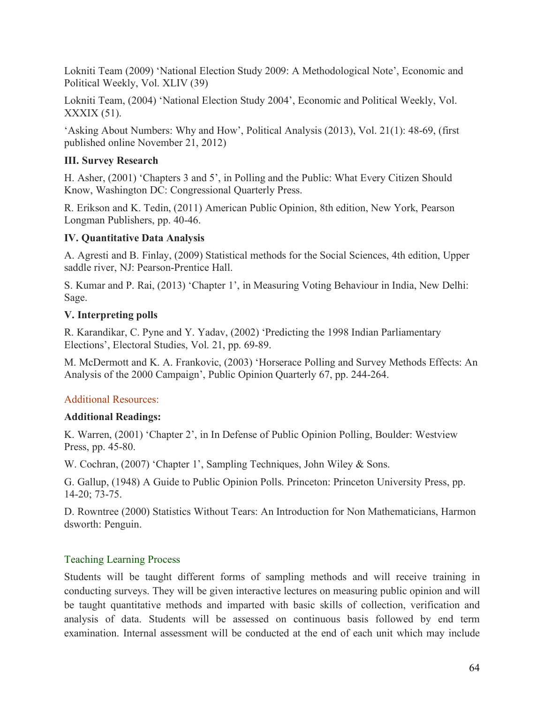Lokniti Team (2009) 'National Election Study 2009: A Methodological Note', Economic and Political Weekly, Vol. XLIV (39)

Lokniti Team, (2004) 'National Election Study 2004', Economic and Political Weekly, Vol. XXXIX (51).

'Asking About Numbers: Why and How', Political Analysis (2013), Vol. 21(1): 48-69, (first published online November 21, 2012)

# **III. Survey Research**

H. Asher, (2001) 'Chapters 3 and 5', in Polling and the Public: What Every Citizen Should Know, Washington DC: Congressional Quarterly Press.

R. Erikson and K. Tedin, (2011) American Public Opinion, 8th edition, New York, Pearson Longman Publishers, pp. 40-46.

# **IV. Quantitative Data Analysis**

A. Agresti and B. Finlay, (2009) Statistical methods for the Social Sciences, 4th edition, Upper saddle river, NJ: Pearson-Prentice Hall.

S. Kumar and P. Rai, (2013) 'Chapter 1', in Measuring Voting Behaviour in India, New Delhi: Sage.

# **V. Interpreting polls**

R. Karandikar, C. Pyne and Y. Yadav, (2002) 'Predicting the 1998 Indian Parliamentary Elections', Electoral Studies, Vol. 21, pp. 69-89.

M. McDermott and K. A. Frankovic, (2003) 'Horserace Polling and Survey Methods Effects: An Analysis of the 2000 Campaign', Public Opinion Quarterly 67, pp. 244-264.

# Additional Resources:

# **Additional Readings:**

K. Warren, (2001) 'Chapter 2', in In Defense of Public Opinion Polling, Boulder: Westview Press, pp. 45-80.

W. Cochran, (2007) 'Chapter 1', Sampling Techniques, John Wiley & Sons.

G. Gallup, (1948) A Guide to Public Opinion Polls. Princeton: Princeton University Press, pp. 14-20; 73-75.

D. Rowntree (2000) Statistics Without Tears: An Introduction for Non Mathematicians, Harmon dsworth: Penguin.

# Teaching Learning Process

Students will be taught different forms of sampling methods and will receive training in conducting surveys. They will be given interactive lectures on measuring public opinion and will be taught quantitative methods and imparted with basic skills of collection, verification and analysis of data. Students will be assessed on continuous basis followed by end term examination. Internal assessment will be conducted at the end of each unit which may include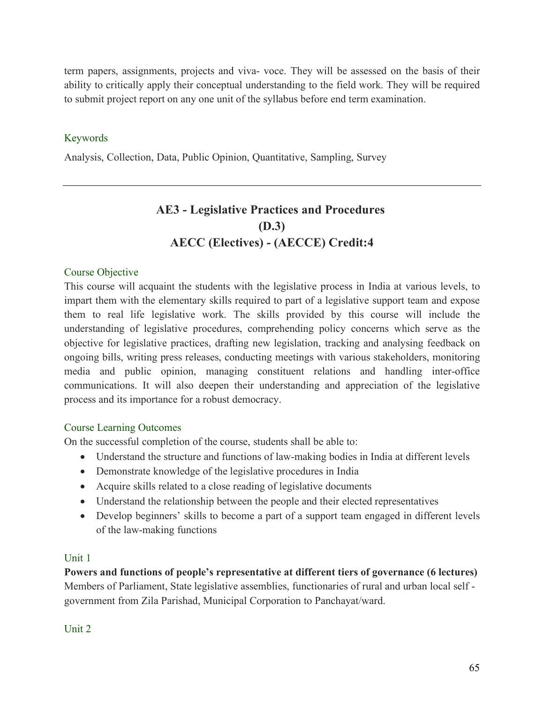term papers, assignments, projects and viva- voce. They will be assessed on the basis of their ability to critically apply their conceptual understanding to the field work. They will be required to submit project report on any one unit of the syllabus before end term examination.

# Keywords

Analysis, Collection, Data, Public Opinion, Quantitative, Sampling, Survey

# **AE3 - Legislative Practices and Procedures (D.3) AECC (Electives) - (AECCE) Credit:4**

#### Course Objective

This course will acquaint the students with the legislative process in India at various levels, to impart them with the elementary skills required to part of a legislative support team and expose them to real life legislative work. The skills provided by this course will include the understanding of legislative procedures, comprehending policy concerns which serve as the objective for legislative practices, drafting new legislation, tracking and analysing feedback on ongoing bills, writing press releases, conducting meetings with various stakeholders, monitoring media and public opinion, managing constituent relations and handling inter-office communications. It will also deepen their understanding and appreciation of the legislative process and its importance for a robust democracy.

#### Course Learning Outcomes

On the successful completion of the course, students shall be able to:

- Understand the structure and functions of law-making bodies in India at different levels
- Demonstrate knowledge of the legislative procedures in India
- Acquire skills related to a close reading of legislative documents
- Understand the relationship between the people and their elected representatives
- Develop beginners' skills to become a part of a support team engaged in different levels of the law-making functions

#### Unit 1

**Powers and functions of people's representative at different tiers of governance (6 lectures)** Members of Parliament, State legislative assemblies, functionaries of rural and urban local self government from Zila Parishad, Municipal Corporation to Panchayat/ward.

Unit 2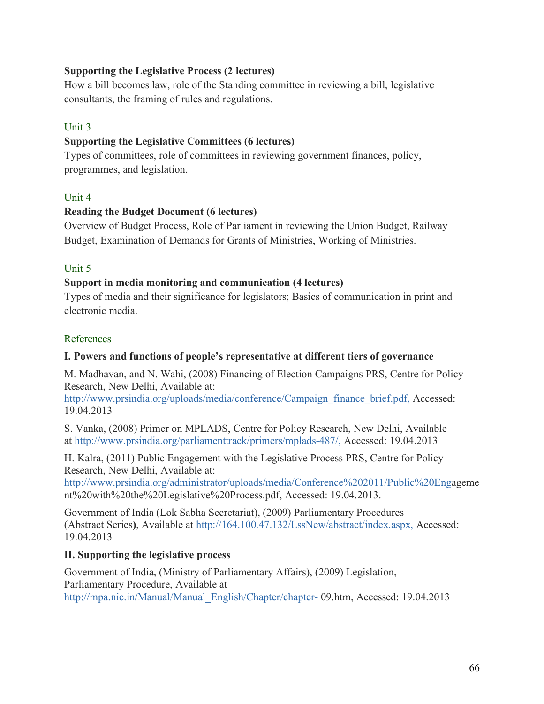### **Supporting the Legislative Process (2 lectures)**

How a bill becomes law, role of the Standing committee in reviewing a bill, legislative consultants, the framing of rules and regulations.

### Unit 3

## **Supporting the Legislative Committees (6 lectures)**

Types of committees, role of committees in reviewing government finances, policy, programmes, and legislation.

## Unit 4

## **Reading the Budget Document (6 lectures)**

Overview of Budget Process, Role of Parliament in reviewing the Union Budget, Railway Budget, Examination of Demands for Grants of Ministries, Working of Ministries.

## Unit 5

## **Support in media monitoring and communication (4 lectures)**

Types of media and their significance for legislators; Basics of communication in print and electronic media.

## References

# **I. Powers and functions of people's representative at different tiers of governance**

M. Madhavan, and N. Wahi, (2008) Financing of Election Campaigns PRS, Centre for Policy Research, New Delhi, Available at:

http://www.prsindia.org/uploads/media/conference/Campaign\_finance\_brief.pdf, Accessed: 19.04.2013

S. Vanka, (2008) Primer on MPLADS, Centre for Policy Research, New Delhi, Available at http://www.prsindia.org/parliamenttrack/primers/mplads-487/, Accessed: 19.04.2013

H. Kalra, (2011) Public Engagement with the Legislative Process PRS, Centre for Policy Research, New Delhi, Available at:

http://www.prsindia.org/administrator/uploads/media/Conference%202011/Public%20Engageme nt%20with%20the%20Legislative%20Process.pdf, Accessed: 19.04.2013.

Government of India (Lok Sabha Secretariat), (2009) Parliamentary Procedures (Abstract Series**)**, Available at http://164.100.47.132/LssNew/abstract/index.aspx, Accessed: 19.04.2013

# **II. Supporting the legislative process**

Government of India, (Ministry of Parliamentary Affairs), (2009) Legislation, Parliamentary Procedure, Available at http://mpa.nic.in/Manual/Manual\_English/Chapter/chapter- 09.htm, Accessed: 19.04.2013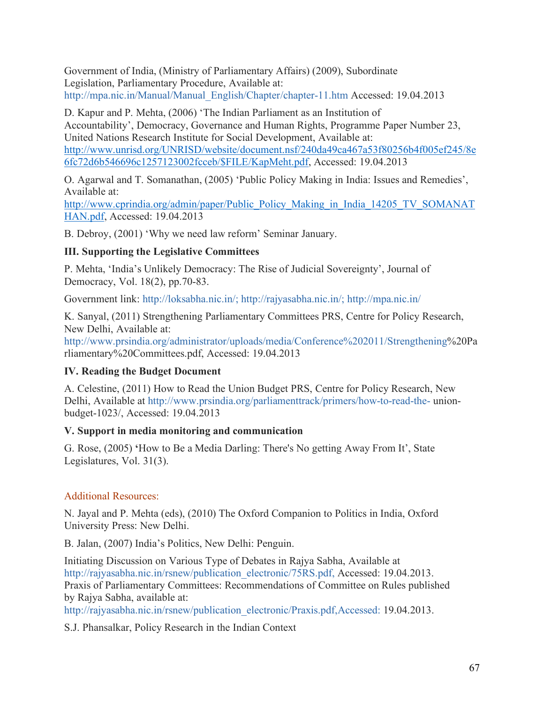Government of India, (Ministry of Parliamentary Affairs) (2009), Subordinate Legislation, Parliamentary Procedure, Available at: http://mpa.nic.in/Manual/Manual\_English/Chapter/chapter-11.htm Accessed: 19.04.2013

D. Kapur and P. Mehta, (2006) 'The Indian Parliament as an Institution of Accountability', Democracy, Governance and Human Rights, Programme Paper Number 23, United Nations Research Institute for Social Development, Available at: http://www.unrisd.org/UNRISD/website/document.nsf/240da49ca467a53f80256b4f005ef245/8e 6fc72d6b546696c1257123002fcceb/\$FILE/KapMeht.pdf, Accessed: 19.04.2013

O. Agarwal and T. Somanathan, (2005) 'Public Policy Making in India: Issues and Remedies', Available at:

http://www.cprindia.org/admin/paper/Public\_Policy\_Making\_in\_India\_14205\_TV\_SOMANAT HAN.pdf, Accessed: 19.04.2013

B. Debroy, (2001) 'Why we need law reform' Seminar January.

# **III. Supporting the Legislative Committees**

P. Mehta, 'India's Unlikely Democracy: The Rise of Judicial Sovereignty', Journal of Democracy, Vol. 18(2), pp.70-83.

Government link: http://loksabha.nic.in/; http://rajyasabha.nic.in/; http://mpa.nic.in/

K. Sanyal, (2011) Strengthening Parliamentary Committees PRS, Centre for Policy Research, New Delhi, Available at:

http://www.prsindia.org/administrator/uploads/media/Conference%202011/Strengthening%20Pa rliamentary%20Committees.pdf, Accessed: 19.04.2013

# **IV. Reading the Budget Document**

A. Celestine, (2011) How to Read the Union Budget PRS, Centre for Policy Research, New Delhi, Available at http://www.prsindia.org/parliamenttrack/primers/how-to-read-the- unionbudget-1023/, Accessed: 19.04.2013

# **V. Support in media monitoring and communication**

G. Rose, (2005) **'**How to Be a Media Darling: There's No getting Away From It', State Legislatures, Vol. 31(3).

# Additional Resources:

N. Jayal and P. Mehta (eds), (2010) The Oxford Companion to Politics in India, Oxford University Press: New Delhi.

B. Jalan, (2007) India's Politics, New Delhi: Penguin.

Initiating Discussion on Various Type of Debates in Rajya Sabha, Available at http://rajyasabha.nic.in/rsnew/publication\_electronic/75RS.pdf, Accessed: 19.04.2013. Praxis of Parliamentary Committees: Recommendations of Committee on Rules published by Rajya Sabha, available at:

http://rajyasabha.nic.in/rsnew/publication\_electronic/Praxis.pdf,Accessed: 19.04.2013.

S.J. Phansalkar, Policy Research in the Indian Context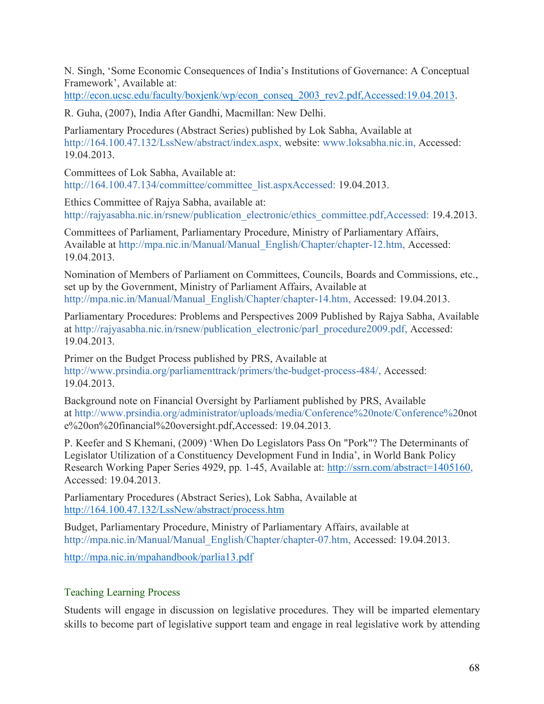N. Singh, 'Some Economic Consequences of India's Institutions of Governance: A Conceptual Framework', Available at:

http://econ.ucsc.edu/faculty/boxjenk/wp/econ\_conseq\_2003\_rev2.pdf,Accessed:19.04.2013.

R. Guha, (2007), India After Gandhi, Macmillan: New Delhi.

Parliamentary Procedures (Abstract Series) published by Lok Sabha, Available at http://164.100.47.132/LssNew/abstract/index.aspx, website: www.loksabha.nic.in, Accessed: 19.04.2013.

Committees of Lok Sabha, Available at: http://164.100.47.134/committee/committee\_list.aspxAccessed: 19.04.2013.

Ethics Committee of Rajya Sabha, available at: http://rajyasabha.nic.in/rsnew/publication\_electronic/ethics\_committee.pdf,Accessed: 19.4.2013.

Committees of Parliament, Parliamentary Procedure, Ministry of Parliamentary Affairs, Available at http://mpa.nic.in/Manual/Manual\_English/Chapter/chapter-12.htm, Accessed: 19.04.2013.

Nomination of Members of Parliament on Committees, Councils, Boards and Commissions, etc., set up by the Government, Ministry of Parliament Affairs, Available at http://mpa.nic.in/Manual/Manual\_English/Chapter/chapter-14.htm, Accessed: 19.04.2013.

Parliamentary Procedures: Problems and Perspectives 2009 Published by Rajya Sabha, Available at http://rajyasabha.nic.in/rsnew/publication\_electronic/parl\_procedure2009.pdf, Accessed: 19.04.2013.

Primer on the Budget Process published by PRS, Available at http://www.prsindia.org/parliamenttrack/primers/the-budget-process-484/, Accessed: 19.04.2013.

Background note on Financial Oversight by Parliament published by PRS, Available at http://www.prsindia.org/administrator/uploads/media/Conference%20note/Conference%20not e%20on%20financial%20oversight.pdf,Accessed: 19.04.2013.

P. Keefer and S Khemani, (2009) 'When Do Legislators Pass On "Pork"? The Determinants of Legislator Utilization of a Constituency Development Fund in India', in World Bank Policy Research Working Paper Series 4929, pp. 1-45, Available at: http://ssrn.com/abstract=1405160, Accessed: 19.04.2013.

Parliamentary Procedures (Abstract Series), Lok Sabha, Available at http://164.100.47.132/LssNew/abstract/process.htm

Budget, Parliamentary Procedure, Ministry of Parliamentary Affairs, available at http://mpa.nic.in/Manual/Manual\_English/Chapter/chapter-07.htm, Accessed: 19.04.2013.

http://mpa.nic.in/mpahandbook/parlia13.pdf

# Teaching Learning Process

Students will engage in discussion on legislative procedures. They will be imparted elementary skills to become part of legislative support team and engage in real legislative work by attending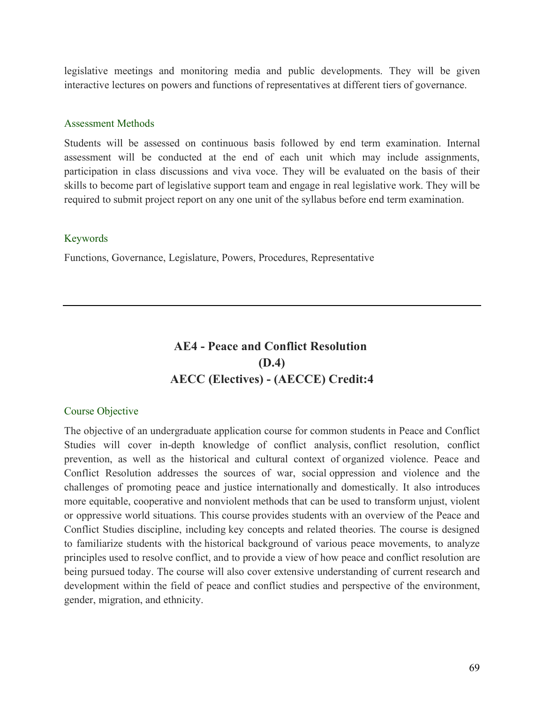legislative meetings and monitoring media and public developments. They will be given interactive lectures on powers and functions of representatives at different tiers of governance.

#### Assessment Methods

Students will be assessed on continuous basis followed by end term examination. Internal assessment will be conducted at the end of each unit which may include assignments, participation in class discussions and viva voce. They will be evaluated on the basis of their skills to become part of legislative support team and engage in real legislative work. They will be required to submit project report on any one unit of the syllabus before end term examination.

#### Keywords

Functions, Governance, Legislature, Powers, Procedures, Representative

# **AE4 - Peace and Conflict Resolution (D.4) AECC (Electives) - (AECCE) Credit:4**

#### Course Objective

The objective of an undergraduate application course for common students in Peace and Conflict Studies will cover in-depth knowledge of conflict analysis, conflict resolution, conflict prevention, as well as the historical and cultural context of organized violence. Peace and Conflict Resolution addresses the sources of war, social oppression and violence and the challenges of promoting peace and justice internationally and domestically. It also introduces more equitable, cooperative and nonviolent methods that can be used to transform unjust, violent or oppressive world situations. This course provides students with an overview of the Peace and Conflict Studies discipline, including key concepts and related theories. The course is designed to familiarize students with the historical background of various peace movements, to analyze principles used to resolve conflict, and to provide a view of how peace and conflict resolution are being pursued today. The course will also cover extensive understanding of current research and development within the field of peace and conflict studies and perspective of the environment, gender, migration, and ethnicity.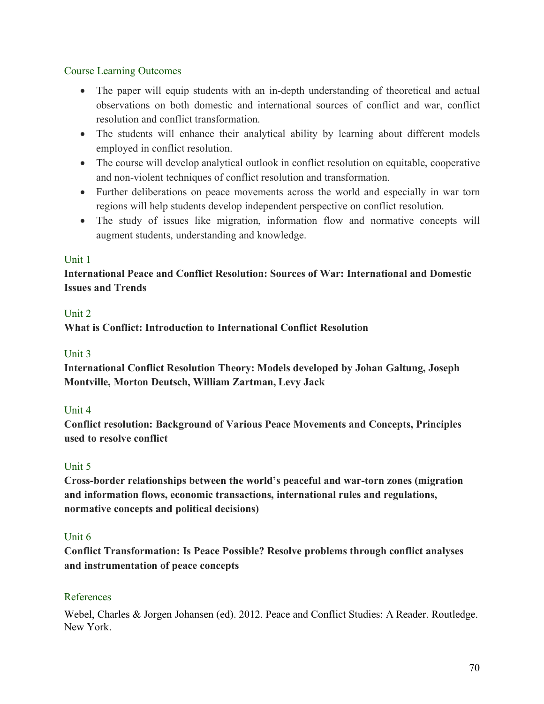## Course Learning Outcomes

- The paper will equip students with an in-depth understanding of theoretical and actual observations on both domestic and international sources of conflict and war, conflict resolution and conflict transformation.
- The students will enhance their analytical ability by learning about different models employed in conflict resolution.
- The course will develop analytical outlook in conflict resolution on equitable, cooperative and non-violent techniques of conflict resolution and transformation.
- Further deliberations on peace movements across the world and especially in war torn regions will help students develop independent perspective on conflict resolution.
- The study of issues like migration, information flow and normative concepts will augment students, understanding and knowledge.

# Unit 1

# **International Peace and Conflict Resolution: Sources of War: International and Domestic Issues and Trends**

## Unit 2

**What is Conflict: Introduction to International Conflict Resolution**

# Unit 3

**International Conflict Resolution Theory: Models developed by Johan Galtung, Joseph Montville, Morton Deutsch, William Zartman, Levy Jack**

# Unit 4

**Conflict resolution: Background of Various Peace Movements and Concepts, Principles used to resolve conflict**

# Unit 5

**Cross-border relationships between the world's peaceful and war-torn zones (migration and information flows, economic transactions, international rules and regulations, normative concepts and political decisions)**

#### Unit 6

**Conflict Transformation: Is Peace Possible? Resolve problems through conflict analyses and instrumentation of peace concepts**

# References

Webel, Charles & Jorgen Johansen (ed). 2012. Peace and Conflict Studies: A Reader. Routledge. New York.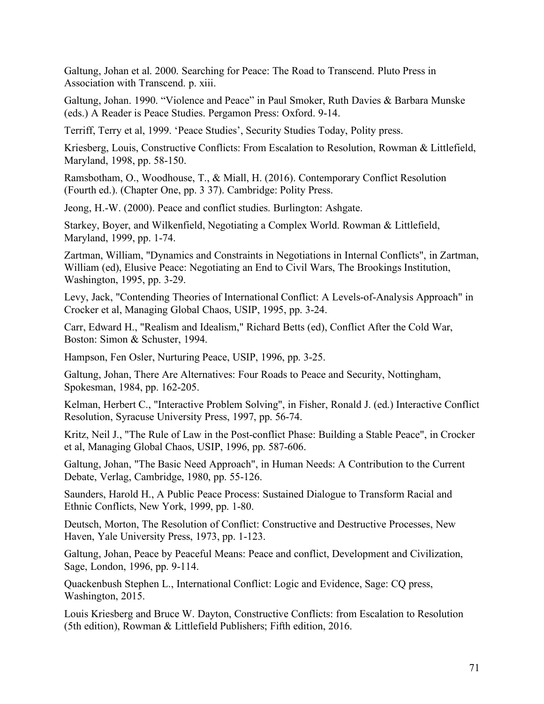Galtung, Johan et al. 2000. Searching for Peace: The Road to Transcend. Pluto Press in Association with Transcend. p. xiii.

Galtung, Johan. 1990. "Violence and Peace" in Paul Smoker, Ruth Davies & Barbara Munske (eds.) A Reader is Peace Studies. Pergamon Press: Oxford. 9-14.

Terriff, Terry et al, 1999. 'Peace Studies', Security Studies Today, Polity press.

Kriesberg, Louis, Constructive Conflicts: From Escalation to Resolution, Rowman & Littlefield, Maryland, 1998, pp. 58-150.

Ramsbotham, O., Woodhouse, T., & Miall, H. (2016). Contemporary Conflict Resolution (Fourth ed.). (Chapter One, pp. 3 37). Cambridge: Polity Press.

Jeong, H.-W. (2000). Peace and conflict studies. Burlington: Ashgate.

Starkey, Boyer, and Wilkenfield, Negotiating a Complex World. Rowman & Littlefield, Maryland, 1999, pp. 1-74.

Zartman, William, "Dynamics and Constraints in Negotiations in Internal Conflicts", in Zartman, William (ed), Elusive Peace: Negotiating an End to Civil Wars, The Brookings Institution, Washington, 1995, pp. 3-29.

Levy, Jack, "Contending Theories of International Conflict: A Levels-of-Analysis Approach" in Crocker et al, Managing Global Chaos, USIP, 1995, pp. 3-24.

Carr, Edward H., "Realism and Idealism," Richard Betts (ed), Conflict After the Cold War, Boston: Simon & Schuster, 1994.

Hampson, Fen Osler, Nurturing Peace, USIP, 1996, pp. 3-25.

Galtung, Johan, There Are Alternatives: Four Roads to Peace and Security, Nottingham, Spokesman, 1984, pp. 162-205.

Kelman, Herbert C., "Interactive Problem Solving", in Fisher, Ronald J. (ed.) Interactive Conflict Resolution, Syracuse University Press, 1997, pp. 56-74.

Kritz, Neil J., "The Rule of Law in the Post-conflict Phase: Building a Stable Peace", in Crocker et al, Managing Global Chaos, USIP, 1996, pp. 587-606.

Galtung, Johan, "The Basic Need Approach", in Human Needs: A Contribution to the Current Debate, Verlag, Cambridge, 1980, pp. 55-126.

Saunders, Harold H., A Public Peace Process: Sustained Dialogue to Transform Racial and Ethnic Conflicts, New York, 1999, pp. 1-80.

Deutsch, Morton, The Resolution of Conflict: Constructive and Destructive Processes, New Haven, Yale University Press, 1973, pp. 1-123.

Galtung, Johan, Peace by Peaceful Means: Peace and conflict, Development and Civilization, Sage, London, 1996, pp. 9-114.

Quackenbush Stephen L., International Conflict: Logic and Evidence, Sage: CQ press, Washington, 2015.

Louis Kriesberg and Bruce W. Dayton, Constructive Conflicts: from Escalation to Resolution (5th edition), Rowman & Littlefield Publishers; Fifth edition, 2016.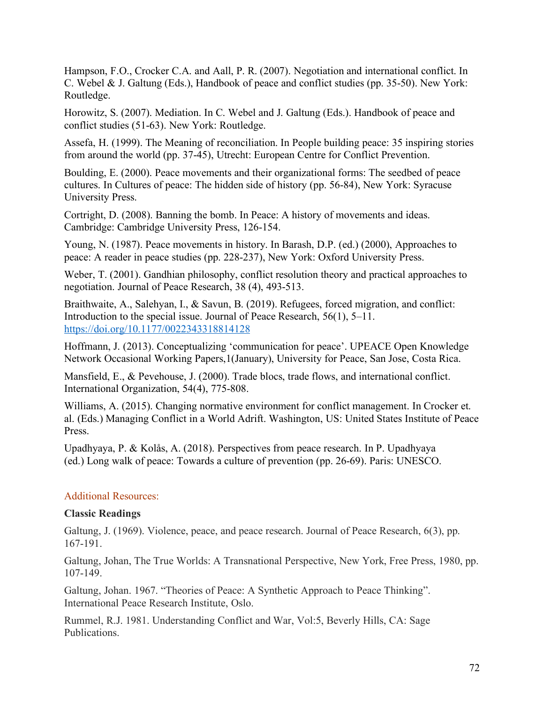Hampson, F.O., Crocker C.A. and Aall, P. R. (2007). Negotiation and international conflict. In C. Webel & J. Galtung (Eds.), Handbook of peace and conflict studies (pp. 35-50). New York: Routledge.

Horowitz, S. (2007). Mediation. In C. Webel and J. Galtung (Eds.). Handbook of peace and conflict studies (51-63). New York: Routledge.

Assefa, H. (1999). The Meaning of reconciliation. In People building peace: 35 inspiring stories from around the world (pp. 37-45), Utrecht: European Centre for Conflict Prevention.

Boulding, E. (2000). Peace movements and their organizational forms: The seedbed of peace cultures. In Cultures of peace: The hidden side of history (pp. 56-84), New York: Syracuse University Press.

Cortright, D. (2008). Banning the bomb. In Peace: A history of movements and ideas. Cambridge: Cambridge University Press, 126-154.

Young, N. (1987). Peace movements in history. In Barash, D.P. (ed.) (2000), Approaches to peace: A reader in peace studies (pp. 228-237), New York: Oxford University Press.

Weber, T. (2001). Gandhian philosophy, conflict resolution theory and practical approaches to negotiation. Journal of Peace Research, 38 (4), 493-513.

Braithwaite, A., Salehyan, I., & Savun, B. (2019). Refugees, forced migration, and conflict: Introduction to the special issue. Journal of Peace Research, 56(1), 5–11. https://doi.org/10.1177/0022343318814128

Hoffmann, J. (2013). Conceptualizing 'communication for peace'. UPEACE Open Knowledge Network Occasional Working Papers,1(January), University for Peace, San Jose, Costa Rica.

Mansfield, E., & Pevehouse, J. (2000). Trade blocs, trade flows, and international conflict. International Organization, 54(4), 775-808.

Williams, A. (2015). Changing normative environment for conflict management. In Crocker et. al. (Eds.) Managing Conflict in a World Adrift. Washington, US: United States Institute of Peace Press.

Upadhyaya, P. & Kolås, A. (2018). Perspectives from peace research. In P. Upadhyaya (ed.) Long walk of peace: Towards a culture of prevention (pp. 26-69). Paris: UNESCO.

#### Additional Resources:

#### **Classic Readings**

Galtung, J. (1969). Violence, peace, and peace research. Journal of Peace Research, 6(3), pp. 167-191.

Galtung, Johan, The True Worlds: A Transnational Perspective, New York, Free Press, 1980, pp. 107-149.

Galtung, Johan. 1967. "Theories of Peace: A Synthetic Approach to Peace Thinking". International Peace Research Institute, Oslo.

Rummel, R.J. 1981. Understanding Conflict and War, Vol:5, Beverly Hills, CA: Sage Publications.